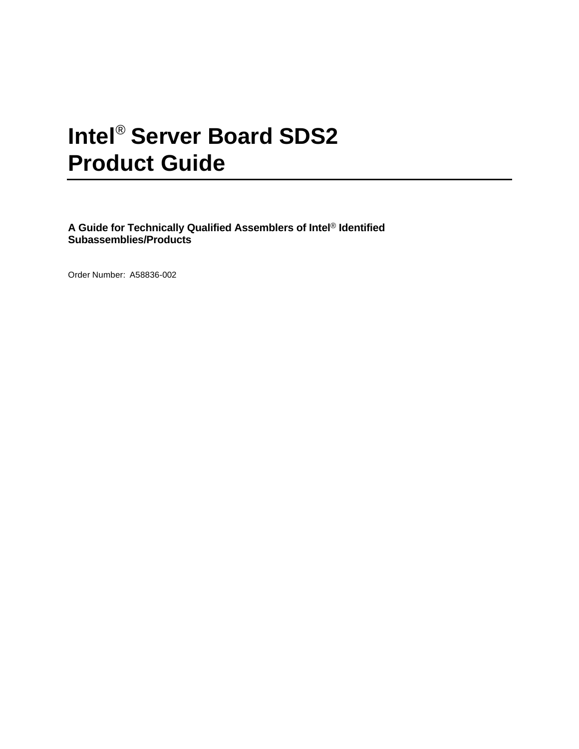# **Intel**®  **Server Board SDS2 Product Guide**

**A Guide for Technically Qualified Assemblers of Intel**® **Identified Subassemblies/Products**

Order Number: A58836-002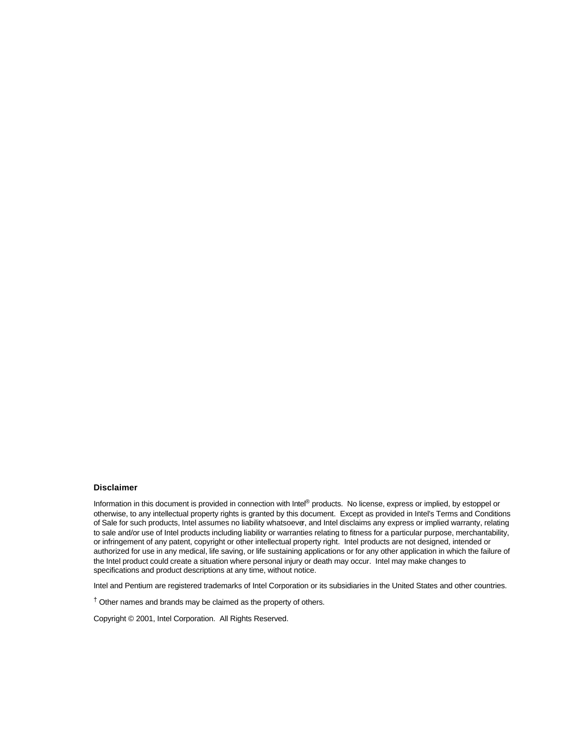#### **Disclaimer**

Information in this document is provided in connection with Intel® products. No license, express or implied, by estoppel or otherwise, to any intellectual property rights is granted by this document. Except as provided in Intel's Terms and Conditions of Sale for such products, Intel assumes no liability whatsoever, and Intel disclaims any express or implied warranty, relating to sale and/or use of Intel products including liability or warranties relating to fitness for a particular purpose, merchantability, or infringement of any patent, copyright or other intellectual property right. Intel products are not designed, intended or authorized for use in any medical, life saving, or life sustaining applications or for any other application in which the failure of the Intel product could create a situation where personal injury or death may occur. Intel may make changes to specifications and product descriptions at any time, without notice.

Intel and Pentium are registered trademarks of Intel Corporation or its subsidiaries in the United States and other countries.

<sup>†</sup> Other names and brands may be claimed as the property of others.

Copyright © 2001, Intel Corporation. All Rights Reserved.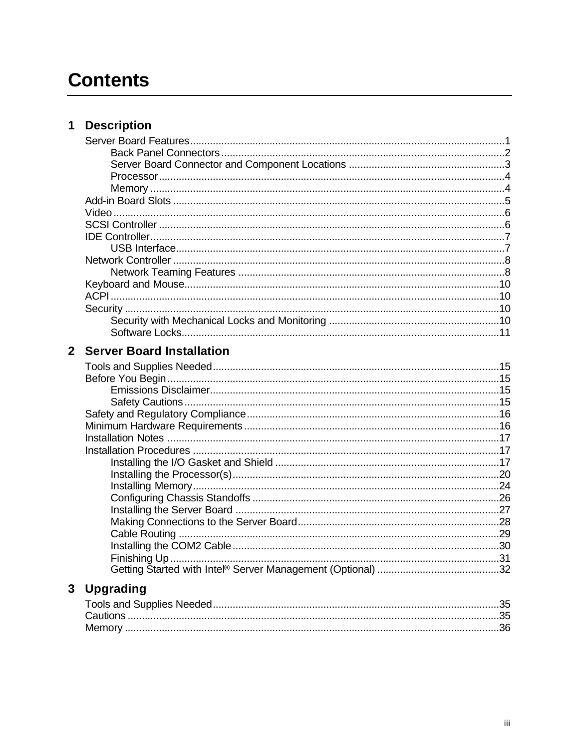# **Contents**

## 1 Description

| $\mathbf{2}$   | <b>Server Board Installation</b> |  |
|----------------|----------------------------------|--|
|                |                                  |  |
|                |                                  |  |
|                |                                  |  |
|                |                                  |  |
|                |                                  |  |
|                |                                  |  |
|                |                                  |  |
|                |                                  |  |
|                |                                  |  |
|                |                                  |  |
|                |                                  |  |
|                |                                  |  |
|                |                                  |  |
|                |                                  |  |
|                |                                  |  |
|                |                                  |  |
|                |                                  |  |
|                |                                  |  |
|                |                                  |  |
| 3 <sup>1</sup> | <b>Upgrading</b>                 |  |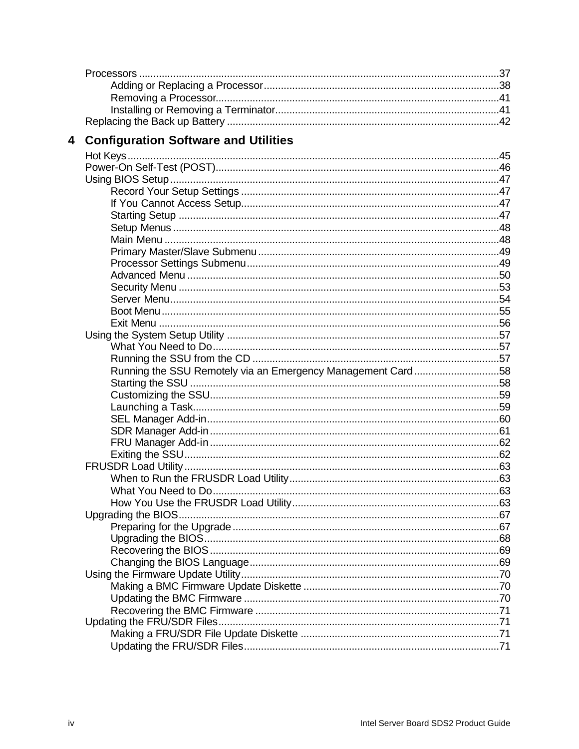| $\overline{\mathbf{4}}$ | <b>Configuration Software and Utilities</b>                 |  |
|-------------------------|-------------------------------------------------------------|--|
|                         |                                                             |  |
|                         |                                                             |  |
|                         |                                                             |  |
|                         |                                                             |  |
|                         |                                                             |  |
|                         |                                                             |  |
|                         |                                                             |  |
|                         |                                                             |  |
|                         |                                                             |  |
|                         |                                                             |  |
|                         |                                                             |  |
|                         |                                                             |  |
|                         |                                                             |  |
|                         |                                                             |  |
|                         |                                                             |  |
|                         |                                                             |  |
|                         |                                                             |  |
|                         |                                                             |  |
|                         | Running the SSU Remotely via an Emergency Management Card58 |  |
|                         |                                                             |  |
|                         |                                                             |  |
|                         |                                                             |  |
|                         |                                                             |  |
|                         |                                                             |  |
|                         |                                                             |  |
|                         |                                                             |  |
|                         |                                                             |  |
|                         |                                                             |  |
|                         |                                                             |  |
|                         |                                                             |  |
|                         |                                                             |  |
|                         |                                                             |  |
|                         |                                                             |  |
|                         |                                                             |  |
|                         |                                                             |  |
|                         |                                                             |  |
|                         |                                                             |  |
|                         |                                                             |  |
|                         |                                                             |  |
|                         |                                                             |  |
|                         |                                                             |  |
|                         |                                                             |  |
|                         |                                                             |  |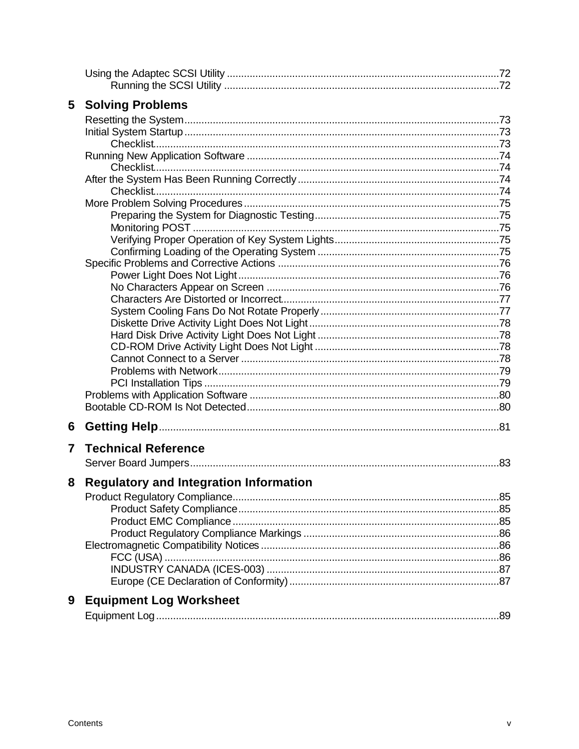| 5 | <b>Solving Problems</b>                       |  |
|---|-----------------------------------------------|--|
|   |                                               |  |
|   |                                               |  |
|   |                                               |  |
|   |                                               |  |
|   |                                               |  |
|   |                                               |  |
|   |                                               |  |
|   |                                               |  |
|   |                                               |  |
|   |                                               |  |
|   |                                               |  |
|   |                                               |  |
|   |                                               |  |
|   |                                               |  |
|   |                                               |  |
|   |                                               |  |
|   |                                               |  |
|   |                                               |  |
|   |                                               |  |
|   |                                               |  |
|   |                                               |  |
|   |                                               |  |
|   |                                               |  |
|   |                                               |  |
|   |                                               |  |
| 6 |                                               |  |
| 7 | <b>Technical Reference</b>                    |  |
|   |                                               |  |
|   |                                               |  |
| 8 | <b>Regulatory and Integration Information</b> |  |
|   |                                               |  |
|   |                                               |  |
|   |                                               |  |
|   |                                               |  |
|   |                                               |  |
|   |                                               |  |
|   |                                               |  |
|   |                                               |  |
| 9 | <b>Equipment Log Worksheet</b>                |  |
|   |                                               |  |
|   |                                               |  |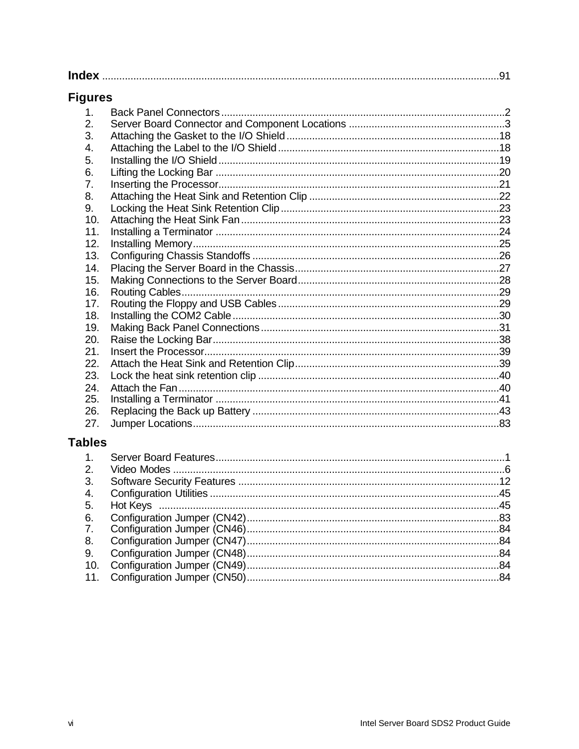| <b>Figures</b> |                |  |
|----------------|----------------|--|
| 1.             |                |  |
| 2.             |                |  |
| 3.             |                |  |
| 4.             |                |  |
| 5.             |                |  |
| 6.             |                |  |
| 7.             |                |  |
| 8.             |                |  |
| 9.             |                |  |
| 10.            |                |  |
| 11.            |                |  |
| 12.            |                |  |
| 13.            |                |  |
| 14.            |                |  |
| 15.            |                |  |
| 16.            |                |  |
| 17.            |                |  |
| 18.            |                |  |
| 19.            |                |  |
| 20.            |                |  |
| 21.            |                |  |
| 22.            |                |  |
| 23.            |                |  |
| 24.            |                |  |
| 25.            |                |  |
| 26.            |                |  |
| 27.            |                |  |
| <b>Tables</b>  |                |  |
| 1.             |                |  |
|                | 2. Video Modes |  |

3. 4.

5. 6.

7.

8.

9.

 $10.$  $11.$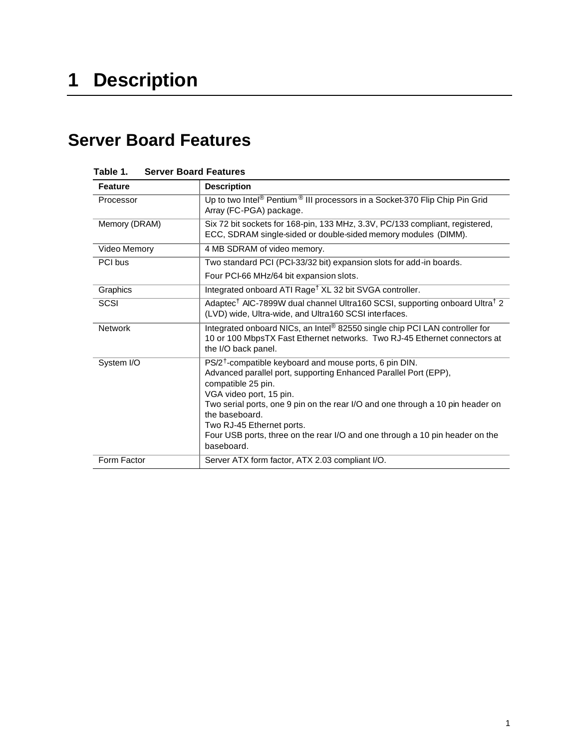# **1 Description**

# **Server Board Features**

| <b>Feature</b> | <b>Description</b>                                                                                                                                                                                                                                                                                                                                                                                                     |  |  |  |
|----------------|------------------------------------------------------------------------------------------------------------------------------------------------------------------------------------------------------------------------------------------------------------------------------------------------------------------------------------------------------------------------------------------------------------------------|--|--|--|
| Processor      | Up to two Intel <sup>®</sup> Pentium <sup>®</sup> III processors in a Socket-370 Flip Chip Pin Grid<br>Array (FC-PGA) package.                                                                                                                                                                                                                                                                                         |  |  |  |
| Memory (DRAM)  | Six 72 bit sockets for 168-pin, 133 MHz, 3.3V, PC/133 compliant, registered,<br>ECC, SDRAM single-sided or double-sided memory modules (DIMM).                                                                                                                                                                                                                                                                         |  |  |  |
| Video Memory   | 4 MB SDRAM of video memory.                                                                                                                                                                                                                                                                                                                                                                                            |  |  |  |
| PCI bus        | Two standard PCI (PCI-33/32 bit) expansion slots for add-in boards.                                                                                                                                                                                                                                                                                                                                                    |  |  |  |
|                | Four PCI-66 MHz/64 bit expansion slots.                                                                                                                                                                                                                                                                                                                                                                                |  |  |  |
| Graphics       | Integrated onboard ATI Rage <sup>†</sup> XL 32 bit SVGA controller.                                                                                                                                                                                                                                                                                                                                                    |  |  |  |
| SCSI           | Adaptec <sup>†</sup> AIC-7899W dual channel Ultra160 SCSI, supporting onboard Ultra <sup>†</sup> 2<br>(LVD) wide, Ultra-wide, and Ultra160 SCSI interfaces.                                                                                                                                                                                                                                                            |  |  |  |
| <b>Network</b> | Integrated onboard NICs, an Intel® 82550 single chip PCI LAN controller for<br>10 or 100 MbpsTX Fast Ethernet networks. Two RJ-45 Ethernet connectors at<br>the I/O back panel.                                                                                                                                                                                                                                        |  |  |  |
| System I/O     | PS/2 <sup>†</sup> -compatible keyboard and mouse ports, 6 pin DIN.<br>Advanced parallel port, supporting Enhanced Parallel Port (EPP),<br>compatible 25 pin.<br>VGA video port, 15 pin.<br>Two serial ports, one 9 pin on the rear I/O and one through a 10 pin header on<br>the baseboard.<br>Two RJ-45 Ethernet ports.<br>Four USB ports, three on the rear I/O and one through a 10 pin header on the<br>baseboard. |  |  |  |
| Form Factor    | Server ATX form factor, ATX 2.03 compliant I/O.                                                                                                                                                                                                                                                                                                                                                                        |  |  |  |

#### **Table 1. Server Board Features**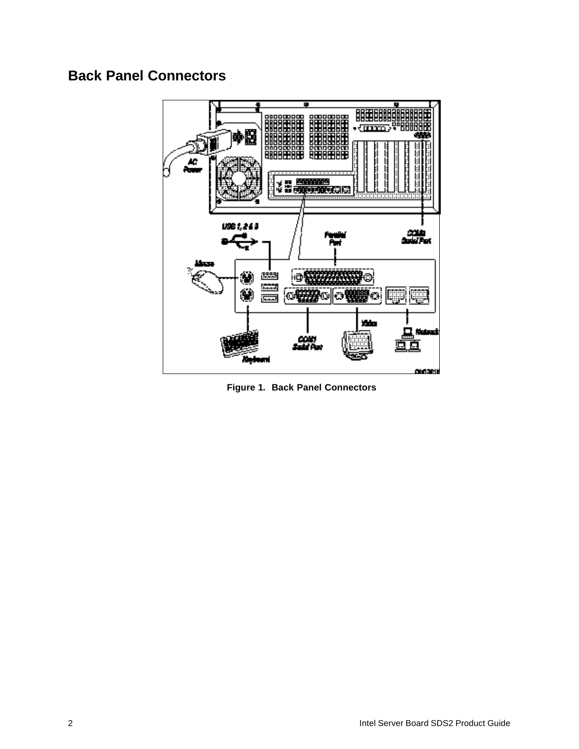## **Back Panel Connectors**



**Figure 1. Back Panel Connectors**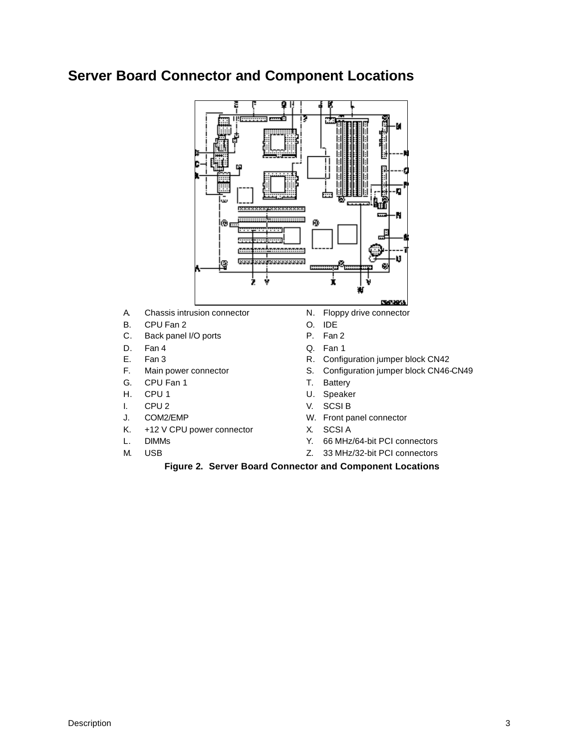### **Server Board Connector and Component Locations**



- A. Chassis intrusion connector
- B. CPU Fan 2
- C. Back panel I/O ports
- D. Fan 4
- E. Fan 3
- F. Main power connector
- G. CPU Fan 1
- H. CPU 1
- I. CPU 2
- J. COM2/EMP
- K. +12 V CPU power connector
- L. DIMMs
- M. USB
- 12052255
- N. Floppy drive connector
- O. IDE
- P. Fan 2
- Q. Fan 1
- R. Configuration jumper block CN42
- S. Configuration jumper block CN46-CN49
- T. Battery
- U. Speaker
- V. SCSI B
- W. Front panel connector
- X. SCSI A
- Y. 66 MHz/64-bit PCI connectors
- Z. 33 MHz/32-bit PCI connectors

**Figure 2. Server Board Connector and Component Locations**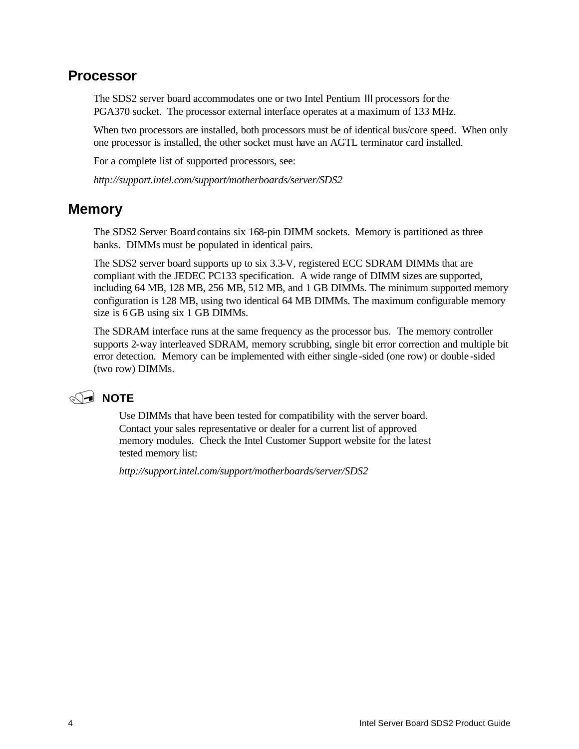### **Processor**

The SDS2 server board accommodates one or two Intel Pentium III processors for the PGA370 socket. The processor external interface operates at a maximum of 133 MHz.

When two processors are installed, both processors must be of identical bus/core speed. When only one processor is installed, the other socket must have an AGTL terminator card installed.

For a complete list of supported processors, see:

*http://support.intel.com/support/motherboards/server/SDS2*

### **Memory**

The SDS2 Server Board contains six 168-pin DIMM sockets. Memory is partitioned as three banks. DIMMs must be populated in identical pairs.

The SDS2 server board supports up to six 3.3-V, registered ECC SDRAM DIMMs that are compliant with the JEDEC PC133 specification. A wide range of DIMM sizes are supported, including 64 MB, 128 MB, 256 MB, 512 MB, and 1 GB DIMMs. The minimum supported memory configuration is 128 MB, using two identical 64 MB DIMMs. The maximum configurable memory size is 6 GB using six 1 GB DIMMs.

The SDRAM interface runs at the same frequency as the processor bus. The memory controller supports 2-way interleaved SDRAM, memory scrubbing, single bit error correction and multiple bit error detection. Memory can be implemented with either single -sided (one row) or double -sided (two row) DIMMs.

### / **NOTE**

Use DIMMs that have been tested for compatibility with the server board. Contact your sales representative or dealer for a current list of approved memory modules. Check the Intel Customer Support website for the latest tested memory list:

*http://support.intel.com/support/motherboards/server/SDS2*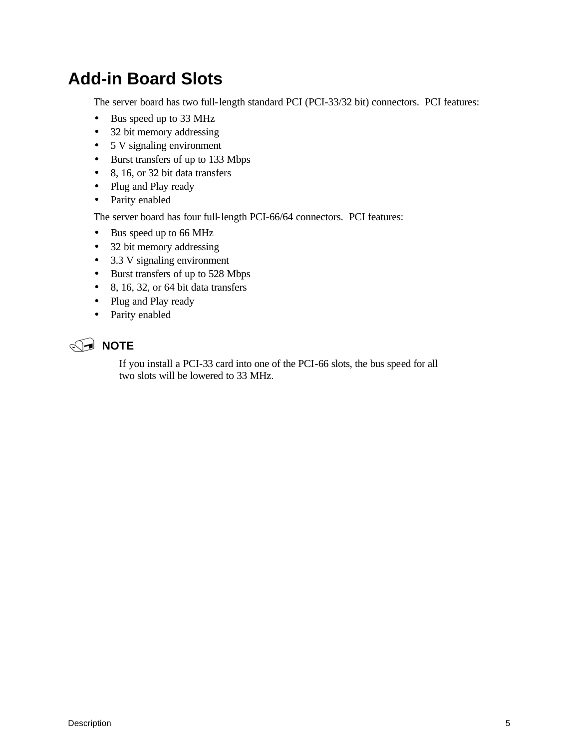# **Add-in Board Slots**

The server board has two full-length standard PCI (PCI-33/32 bit) connectors. PCI features:

- Bus speed up to 33 MHz
- 32 bit memory addressing
- 5 V signaling environment
- Burst transfers of up to 133 Mbps
- 8, 16, or 32 bit data transfers
- Plug and Play ready
- Parity enabled

The server board has four full-length PCI-66/64 connectors. PCI features:

- Bus speed up to 66 MHz
- 32 bit memory addressing
- 3.3 V signaling environment
- Burst transfers of up to 528 Mbps
- 8, 16, 32, or 64 bit data transfers
- Plug and Play ready
- Parity enabled

/ **NOTE**

If you install a PCI-33 card into one of the PCI-66 slots, the bus speed for all two slots will be lowered to 33 MHz.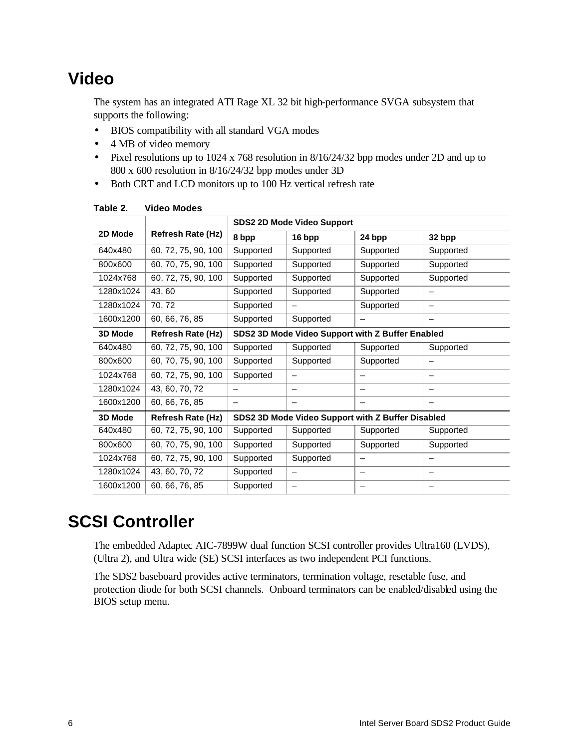# **Video**

The system has an integrated ATI Rage XL 32 bit high-performance SVGA subsystem that supports the following:

- BIOS compatibility with all standard VGA modes
- 4 MB of video memory
- Pixel resolutions up to 1024 x 768 resolution in 8/16/24/32 bpp modes under 2D and up to 800 x 600 resolution in 8/16/24/32 bpp modes under 3D
- Both CRT and LCD monitors up to 100 Hz vertical refresh rate

|           |                          | SDS2 2D Mode Video Support                        |           |           |                          |
|-----------|--------------------------|---------------------------------------------------|-----------|-----------|--------------------------|
| 2D Mode   | Refresh Rate (Hz)        | 8 bpp                                             | 16 bpp    | 24 bpp    | 32 bpp                   |
| 640x480   | 60, 72, 75, 90, 100      | Supported                                         | Supported | Supported | Supported                |
| 800x600   | 60, 70, 75, 90, 100      | Supported                                         | Supported | Supported | Supported                |
| 1024x768  | 60, 72, 75, 90, 100      | Supported                                         | Supported | Supported | Supported                |
| 1280x1024 | 43,60                    | Supported                                         | Supported | Supported | —                        |
| 1280x1024 | 70, 72                   | Supported                                         | —         | Supported |                          |
| 1600x1200 | 60, 66, 76, 85           | Supported                                         | Supported |           | -                        |
| 3D Mode   | <b>Refresh Rate (Hz)</b> | SDS2 3D Mode Video Support with Z Buffer Enabled  |           |           |                          |
| 640x480   | 60, 72, 75, 90, 100      | Supported                                         | Supported | Supported | Supported                |
| 800x600   | 60, 70, 75, 90, 100      | Supported                                         | Supported | Supported |                          |
| 1024x768  | 60, 72, 75, 90, 100      | Supported                                         |           | —         | -                        |
| 1280x1024 | 43, 60, 70, 72           |                                                   |           | —         | $\overline{\phantom{0}}$ |
| 1600x1200 | 60, 66, 76, 85           | $\overline{\phantom{m}}$                          | —         | —         | $\overline{\phantom{m}}$ |
| 3D Mode   | <b>Refresh Rate (Hz)</b> | SDS2 3D Mode Video Support with Z Buffer Disabled |           |           |                          |
| 640×480   | 60, 72, 75, 90, 100      | Supported                                         | Supported | Supported | Supported                |
| 800x600   | 60, 70, 75, 90, 100      | Supported                                         | Supported | Supported | Supported                |
| 1024x768  | 60, 72, 75, 90, 100      | Supported                                         | Supported |           |                          |
| 1280x1024 | 43, 60, 70, 72           | Supported                                         |           | —         |                          |
| 1600x1200 | 60, 66, 76, 85           | Supported                                         | —         |           |                          |

**Table 2. Video Modes**

## **SCSI Controller**

The embedded Adaptec AIC-7899W dual function SCSI controller provides Ultra160 (LVDS), (Ultra 2), and Ultra wide (SE) SCSI interfaces as two independent PCI functions.

The SDS2 baseboard provides active terminators, termination voltage, resetable fuse, and protection diode for both SCSI channels. Onboard terminators can be enabled/disabled using the BIOS setup menu.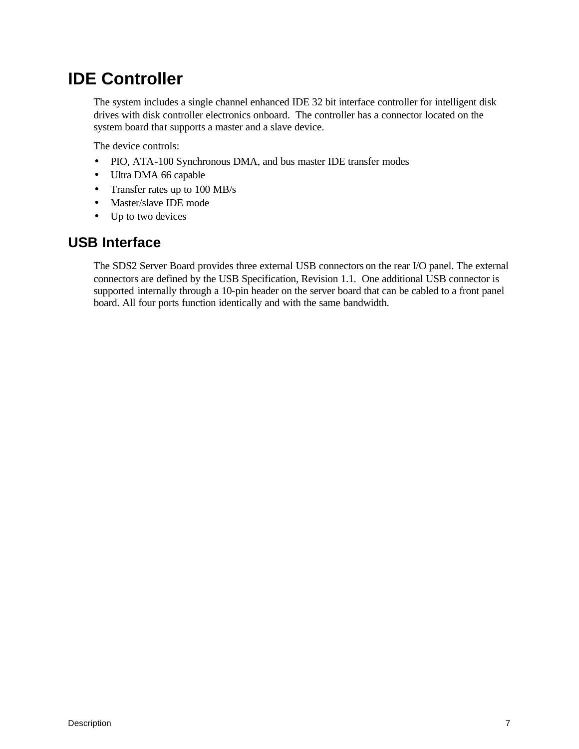# **IDE Controller**

The system includes a single channel enhanced IDE 32 bit interface controller for intelligent disk drives with disk controller electronics onboard. The controller has a connector located on the system board that supports a master and a slave device.

The device controls:

- PIO, ATA-100 Synchronous DMA, and bus master IDE transfer modes
- Ultra DMA 66 capable
- Transfer rates up to 100 MB/s
- Master/slave IDE mode
- Up to two devices

### **USB Interface**

The SDS2 Server Board provides three external USB connectors on the rear I/O panel. The external connectors are defined by the USB Specification, Revision 1.1. One additional USB connector is supported internally through a 10-pin header on the server board that can be cabled to a front panel board. All four ports function identically and with the same bandwidth.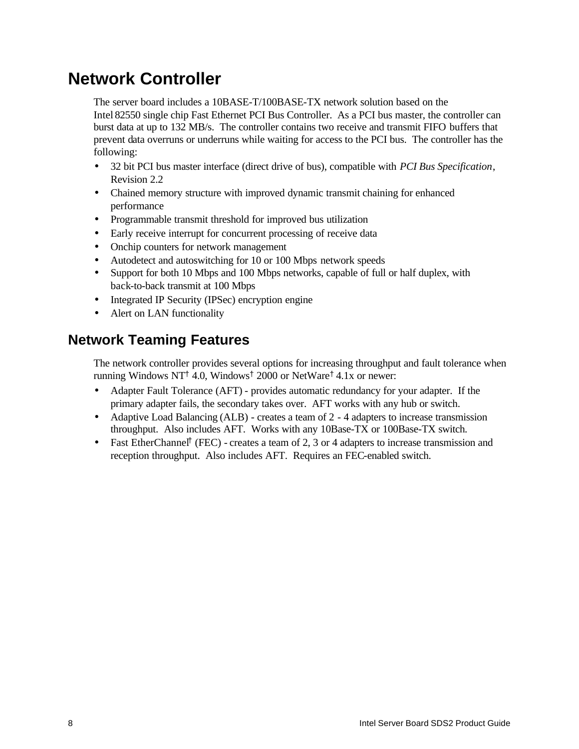# **Network Controller**

The server board includes a 10BASE-T/100BASE-TX network solution based on the Intel 82550 single chip Fast Ethernet PCI Bus Controller. As a PCI bus master, the controller can burst data at up to 132 MB/s. The controller contains two receive and transmit FIFO buffers that prevent data overruns or underruns while waiting for access to the PCI bus. The controller has the following:

- 32 bit PCI bus master interface (direct drive of bus), compatible with *PCI Bus Specification*, Revision 2.2
- Chained memory structure with improved dynamic transmit chaining for enhanced performance
- Programmable transmit threshold for improved bus utilization
- Early receive interrupt for concurrent processing of receive data
- Onchip counters for network management
- Autodetect and autoswitching for 10 or 100 Mbps network speeds
- Support for both 10 Mbps and 100 Mbps networks, capable of full or half duplex, with back-to-back transmit at 100 Mbps
- Integrated IP Security (IPSec) encryption engine
- Alert on LAN functionality

### **Network Teaming Features**

The network controller provides several options for increasing throughput and fault tolerance when running Windows NT† 4.0, Windows† 2000 or NetWare† 4.1x or newer:

- Adapter Fault Tolerance (AFT) provides automatic redundancy for your adapter. If the primary adapter fails, the secondary takes over. AFT works with any hub or switch.
- Adaptive Load Balancing (ALB) creates a team of 2 4 adapters to increase transmission throughput. Also includes AFT. Works with any 10Base-TX or 100Base-TX switch.
- Fast EtherChannel<sup>†</sup> (FEC) creates a team of 2, 3 or 4 adapters to increase transmission and reception throughput. Also includes AFT. Requires an FEC-enabled switch.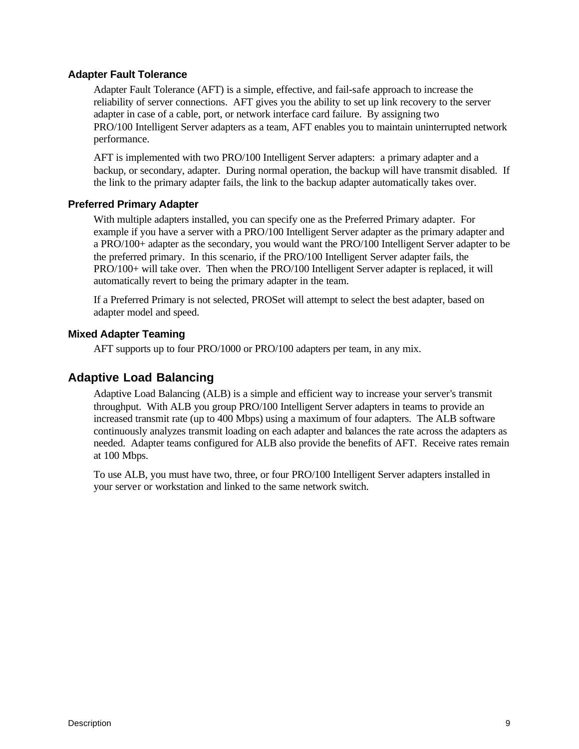#### **Adapter Fault Tolerance**

Adapter Fault Tolerance (AFT) is a simple, effective, and fail-safe approach to increase the reliability of server connections. AFT gives you the ability to set up link recovery to the server adapter in case of a cable, port, or network interface card failure. By assigning two PRO/100 Intelligent Server adapters as a team, AFT enables you to maintain uninterrupted network performance.

AFT is implemented with two PRO/100 Intelligent Server adapters: a primary adapter and a backup, or secondary, adapter. During normal operation, the backup will have transmit disabled. If the link to the primary adapter fails, the link to the backup adapter automatically takes over.

#### **Preferred Primary Adapter**

With multiple adapters installed, you can specify one as the Preferred Primary adapter. For example if you have a server with a PRO/100 Intelligent Server adapter as the primary adapter and a PRO/100+ adapter as the secondary, you would want the PRO/100 Intelligent Server adapter to be the preferred primary. In this scenario, if the PRO/100 Intelligent Server adapter fails, the PRO/100+ will take over. Then when the PRO/100 Intelligent Server adapter is replaced, it will automatically revert to being the primary adapter in the team.

If a Preferred Primary is not selected, PROSet will attempt to select the best adapter, based on adapter model and speed.

#### **Mixed Adapter Teaming**

AFT supports up to four PRO/1000 or PRO/100 adapters per team, in any mix.

#### **Adaptive Load Balancing**

Adaptive Load Balancing (ALB) is a simple and efficient way to increase your server's transmit throughput. With ALB you group PRO/100 Intelligent Server adapters in teams to provide an increased transmit rate (up to 400 Mbps) using a maximum of four adapters. The ALB software continuously analyzes transmit loading on each adapter and balances the rate across the adapters as needed. Adapter teams configured for ALB also provide the benefits of AFT. Receive rates remain at 100 Mbps.

To use ALB, you must have two, three, or four PRO/100 Intelligent Server adapters installed in your server or workstation and linked to the same network switch.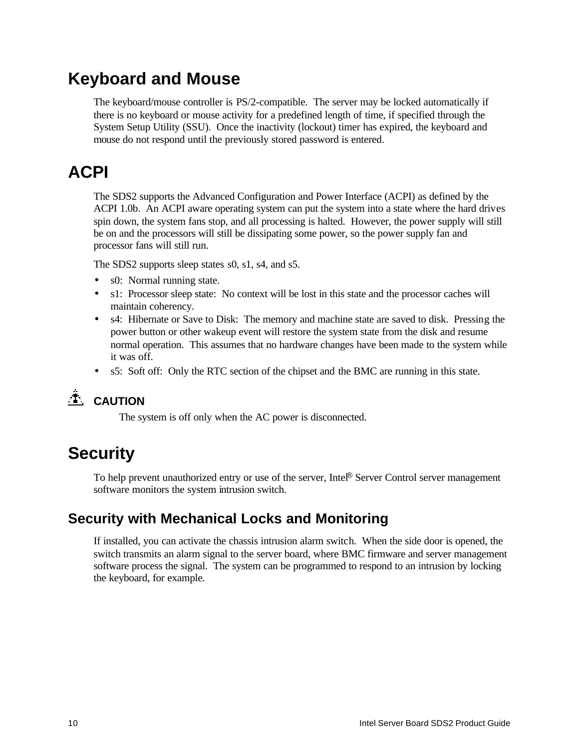## **Keyboard and Mouse**

The keyboard/mouse controller is PS/2-compatible. The server may be locked automatically if there is no keyboard or mouse activity for a predefined length of time, if specified through the System Setup Utility (SSU). Once the inactivity (lockout) timer has expired, the keyboard and mouse do not respond until the previously stored password is entered.

# **ACPI**

The SDS2 supports the Advanced Configuration and Power Interface (ACPI) as defined by the ACPI 1.0b. An ACPI aware operating system can put the system into a state where the hard drives spin down, the system fans stop, and all processing is halted. However, the power supply will still be on and the processors will still be dissipating some power, so the power supply fan and processor fans will still run.

The SDS2 supports sleep states s0, s1, s4, and s5.

- s0: Normal running state.
- s1: Processor sleep state: No context will be lost in this state and the processor caches will maintain coherency.
- s4: Hibernate or Save to Disk: The memory and machine state are saved to disk. Pressing the power button or other wakeup event will restore the system state from the disk and resume normal operation. This assumes that no hardware changes have been made to the system while it was off.
- s5: Soft off: Only the RTC section of the chipset and the BMC are running in this state.

# $\hat{I}$  **CAUTION**

The system is off only when the AC power is disconnected.

# **Security**

To help prevent unauthorized entry or use of the server, Intel® Server Control server management software monitors the system intrusion switch.

### **Security with Mechanical Locks and Monitoring**

If installed, you can activate the chassis intrusion alarm switch. When the side door is opened, the switch transmits an alarm signal to the server board, where BMC firmware and server management software process the signal. The system can be programmed to respond to an intrusion by locking the keyboard, for example.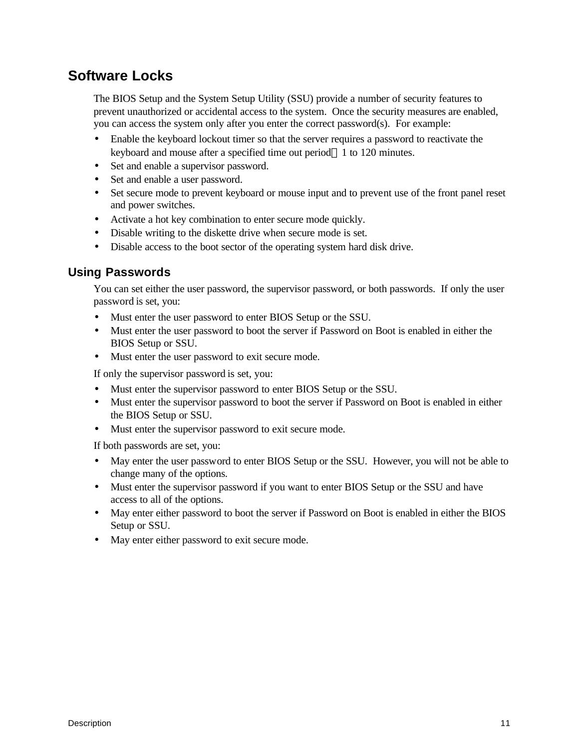### **Software Locks**

The BIOS Setup and the System Setup Utility (SSU) provide a number of security features to prevent unauthorized or accidental access to the system. Once the security measures are enabled, you can access the system only after you enter the correct password(s). For example:

- Enable the keyboard lockout timer so that the server requires a password to reactivate the keyboard and mouse after a specified time out period—1 to 120 minutes.
- Set and enable a supervisor password.
- Set and enable a user password.
- Set secure mode to prevent keyboard or mouse input and to prevent use of the front panel reset and power switches.
- Activate a hot key combination to enter secure mode quickly.
- Disable writing to the diskette drive when secure mode is set.
- Disable access to the boot sector of the operating system hard disk drive.

#### **Using Passwords**

You can set either the user password, the supervisor password, or both passwords. If only the user password is set, you:

- Must enter the user password to enter BIOS Setup or the SSU.
- Must enter the user password to boot the server if Password on Boot is enabled in either the BIOS Setup or SSU.
- Must enter the user password to exit secure mode.

If only the supervisor password is set, you:

- Must enter the supervisor password to enter BIOS Setup or the SSU.
- Must enter the supervisor password to boot the server if Password on Boot is enabled in either the BIOS Setup or SSU.
- Must enter the supervisor password to exit secure mode.

If both passwords are set, you:

- May enter the user password to enter BIOS Setup or the SSU. However, you will not be able to change many of the options.
- Must enter the supervisor password if you want to enter BIOS Setup or the SSU and have access to all of the options.
- May enter either password to boot the server if Password on Boot is enabled in either the BIOS Setup or SSU.
- May enter either password to exit secure mode.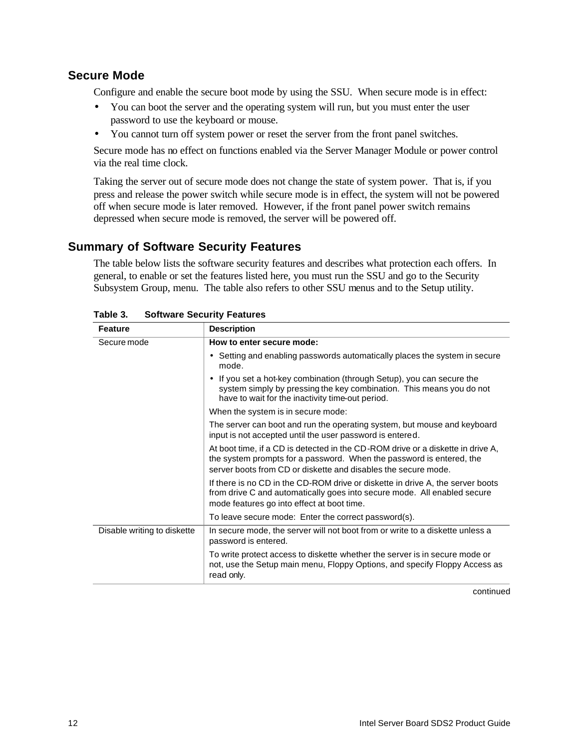#### **Secure Mode**

Configure and enable the secure boot mode by using the SSU. When secure mode is in effect:

- You can boot the server and the operating system will run, but you must enter the user password to use the keyboard or mouse.
- You cannot turn off system power or reset the server from the front panel switches.

Secure mode has no effect on functions enabled via the Server Manager Module or power control via the real time clock.

Taking the server out of secure mode does not change the state of system power. That is, if you press and release the power switch while secure mode is in effect, the system will not be powered off when secure mode is later removed. However, if the front panel power switch remains depressed when secure mode is removed, the server will be powered off.

#### **Summary of Software Security Features**

The table below lists the software security features and describes what protection each offers. In general, to enable or set the features listed here, you must run the SSU and go to the Security Subsystem Group, menu. The table also refers to other SSU menus and to the Setup utility.

| <b>Feature</b>              | <b>Description</b>                                                                                                                                                                                                        |
|-----------------------------|---------------------------------------------------------------------------------------------------------------------------------------------------------------------------------------------------------------------------|
| Secure mode                 | How to enter secure mode:                                                                                                                                                                                                 |
|                             | • Setting and enabling passwords automatically places the system in secure<br>mode.                                                                                                                                       |
|                             | • If you set a hot-key combination (through Setup), you can secure the<br>system simply by pressing the key combination. This means you do not<br>have to wait for the inactivity time-out period.                        |
|                             | When the system is in secure mode:                                                                                                                                                                                        |
|                             | The server can boot and run the operating system, but mouse and keyboard<br>input is not accepted until the user password is entered.                                                                                     |
|                             | At boot time, if a CD is detected in the CD-ROM drive or a diskette in drive A,<br>the system prompts for a password. When the password is entered, the<br>server boots from CD or diskette and disables the secure mode. |
|                             | If there is no CD in the CD-ROM drive or diskette in drive A, the server boots<br>from drive C and automatically goes into secure mode. All enabled secure<br>mode features go into effect at boot time.                  |
|                             | To leave secure mode: Enter the correct password(s).                                                                                                                                                                      |
| Disable writing to diskette | In secure mode, the server will not boot from or write to a diskette unless a<br>password is entered.                                                                                                                     |
|                             | To write protect access to diskette whether the server is in secure mode or<br>not, use the Setup main menu, Floppy Options, and specify Floppy Access as<br>read only.                                                   |

**Table 3. Software Security Features**

continued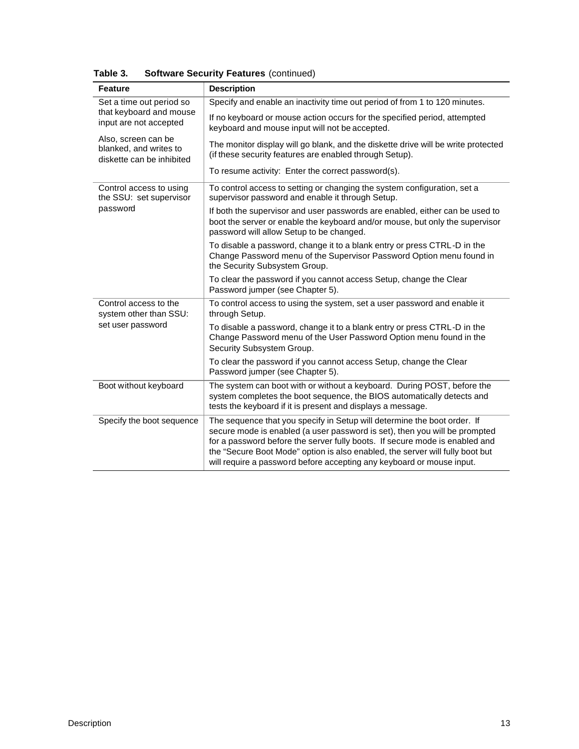| <b>Feature</b>                                                             | <b>Description</b>                                                                                                                                                                                                                                                                                                                                                                              |
|----------------------------------------------------------------------------|-------------------------------------------------------------------------------------------------------------------------------------------------------------------------------------------------------------------------------------------------------------------------------------------------------------------------------------------------------------------------------------------------|
| Set a time out period so                                                   | Specify and enable an inactivity time out period of from 1 to 120 minutes.                                                                                                                                                                                                                                                                                                                      |
| that keyboard and mouse<br>input are not accepted                          | If no keyboard or mouse action occurs for the specified period, attempted<br>keyboard and mouse input will not be accepted.                                                                                                                                                                                                                                                                     |
| Also, screen can be<br>blanked, and writes to<br>diskette can be inhibited | The monitor display will go blank, and the diskette drive will be write protected<br>(if these security features are enabled through Setup).                                                                                                                                                                                                                                                    |
|                                                                            | To resume activity: Enter the correct password(s).                                                                                                                                                                                                                                                                                                                                              |
| Control access to using<br>the SSU: set supervisor                         | To control access to setting or changing the system configuration, set a<br>supervisor password and enable it through Setup.                                                                                                                                                                                                                                                                    |
| password                                                                   | If both the supervisor and user passwords are enabled, either can be used to<br>boot the server or enable the keyboard and/or mouse, but only the supervisor<br>password will allow Setup to be changed.                                                                                                                                                                                        |
|                                                                            | To disable a password, change it to a blank entry or press CTRL-D in the<br>Change Password menu of the Supervisor Password Option menu found in<br>the Security Subsystem Group.                                                                                                                                                                                                               |
|                                                                            | To clear the password if you cannot access Setup, change the Clear<br>Password jumper (see Chapter 5).                                                                                                                                                                                                                                                                                          |
| Control access to the<br>system other than SSU:                            | To control access to using the system, set a user password and enable it<br>through Setup.                                                                                                                                                                                                                                                                                                      |
| set user password                                                          | To disable a pass word, change it to a blank entry or press CTRL-D in the<br>Change Password menu of the User Password Option menu found in the<br>Security Subsystem Group.                                                                                                                                                                                                                    |
|                                                                            | To clear the password if you cannot access Setup, change the Clear<br>Password jumper (see Chapter 5).                                                                                                                                                                                                                                                                                          |
| Boot without keyboard                                                      | The system can boot with or without a keyboard. During POST, before the<br>system completes the boot sequence, the BIOS automatically detects and<br>tests the keyboard if it is present and displays a message.                                                                                                                                                                                |
| Specify the boot sequence                                                  | The sequence that you specify in Setup will determine the boot order. If<br>secure mode is enabled (a user password is set), then you will be prompted<br>for a password before the server fully boots. If secure mode is enabled and<br>the "Secure Boot Mode" option is also enabled, the server will fully boot but<br>will require a password before accepting any keyboard or mouse input. |

**Table 3. Software Security Features** (continued)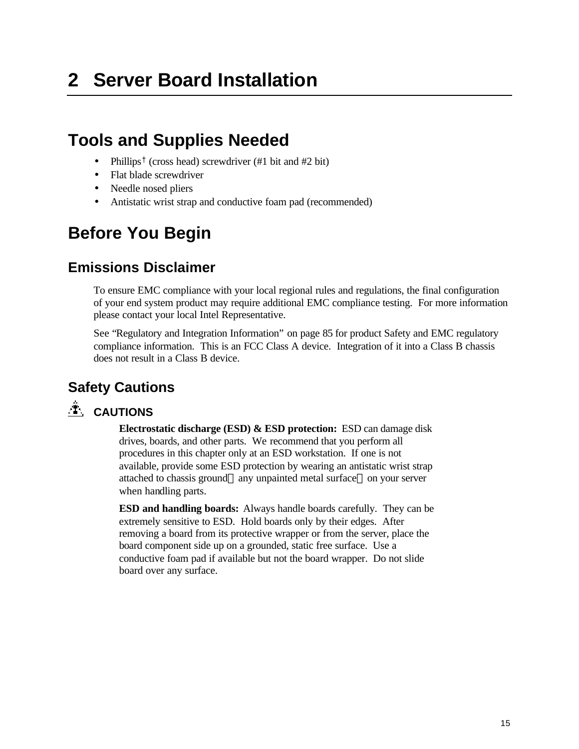# **Tools and Supplies Needed**

- Phillips<sup>†</sup> (cross head) screwdriver (#1 bit and #2 bit)
- Flat blade screwdriver
- Needle nosed pliers
- Antistatic wrist strap and conductive foam pad (recommended)

# **Before You Begin**

### **Emissions Disclaimer**

To ensure EMC compliance with your local regional rules and regulations, the final configuration of your end system product may require additional EMC compliance testing. For more information please contact your local Intel Representative.

See "Regulatory and Integration Information" on page 85 for product Safety and EMC regulatory compliance information. This is an FCC Class A device. Integration of it into a Class B chassis does not result in a Class B device.

## **Safety Cautions**

## *L* CAUTIONS

**Electrostatic discharge (ESD) & ESD protection:** ESD can damage disk drives, boards, and other parts. We recommend that you perform all procedures in this chapter only at an ESD workstation. If one is not available, provide some ESD protection by wearing an antistatic wrist strap attached to chassis ground—any unpainted metal surface—on your server when handling parts.

**ESD and handling boards:** Always handle boards carefully. They can be extremely sensitive to ESD. Hold boards only by their edges. After removing a board from its protective wrapper or from the server, place the board component side up on a grounded, static free surface. Use a conductive foam pad if available but not the board wrapper. Do not slide board over any surface.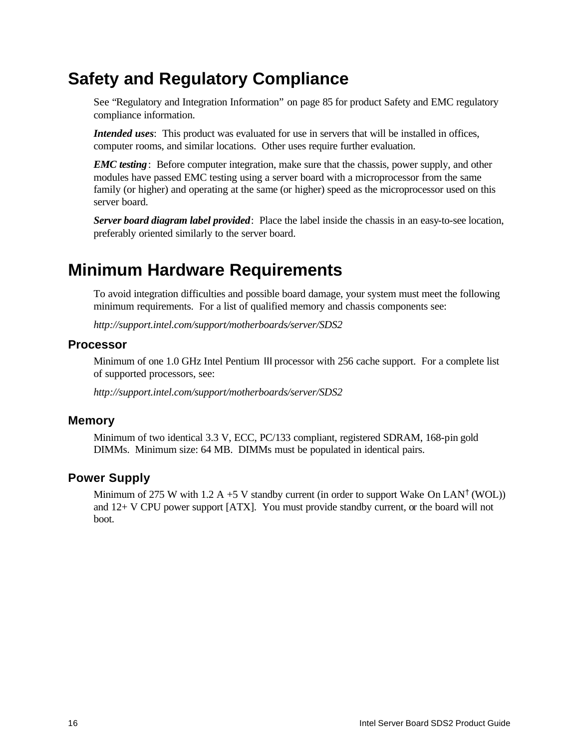# **Safety and Regulatory Compliance**

See "Regulatory and Integration Information" on page 85 for product Safety and EMC regulatory compliance information.

*Intended uses*: This product was evaluated for use in servers that will be installed in offices, computer rooms, and similar locations. Other uses require further evaluation.

*EMC testing*: Before computer integration, make sure that the chassis, power supply, and other modules have passed EMC testing using a server board with a microprocessor from the same family (or higher) and operating at the same (or higher) speed as the microprocessor used on this server board.

*Server board diagram label provided*: Place the label inside the chassis in an easy-to-see location, preferably oriented similarly to the server board.

## **Minimum Hardware Requirements**

To avoid integration difficulties and possible board damage, your system must meet the following minimum requirements. For a list of qualified memory and chassis components see:

*http://support.intel.com/support/motherboards/server/SDS2*

#### **Processor**

Minimum of one 1.0 GHz Intel Pentium III processor with 256 cache support. For a complete list of supported processors, see:

*http://support.intel.com/support/motherboards/server/SDS2*

#### **Memory**

Minimum of two identical 3.3 V, ECC, PC/133 compliant, registered SDRAM, 168-pin gold DIMMs. Minimum size: 64 MB. DIMMs must be populated in identical pairs.

#### **Power Supply**

Minimum of 275 W with 1.2 A +5 V standby current (in order to support Wake On LAN<sup>†</sup> (WOL)) and 12+ V CPU power support [ATX]. You must provide standby current, or the board will not boot.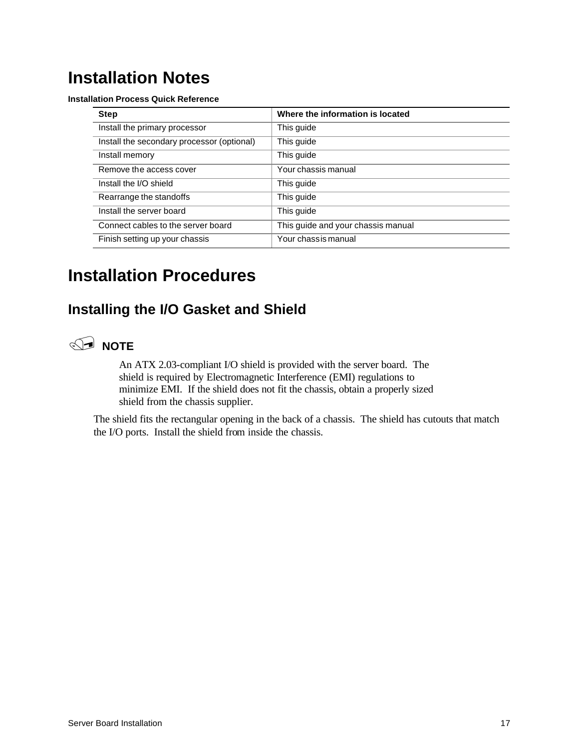# **Installation Notes**

#### **Installation Process Quick Reference**

| <b>Step</b>                                | Where the information is located   |
|--------------------------------------------|------------------------------------|
| Install the primary processor              | This guide                         |
| Install the secondary processor (optional) | This guide                         |
| Install memory                             | This guide                         |
| Remove the access cover                    | Your chassis manual                |
| Install the I/O shield                     | This guide                         |
| Rearrange the standoffs                    | This guide                         |
| Install the server board                   | This guide                         |
| Connect cables to the server board         | This guide and your chassis manual |
| Finish setting up your chassis             | Your chass is manual               |

# **Installation Procedures**

### **Installing the I/O Gasket and Shield**

/ **NOTE**

An ATX 2.03-compliant I/O shield is provided with the server board. The shield is required by Electromagnetic Interference (EMI) regulations to minimize EMI. If the shield does not fit the chassis, obtain a properly sized shield from the chassis supplier.

The shield fits the rectangular opening in the back of a chassis. The shield has cutouts that match the I/O ports. Install the shield from inside the chassis.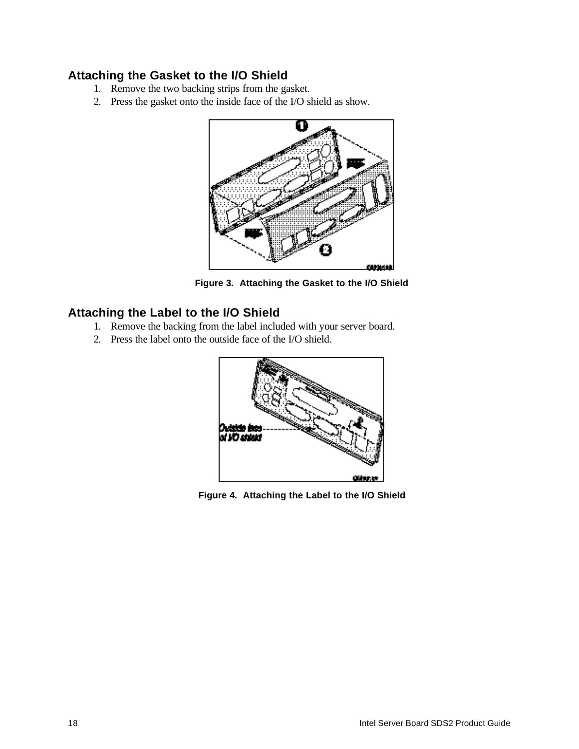#### **Attaching the Gasket to the I/O Shield**

- 1. Remove the two backing strips from the gasket.
- 2. Press the gasket onto the inside face of the I/O shield as show.



**Figure 3. Attaching the Gasket to the I/O Shield**

### **Attaching the Label to the I/O Shield**

- 1. Remove the backing from the label included with your server board.
- 2. Press the label onto the outside face of the I/O shield.



**Figure 4. Attaching the Label to the I/O Shield**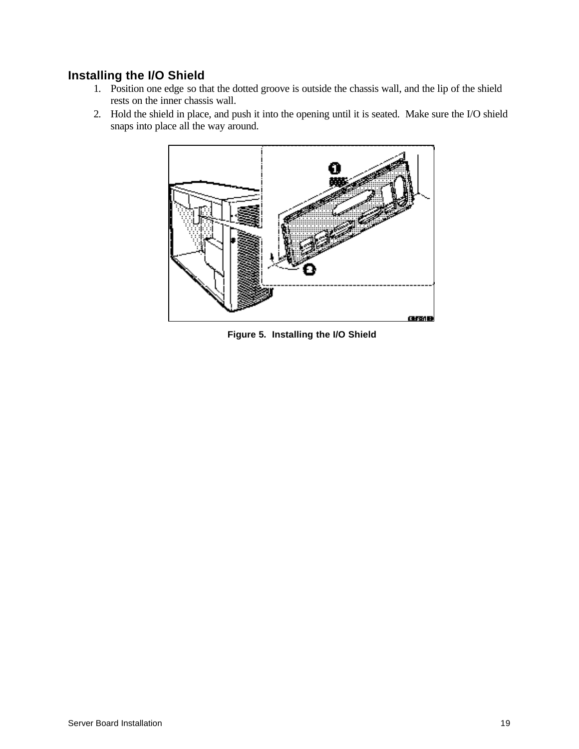### **Installing the I/O Shield**

- 1. Position one edge so that the dotted groove is outside the chassis wall, and the lip of the shield rests on the inner chassis wall.
- 2. Hold the shield in place, and push it into the opening until it is seated. Make sure the I/O shield snaps into place all the way around.



**Figure 5. Installing the I/O Shield**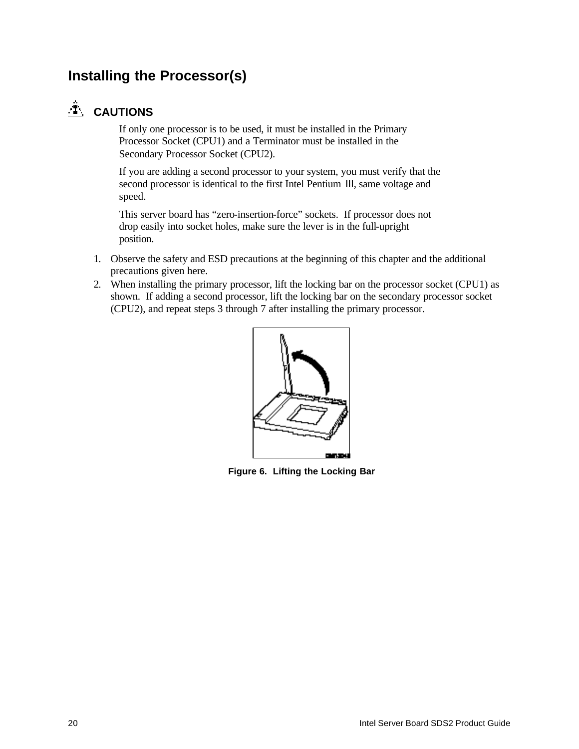### **Installing the Processor(s)**

# **E** CAUTIONS

If only one processor is to be used, it must be installed in the Primary Processor Socket (CPU1) and a Terminator must be installed in the Secondary Processor Socket (CPU2).

If you are adding a second processor to your system, you must verify that the second processor is identical to the first Intel Pentium III, same voltage and speed.

This server board has "zero-insertion-force" sockets. If processor does not drop easily into socket holes, make sure the lever is in the full-upright position.

- 1. Observe the safety and ESD precautions at the beginning of this chapter and the additional precautions given here.
- 2. When installing the primary processor, lift the locking bar on the processor socket (CPU1) as shown. If adding a second processor, lift the locking bar on the secondary processor socket (CPU2), and repeat steps 3 through 7 after installing the primary processor.



**Figure 6. Lifting the Locking Bar**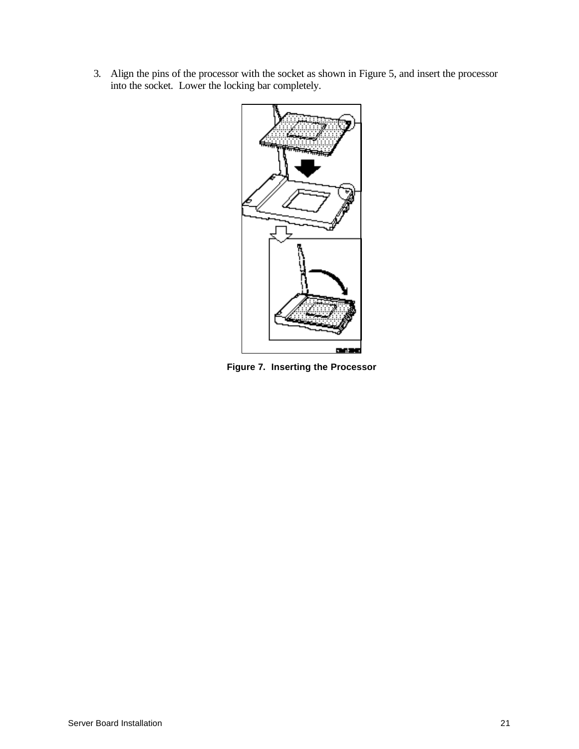3. Align the pins of the processor with the socket as shown in Figure 5, and insert the processor into the socket. Lower the locking bar completely.



**Figure 7. Inserting the Processor**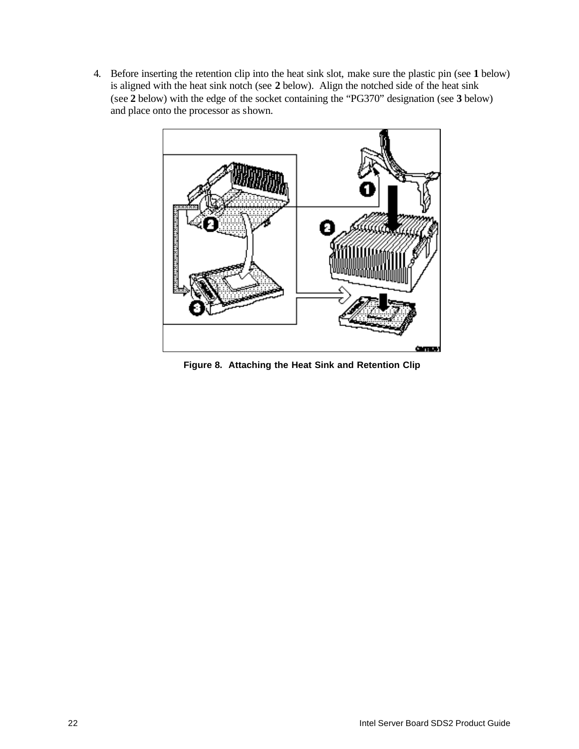4. Before inserting the retention clip into the heat sink slot, make sure the plastic pin (see **1** below) is aligned with the heat sink notch (see **2** below). Align the notched side of the heat sink (see **2** below) with the edge of the socket containing the "PG370" designation (see **3** below) and place onto the processor as shown.



**Figure 8. Attaching the Heat Sink and Retention Clip**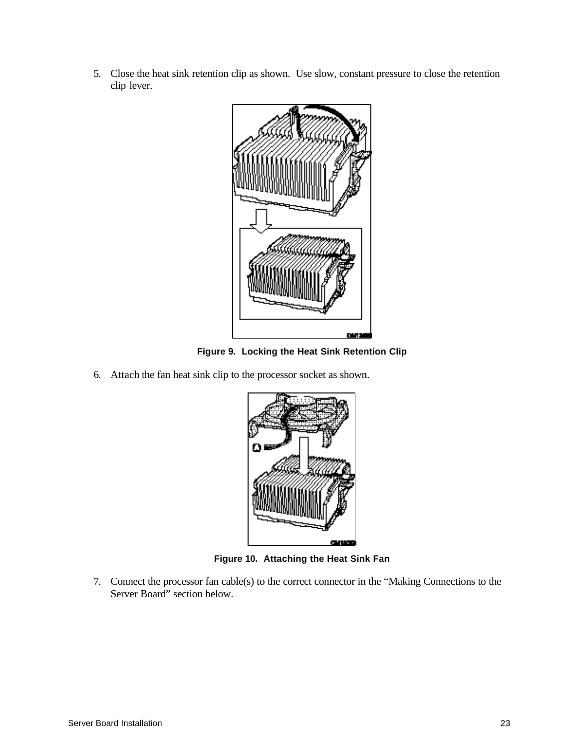5. Close the heat sink retention clip as shown. Use slow, constant pressure to close the retention clip lever.



**Figure 9. Locking the Heat Sink Retention Clip**

6. Attach the fan heat sink clip to the processor socket as shown.



**Figure 10. Attaching the Heat Sink Fan**

7. Connect the processor fan cable(s) to the correct connector in the "Making Connections to the Server Board" section below.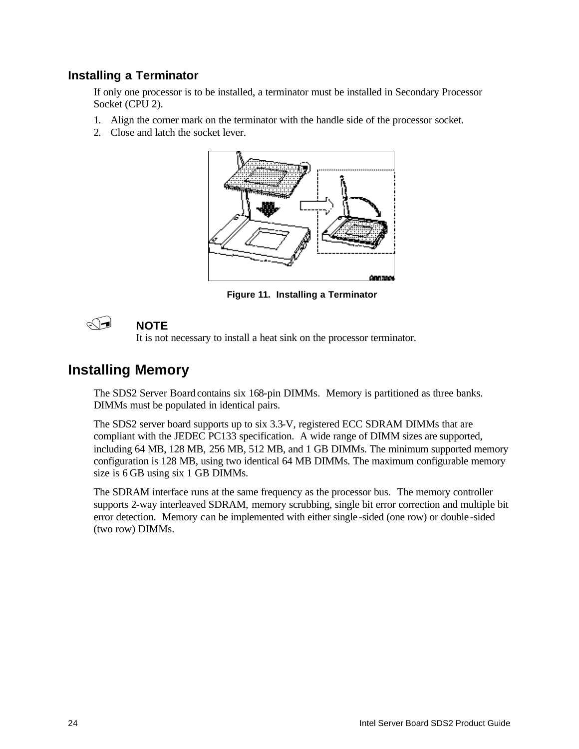### **Installing a Terminator**

If only one processor is to be installed, a terminator must be installed in Secondary Processor Socket (CPU 2).

- 1. Align the corner mark on the terminator with the handle side of the processor socket.
- 2. Close and latch the socket lever.



**Figure 11. Installing a Terminator**

#### / **NOTE**

It is not necessary to install a heat sink on the processor terminator.

### **Installing Memory**

The SDS2 Server Board contains six 168-pin DIMMs. Memory is partitioned as three banks. DIMMs must be populated in identical pairs.

The SDS2 server board supports up to six 3.3-V, registered ECC SDRAM DIMMs that are compliant with the JEDEC PC133 specification. A wide range of DIMM sizes are supported, including 64 MB, 128 MB, 256 MB, 512 MB, and 1 GB DIMMs. The minimum supported memory configuration is 128 MB, using two identical 64 MB DIMMs. The maximum configurable memory size is 6 GB using six 1 GB DIMMs.

The SDRAM interface runs at the same frequency as the processor bus. The memory controller supports 2-way interleaved SDRAM, memory scrubbing, single bit error correction and multiple bit error detection. Memory can be implemented with either single -sided (one row) or double -sided (two row) DIMMs.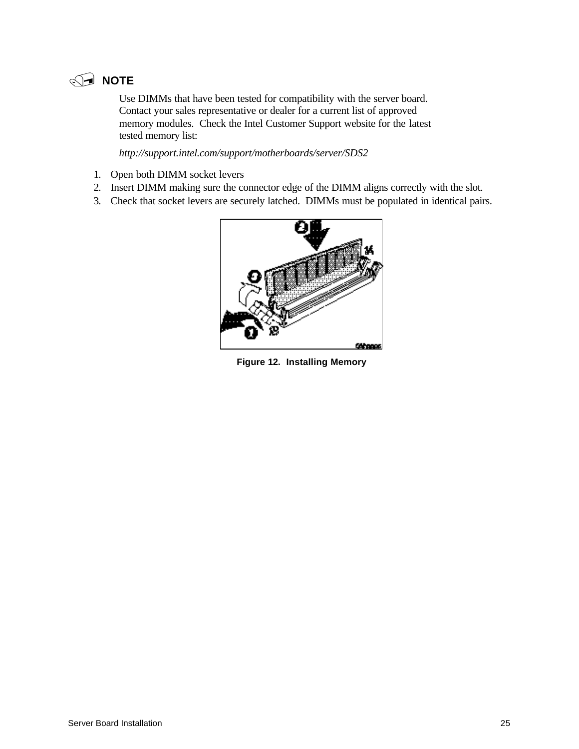

Use DIMMs that have been tested for compatibility with the server board. Contact your sales representative or dealer for a current list of approved memory modules. Check the Intel Customer Support website for the latest tested memory list:

*http://support.intel.com/support/motherboards/server/SDS2*

- 1. Open both DIMM socket levers
- 2. Insert DIMM making sure the connector edge of the DIMM aligns correctly with the slot.
- 3. Check that socket levers are securely latched. DIMMs must be populated in identical pairs.



**Figure 12. Installing Memory**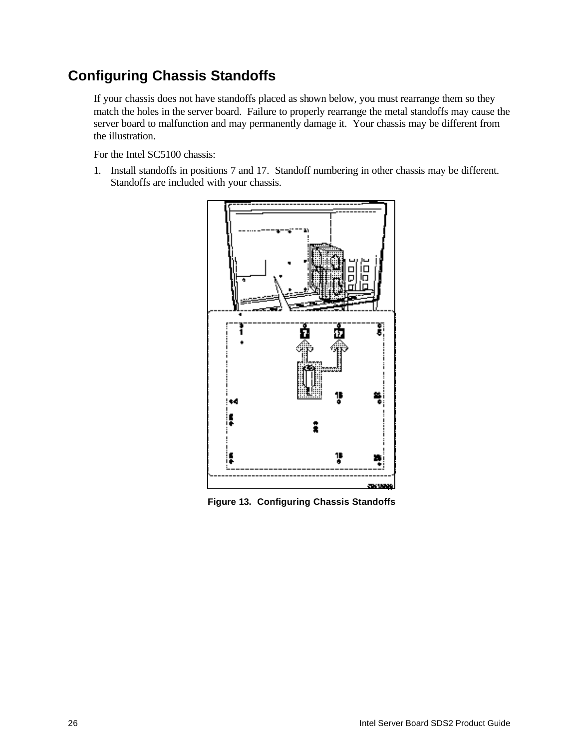## **Configuring Chassis Standoffs**

If your chassis does not have standoffs placed as shown below, you must rearrange them so they match the holes in the server board. Failure to properly rearrange the metal standoffs may cause the server board to malfunction and may permanently damage it. Your chassis may be different from the illustration.

For the Intel SC5100 chassis:

1. Install standoffs in positions 7 and 17. Standoff numbering in other chassis may be different. Standoffs are included with your chassis.



**Figure 13. Configuring Chassis Standoffs**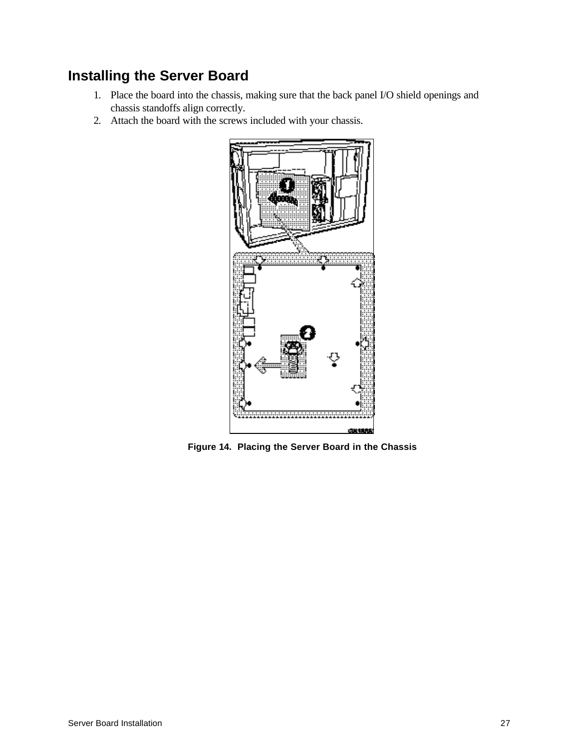## **Installing the Server Board**

- 1. Place the board into the chassis, making sure that the back panel I/O shield openings and chassis standoffs align correctly.
- 2. Attach the board with the screws included with your chassis.



**Figure 14. Placing the Server Board in the Chassis**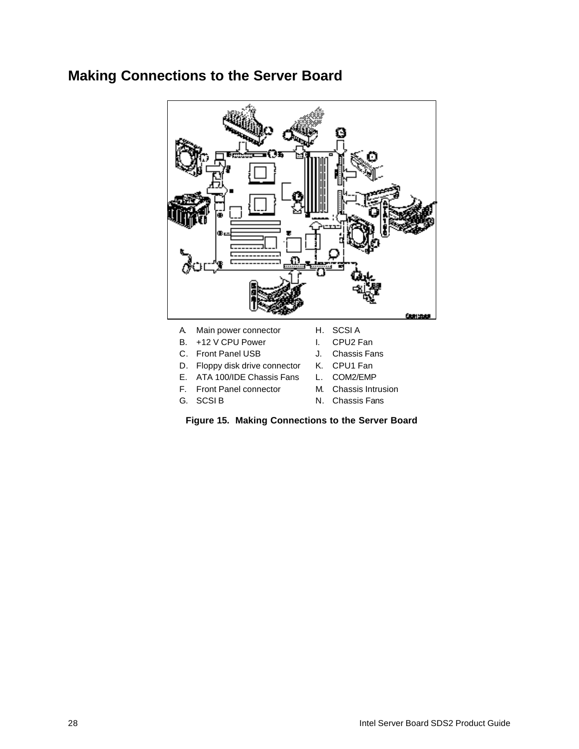## **Making Connections to the Server Board**



**Figure 15. Making Connections to the Server Board**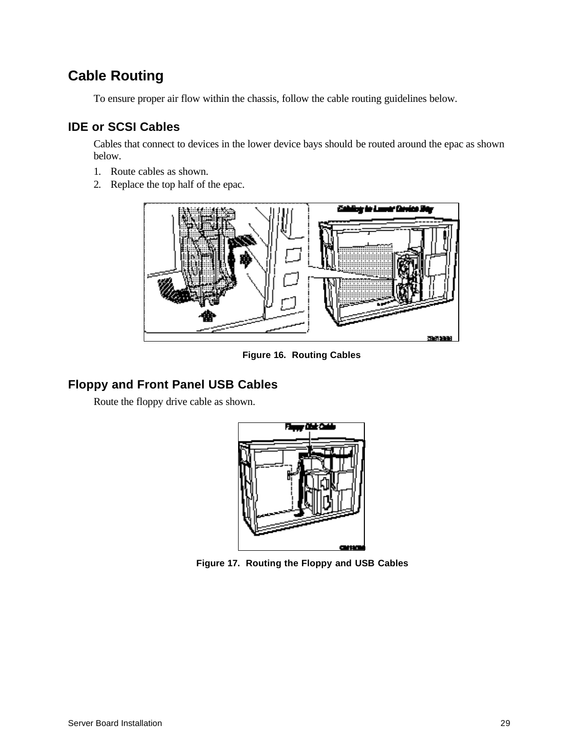### **Cable Routing**

To ensure proper air flow within the chassis, follow the cable routing guidelines below.

### **IDE or SCSI Cables**

Cables that connect to devices in the lower device bays should be routed around the epac as shown below.

- 1. Route cables as shown.
- 2. Replace the top half of the epac.



**Figure 16. Routing Cables**

### **Floppy and Front Panel USB Cables**

Route the floppy drive cable as shown.



**Figure 17. Routing the Floppy and USB Cables**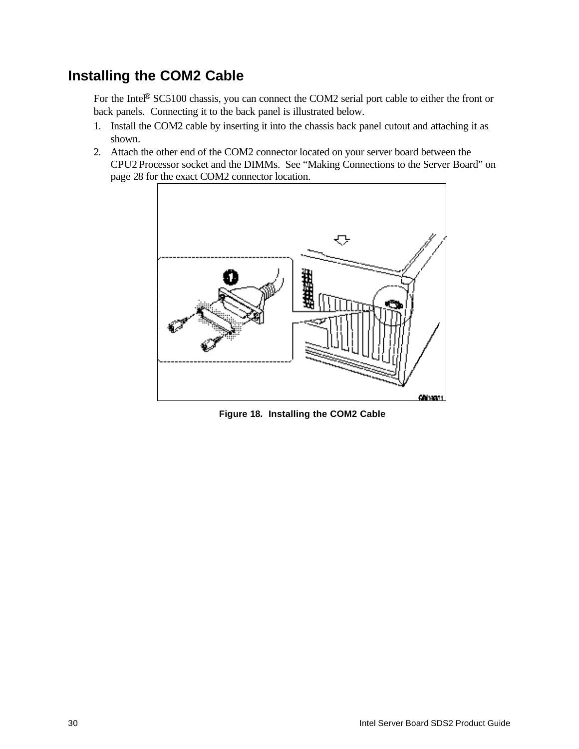### **Installing the COM2 Cable**

For the Intel® SC5100 chassis, you can connect the COM2 serial port cable to either the front or back panels. Connecting it to the back panel is illustrated below.

- 1. Install the COM2 cable by inserting it into the chassis back panel cutout and attaching it as shown.
- 2. Attach the other end of the COM2 connector located on your server board between the CPU2 Processor socket and the DIMMs. See "Making Connections to the Server Board" on page 28 for the exact COM2 connector location.



**Figure 18. Installing the COM2 Cable**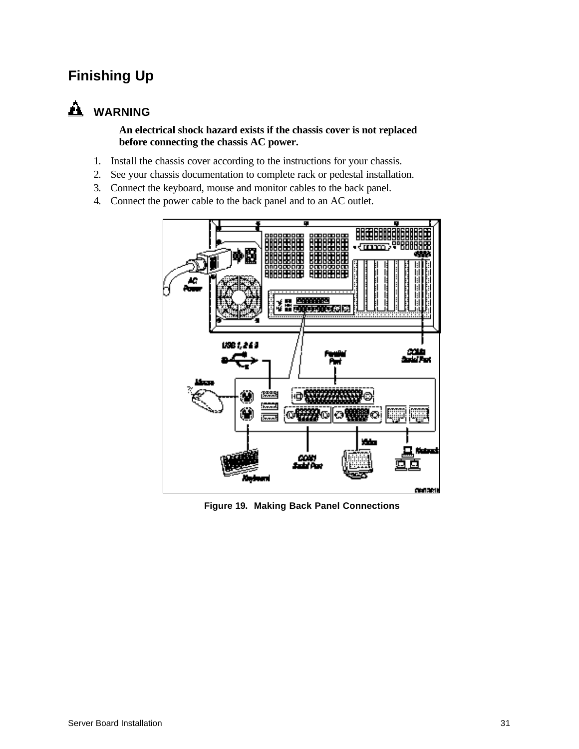# **Finishing Up**

# **A** WARNING

**An electrical shock hazard exists if the chassis cover is not replaced before connecting the chassis AC power.**

- 1. Install the chassis cover according to the instructions for your chassis.
- 2. See your chassis documentation to complete rack or pedestal installation.
- 3. Connect the keyboard, mouse and monitor cables to the back panel.
- 4. Connect the power cable to the back panel and to an AC outlet.



**Figure 19. Making Back Panel Connections**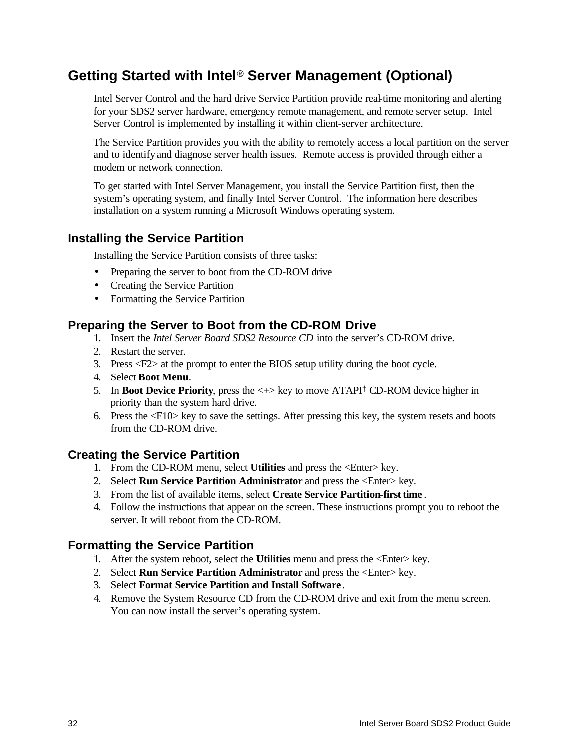# **Getting Started with Intel**® **Server Management (Optional)**

Intel Server Control and the hard drive Service Partition provide real-time monitoring and alerting for your SDS2 server hardware, emergency remote management, and remote server setup. Intel Server Control is implemented by installing it within client-server architecture.

The Service Partition provides you with the ability to remotely access a local partition on the server and to identify and diagnose server health issues. Remote access is provided through either a modem or network connection.

To get started with Intel Server Management, you install the Service Partition first, then the system's operating system, and finally Intel Server Control. The information here describes installation on a system running a Microsoft Windows operating system.

### **Installing the Service Partition**

Installing the Service Partition consists of three tasks:

- Preparing the server to boot from the CD-ROM drive
- Creating the Service Partition
- Formatting the Service Partition

### **Preparing the Server to Boot from the CD-ROM Drive**

- 1. Insert the *Intel Server Board SDS2 Resource CD* into the server's CD-ROM drive.
- 2. Restart the server.
- 3. Press <F2> at the prompt to enter the BIOS setup utility during the boot cycle.
- 4. Select **Boot Menu**.
- 5. In **Boot Device Priority**, press the <+> key to move ATAPI† CD-ROM device higher in priority than the system hard drive.
- 6. Press the <F10> key to save the settings. After pressing this key, the system resets and boots from the CD-ROM drive.

### **Creating the Service Partition**

- 1. From the CD-ROM menu, select **Utilities** and press the <Enter> key.
- 2. Select **Run Service Partition Administrator** and press the <Enter> key.
- 3. From the list of available items, select **Create Service Partition-first time** .
- 4. Follow the instructions that appear on the screen. These instructions prompt you to reboot the server. It will reboot from the CD-ROM.

### **Formatting the Service Partition**

- 1. After the system reboot, select the **Utilities** menu and press the <Enter> key.
- 2. Select **Run Service Partition Administrator** and press the <Enter> key.
- 3. Select **Format Service Partition and Install Software** .
- 4. Remove the System Resource CD from the CD-ROM drive and exit from the menu screen. You can now install the server's operating system.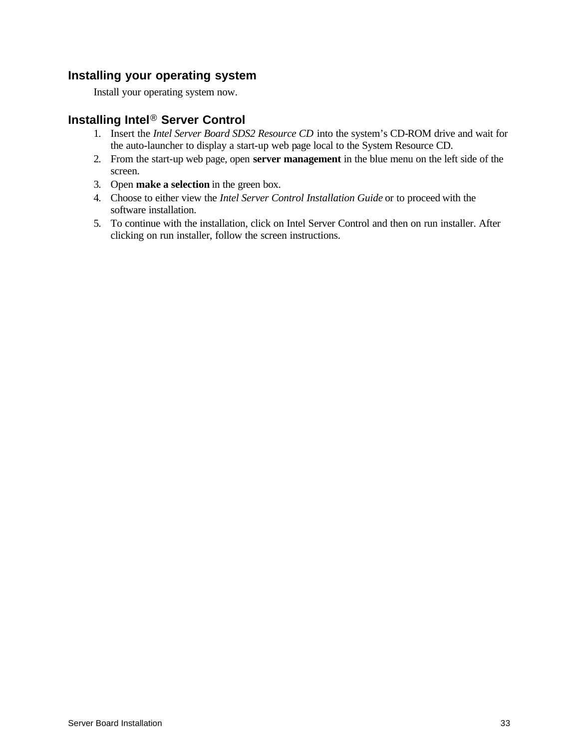### **Installing your operating system**

Install your operating system now.

### **Installing Intel**® **Server Control**

- 1. Insert the *Intel Server Board SDS2 Resource CD* into the system's CD-ROM drive and wait for the auto-launcher to display a start-up web page local to the System Resource CD.
- 2. From the start-up web page, open **server management** in the blue menu on the left side of the screen.
- 3. Open **make a selection** in the green box.
- 4. Choose to either view the *Intel Server Control Installation Guide* or to proceed with the software installation.
- 5. To continue with the installation, click on Intel Server Control and then on run installer. After clicking on run installer, follow the screen instructions.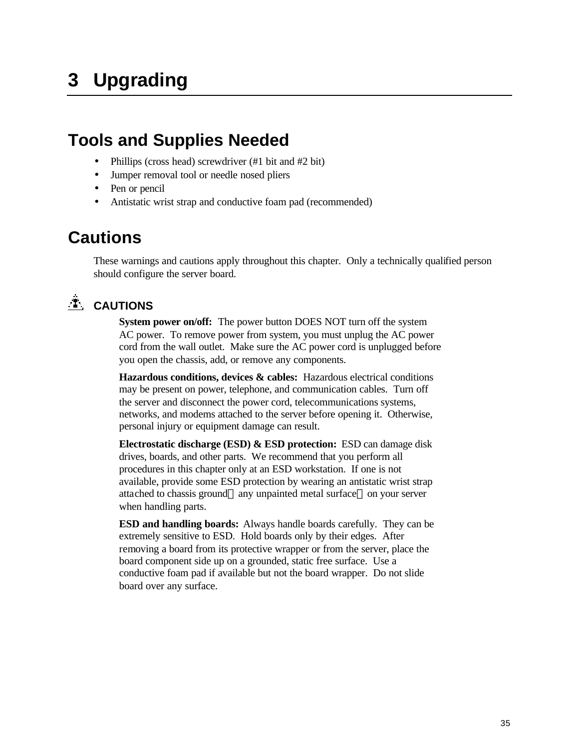# **Tools and Supplies Needed**

- Phillips (cross head) screwdriver (#1 bit and #2 bit)
- Jumper removal tool or needle nosed pliers
- Pen or pencil
- Antistatic wrist strap and conductive foam pad (recommended)

# **Cautions**

These warnings and cautions apply throughout this chapter. Only a technically qualified person should configure the server board.

# **E** CAUTIONS

**System power on/off:** The power button DOES NOT turn off the system AC power. To remove power from system, you must unplug the AC power cord from the wall outlet. Make sure the AC power cord is unplugged before you open the chassis, add, or remove any components.

**Hazardous conditions, devices & cables:** Hazardous electrical conditions may be present on power, telephone, and communication cables. Turn off the server and disconnect the power cord, telecommunications systems, networks, and modems attached to the server before opening it. Otherwise, personal injury or equipment damage can result.

**Electrostatic discharge (ESD) & ESD protection:** ESD can damage disk drives, boards, and other parts. We recommend that you perform all procedures in this chapter only at an ESD workstation. If one is not available, provide some ESD protection by wearing an antistatic wrist strap attached to chassis ground—any unpainted metal surface—on your server when handling parts.

**ESD and handling boards:** Always handle boards carefully. They can be extremely sensitive to ESD. Hold boards only by their edges. After removing a board from its protective wrapper or from the server, place the board component side up on a grounded, static free surface. Use a conductive foam pad if available but not the board wrapper. Do not slide board over any surface.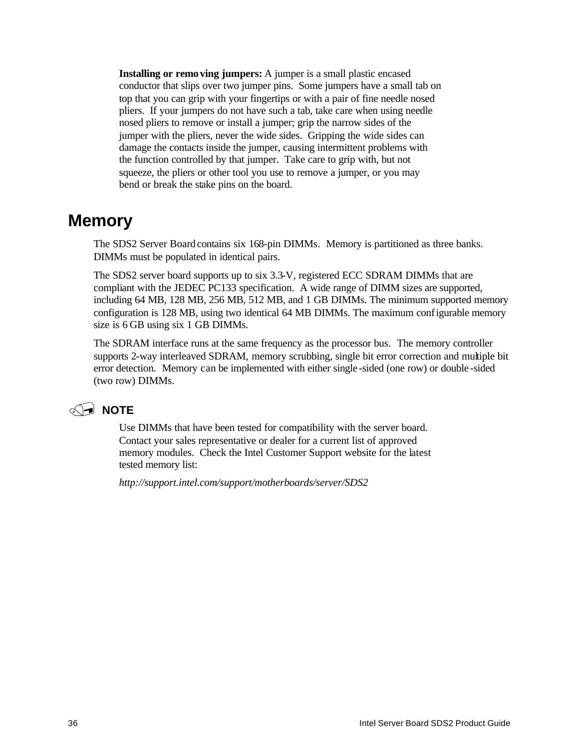**Installing or removing jumpers:** A jumper is a small plastic encased conductor that slips over two jumper pins. Some jumpers have a small tab on top that you can grip with your fingertips or with a pair of fine needle nosed pliers. If your jumpers do not have such a tab, take care when using needle nosed pliers to remove or install a jumper; grip the narrow sides of the jumper with the pliers, never the wide sides. Gripping the wide sides can damage the contacts inside the jumper, causing intermittent problems with the function controlled by that jumper. Take care to grip with, but not squeeze, the pliers or other tool you use to remove a jumper, or you may bend or break the stake pins on the board.

# **Memory**

The SDS2 Server Board contains six 168-pin DIMMs. Memory is partitioned as three banks. DIMMs must be populated in identical pairs.

The SDS2 server board supports up to six 3.3-V, registered ECC SDRAM DIMMs that are compliant with the JEDEC PC133 specification. A wide range of DIMM sizes are supported, including 64 MB, 128 MB, 256 MB, 512 MB, and 1 GB DIMMs. The minimum supported memory configuration is 128 MB, using two identical 64 MB DIMMs. The maximum configurable memory size is 6 GB using six 1 GB DIMMs.

The SDRAM interface runs at the same frequency as the processor bus. The memory controller supports 2-way interleaved SDRAM, memory scrubbing, single bit error correction and multiple bit error detection. Memory can be implemented with either single -sided (one row) or double -sided (two row) DIMMs.

# / **NOTE**

Use DIMMs that have been tested for compatibility with the server board. Contact your sales representative or dealer for a current list of approved memory modules. Check the Intel Customer Support website for the latest tested memory list:

*http://support.intel.com/support/motherboards/server/SDS2*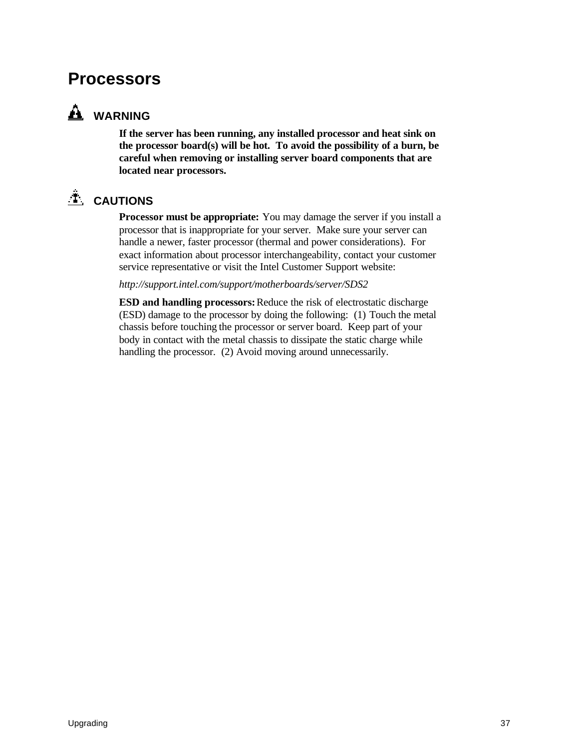# **Processors**

# **A** WARNING

**If the server has been running, any installed processor and heat sink on the processor board(s) will be hot. To avoid the possibility of a burn, be careful when removing or installing server board components that are located near processors.**

# *L* CAUTIONS

**Processor must be appropriate:** You may damage the server if you install a processor that is inappropriate for your server. Make sure your server can handle a newer, faster processor (thermal and power considerations). For exact information about processor interchangeability, contact your customer service representative or visit the Intel Customer Support website:

#### *http://support.intel.com/support/motherboards/server/SDS2*

**ESD and handling processors:**Reduce the risk of electrostatic discharge (ESD) damage to the processor by doing the following: (1) Touch the metal chassis before touching the processor or server board. Keep part of your body in contact with the metal chassis to dissipate the static charge while handling the processor. (2) Avoid moving around unnecessarily.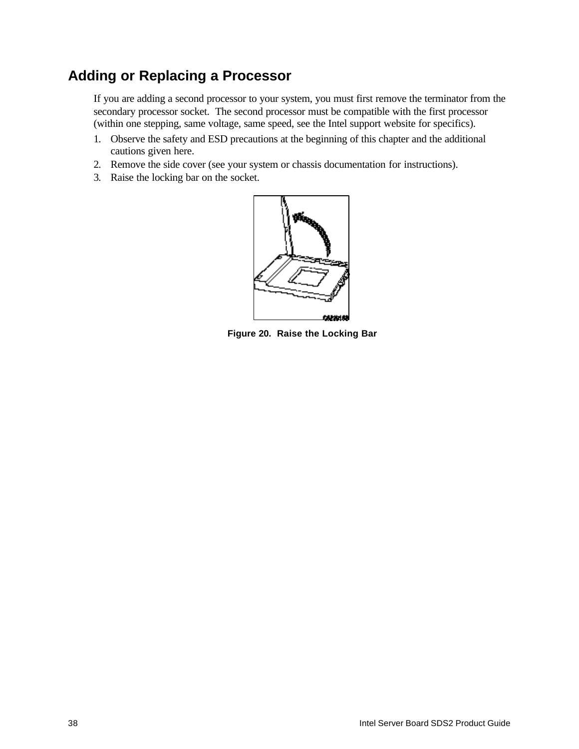## **Adding or Replacing a Processor**

If you are adding a second processor to your system, you must first remove the terminator from the secondary processor socket. The second processor must be compatible with the first processor (within one stepping, same voltage, same speed, see the Intel support website for specifics).

- 1. Observe the safety and ESD precautions at the beginning of this chapter and the additional cautions given here.
- 2. Remove the side cover (see your system or chassis documentation for instructions).
- 3. Raise the locking bar on the socket.



**Figure 20. Raise the Locking Bar**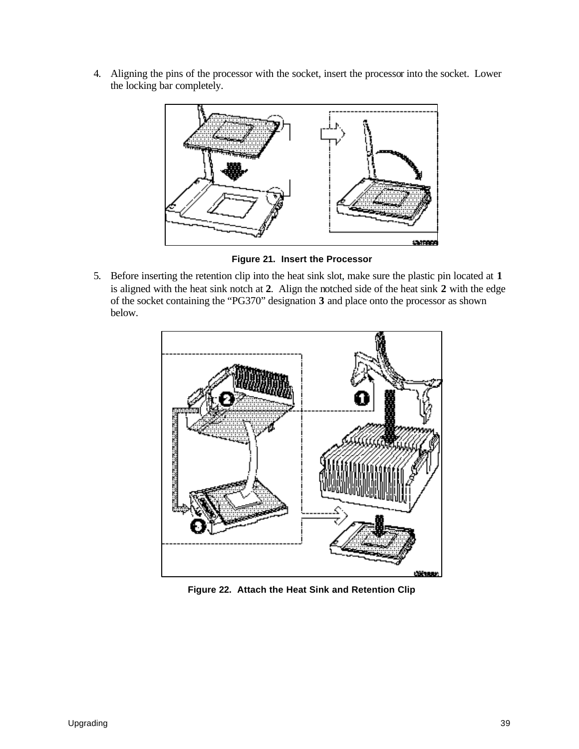4. Aligning the pins of the processor with the socket, insert the processor into the socket. Lower the locking bar completely.



**Figure 21. Insert the Processor**

5. Before inserting the retention clip into the heat sink slot, make sure the plastic pin located at **1** is aligned with the heat sink notch at **2**. Align the notched side of the heat sink **2** with the edge of the socket containing the "PG370" designation **3** and place onto the processor as shown below.



**Figure 22. Attach the Heat Sink and Retention Clip**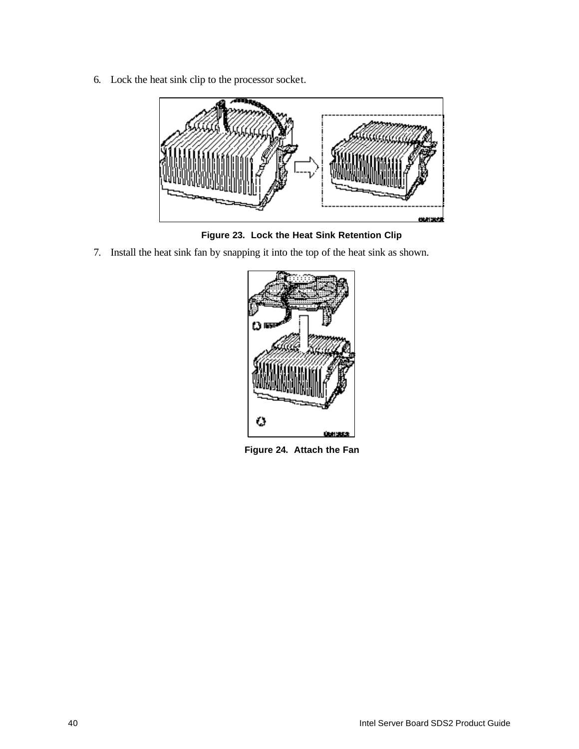6. Lock the heat sink clip to the processor socket.



**Figure 23. Lock the Heat Sink Retention Clip**

7. Install the heat sink fan by snapping it into the top of the heat sink as shown.



**Figure 24. Attach the Fan**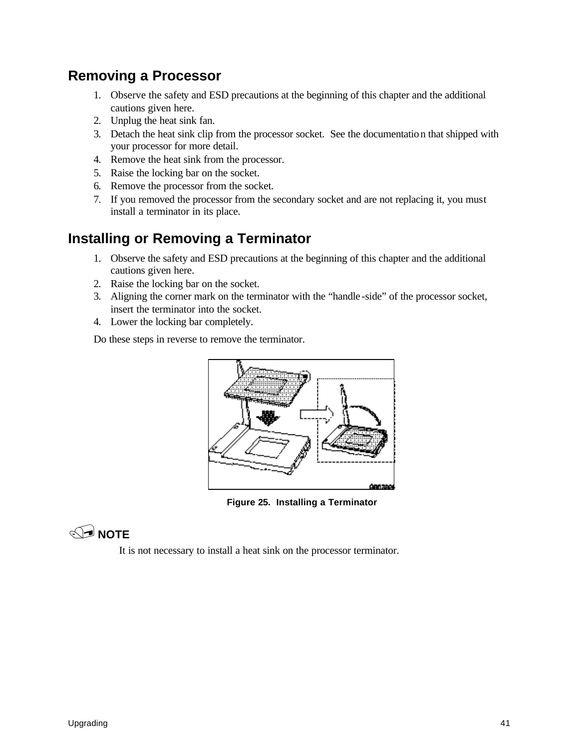# **Removing a Processor**

- 1. Observe the safety and ESD precautions at the beginning of this chapter and the additional cautions given here.
- 2. Unplug the heat sink fan.
- 3. Detach the heat sink clip from the processor socket. See the documentation that shipped with your processor for more detail.
- 4. Remove the heat sink from the processor.
- 5. Raise the locking bar on the socket.
- 6. Remove the processor from the socket.
- 7. If you removed the processor from the secondary socket and are not replacing it, you must install a terminator in its place.

# **Installing or Removing a Terminator**

- 1. Observe the safety and ESD precautions at the beginning of this chapter and the additional cautions given here.
- 2. Raise the locking bar on the socket.
- 3. Aligning the corner mark on the terminator with the "handle -side" of the processor socket, insert the terminator into the socket.
- 4. Lower the locking bar completely.

Do these steps in reverse to remove the terminator.



**Figure 25. Installing a Terminator**

# /**NOTE**

It is not necessary to install a heat sink on the processor terminator.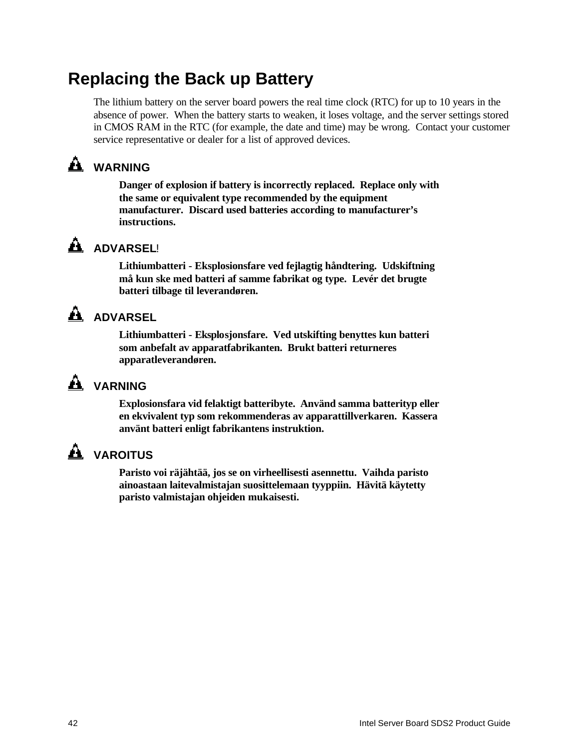# **Replacing the Back up Battery**

The lithium battery on the server board powers the real time clock (RTC) for up to 10 years in the absence of power. When the battery starts to weaken, it loses voltage, and the server settings stored in CMOS RAM in the RTC (for example, the date and time) may be wrong. Contact your customer service representative or dealer for a list of approved devices.

# **A** WARNING

**Danger of explosion if battery is incorrectly replaced. Replace only with the same or equivalent type recommended by the equipment manufacturer. Discard used batteries according to manufacturer's instructions.**

# **A** ADVARSEL!

**Lithiumbatteri - Eksplosionsfare ved fejlagtig håndtering. Udskiftning må kun ske med batteri af samme fabrikat og type. Levér det brugte batteri tilbage til leverandøren.**

# **A** ADVARSEL

**Lithiumbatteri - Eksplosjonsfare. Ved utskifting benyttes kun batteri som anbefalt av apparatfabrikanten. Brukt batteri returneres apparatleverandøren.**

# **A VARNING**

**Explosionsfara vid felaktigt batteribyte. Använd samma batterityp eller en ekvivalent typ som rekommenderas av apparattillverkaren. Kassera använt batteri enligt fabrikantens instruktion.**

# **A** VAROITUS

**Paristo voi räjähtää, jos se on virheellisesti asennettu. Vaihda paristo ainoastaan laitevalmistajan suosittelemaan tyyppiin. Hävitä käytetty paristo valmistajan ohjeiden mukaisesti.**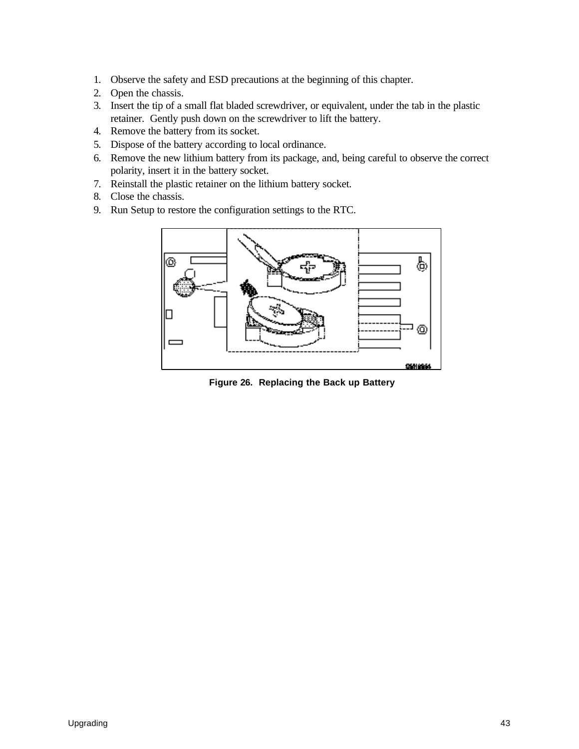- 1. Observe the safety and ESD precautions at the beginning of this chapter.
- 2. Open the chassis.
- 3. Insert the tip of a small flat bladed screwdriver, or equivalent, under the tab in the plastic retainer. Gently push down on the screwdriver to lift the battery.
- 4. Remove the battery from its socket.
- 5. Dispose of the battery according to local ordinance.
- 6. Remove the new lithium battery from its package, and, being careful to observe the correct polarity, insert it in the battery socket.
- 7. Reinstall the plastic retainer on the lithium battery socket.
- 8. Close the chassis.
- 9. Run Setup to restore the configuration settings to the RTC.



**Figure 26. Replacing the Back up Battery**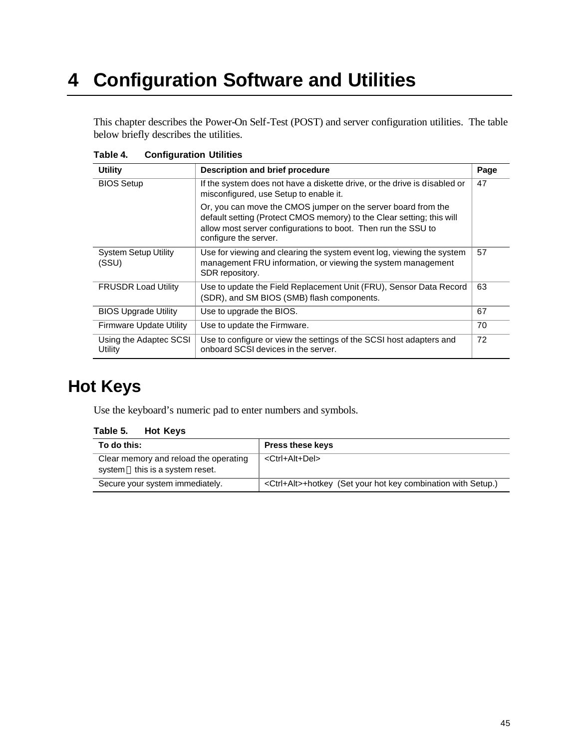# **4 Configuration Software and Utilities**

This chapter describes the Power-On Self-Test (POST) and server configuration utilities. The table below briefly describes the utilities.

| <b>Utility</b>                       | Description and brief procedure                                                                                                                                                                                                  |    |  |
|--------------------------------------|----------------------------------------------------------------------------------------------------------------------------------------------------------------------------------------------------------------------------------|----|--|
| <b>BIOS Setup</b>                    | If the system does not have a diskette drive, or the drive is disabled or<br>misconfigured, use Setup to enable it.                                                                                                              | 47 |  |
|                                      | Or, you can move the CMOS jumper on the server board from the<br>default setting (Protect CMOS memory) to the Clear setting; this will<br>allow most server configurations to boot. Then run the SSU to<br>configure the server. |    |  |
| <b>System Setup Utility</b><br>(SSU) | Use for viewing and clearing the system event log, viewing the system<br>management FRU information, or viewing the system management<br>SDR repository.                                                                         | 57 |  |
| <b>FRUSDR Load Utility</b>           | Use to update the Field Replacement Unit (FRU), Sensor Data Record<br>(SDR), and SM BIOS (SMB) flash components.                                                                                                                 | 63 |  |
| <b>BIOS Upgrade Utility</b>          | Use to upgrade the BIOS.                                                                                                                                                                                                         | 67 |  |
| Firmware Update Utility              | Use to update the Firmware.                                                                                                                                                                                                      | 70 |  |
| Using the Adaptec SCSI<br>Utility    | Use to configure or view the settings of the SCSI host adapters and<br>onboard SCSI devices in the server.                                                                                                                       | 72 |  |

**Table 4. Configuration Utilities**

# **Hot Keys**

Use the keyboard's numeric pad to enter numbers and symbols.

| Table 5. |  | <b>Hot Keys</b> |
|----------|--|-----------------|
|----------|--|-----------------|

| To do this:                                                             | <b>Press these keys</b>                                                 |
|-------------------------------------------------------------------------|-------------------------------------------------------------------------|
| Clear memory and reload the operating<br>system—this is a system reset. | <ctrl+alt+del></ctrl+alt+del>                                           |
| Secure your system immediately.                                         | <ctrl+alt>+hotkey (Set your hot key combination with Setup.)</ctrl+alt> |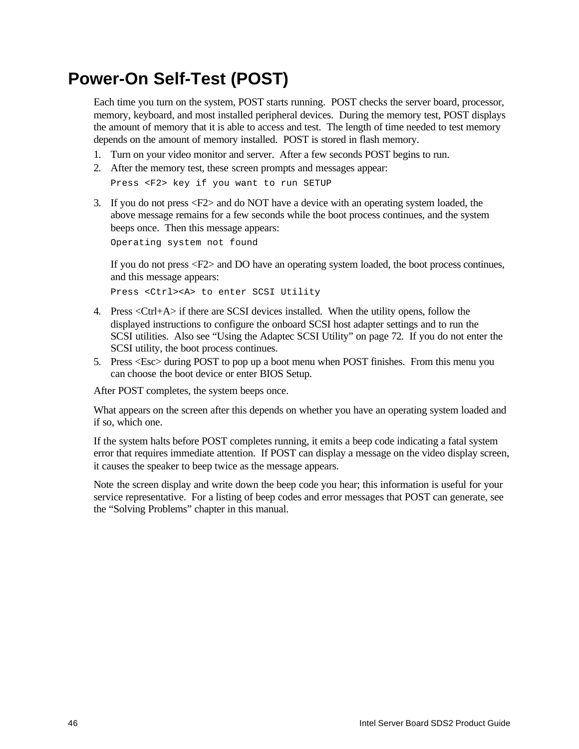# **Power-On Self-Test (POST)**

Each time you turn on the system, POST starts running. POST checks the server board, processor, memory, keyboard, and most installed peripheral devices. During the memory test, POST displays the amount of memory that it is able to access and test. The length of time needed to test memory depends on the amount of memory installed. POST is stored in flash memory.

- 1. Turn on your video monitor and server. After a few seconds POST begins to run.
- 2. After the memory test, these screen prompts and messages appear:
	- Press <F2> key if you want to run SETUP
- 3. If you do not press <F2> and do NOT have a device with an operating system loaded, the above message remains for a few seconds while the boot process continues, and the system beeps once. Then this message appears:

Operating system not found

If you do not press <F2> and DO have an operating system loaded, the boot process continues, and this message appears:

Press <Ctrl><A> to enter SCSI Utility

- 4. Press <Ctrl+A> if there are SCSI devices installed. When the utility opens, follow the displayed instructions to configure the onboard SCSI host adapter settings and to run the SCSI utilities. Also see "Using the Adaptec SCSI Utility" on page 72. If you do not enter the SCSI utility, the boot process continues.
- 5. Press <Esc> during POST to pop up a boot menu when POST finishes. From this menu you can choose the boot device or enter BIOS Setup.

After POST completes, the system beeps once.

What appears on the screen after this depends on whether you have an operating system loaded and if so, which one.

If the system halts before POST completes running, it emits a beep code indicating a fatal system error that requires immediate attention. If POST can display a message on the video display screen, it causes the speaker to beep twice as the message appears.

Note the screen display and write down the beep code you hear; this information is useful for your service representative. For a listing of beep codes and error messages that POST can generate, see the "Solving Problems" chapter in this manual.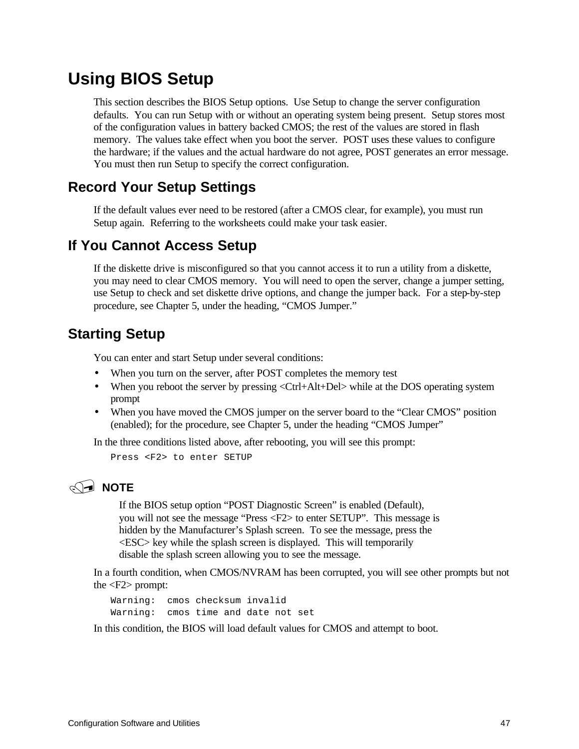# **Using BIOS Setup**

This section describes the BIOS Setup options. Use Setup to change the server configuration defaults. You can run Setup with or without an operating system being present. Setup stores most of the configuration values in battery backed CMOS; the rest of the values are stored in flash memory. The values take effect when you boot the server. POST uses these values to configure the hardware; if the values and the actual hardware do not agree, POST generates an error message. You must then run Setup to specify the correct configuration.

### **Record Your Setup Settings**

If the default values ever need to be restored (after a CMOS clear, for example), you must run Setup again. Referring to the worksheets could make your task easier.

### **If You Cannot Access Setup**

If the diskette drive is misconfigured so that you cannot access it to run a utility from a diskette, you may need to clear CMOS memory. You will need to open the server, change a jumper setting, use Setup to check and set diskette drive options, and change the jumper back. For a step-by-step procedure, see Chapter 5, under the heading, "CMOS Jumper."

## **Starting Setup**

You can enter and start Setup under several conditions:

- When you turn on the server, after POST completes the memory test
- When you reboot the server by pressing <Ctrl+Alt+Del> while at the DOS operating system prompt
- When you have moved the CMOS jumper on the server board to the "Clear CMOS" position (enabled); for the procedure, see Chapter 5, under the heading "CMOS Jumper"

In the three conditions listed above, after rebooting, you will see this prompt:

```
Press <F2> to enter SETUP
```
## / **NOTE**

If the BIOS setup option "POST Diagnostic Screen" is enabled (Default), you will not see the message "Press <F2> to enter SETUP". This message is hidden by the Manufacturer's Splash screen. To see the message, press the <ESC> key while the splash screen is displayed. This will temporarily disable the splash screen allowing you to see the message.

In a fourth condition, when CMOS/NVRAM has been corrupted, you will see other prompts but not the <F2> prompt:

Warning: cmos checksum invalid Warning: cmos time and date not set

In this condition, the BIOS will load default values for CMOS and attempt to boot.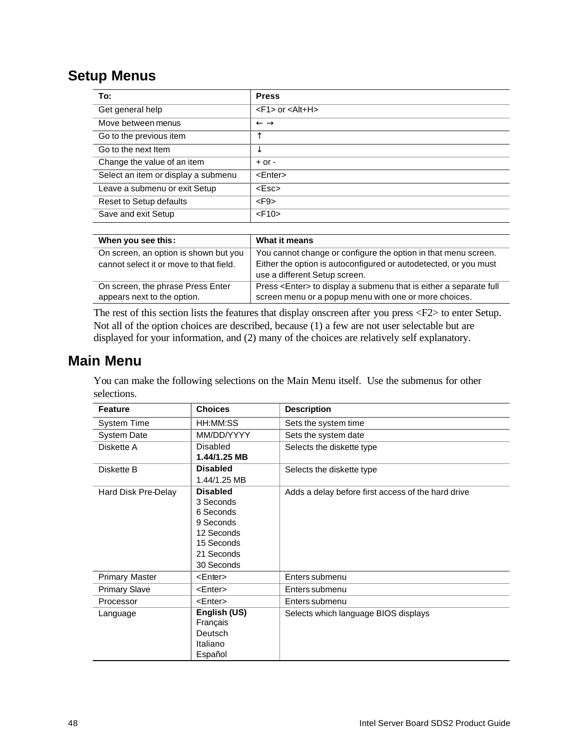## **Setup Menus**

| To:                                 | <b>Press</b>               |
|-------------------------------------|----------------------------|
| Get general help                    | $<$ F1 > or $<$ Alt+H >    |
| Move between menus                  | $\leftarrow$ $\rightarrow$ |
| Go to the previous item             |                            |
| Go to the next Item                 | ◡                          |
| Change the value of an item         | $+$ or $-$                 |
| Select an item or display a submenu | <enter></enter>            |
| Leave a submenu or exit Setup       | $<$ Esc $>$                |
| Reset to Setup defaults             | $<$ F9 $>$                 |
| Save and exit Setup                 | $<$ F10 $>$                |

| When you see this:                                                               | What it means                                                                                                                                                       |
|----------------------------------------------------------------------------------|---------------------------------------------------------------------------------------------------------------------------------------------------------------------|
| On screen, an option is shown but you<br>cannot select it or move to that field. | You cannot change or configure the option in that menu screen.<br>Either the option is autoconfigured or autodetected, or you must<br>use a different Setup screen. |
| On screen, the phrase Press Enter<br>appears next to the option.                 | Press <enter> to display a submenu that is either a separate full<br/>screen menu or a popup menu with one or more choices.</enter>                                 |

The rest of this section lists the features that display onscreen after you press <F2> to enter Setup. Not all of the option choices are described, because (1) a few are not user selectable but are displayed for your information, and (2) many of the choices are relatively self explanatory.

## **Main Menu**

You can make the following selections on the Main Menu itself. Use the submenus for other selections.

| <b>Feature</b>        | <b>Choices</b>  | <b>Description</b>                                 |
|-----------------------|-----------------|----------------------------------------------------|
| <b>System Time</b>    | HH:MM:SS        | Sets the system time                               |
| <b>System Date</b>    | MM/DD/YYYY      | Sets the system date                               |
| Diskette A            | <b>Disabled</b> | Selects the diskette type                          |
|                       | 1.44/1.25 MB    |                                                    |
| Diskette B            | <b>Disabled</b> | Selects the diskette type                          |
|                       | 1.44/1.25 MB    |                                                    |
| Hard Disk Pre-Delay   | <b>Disabled</b> | Adds a delay before first access of the hard drive |
|                       | 3 Seconds       |                                                    |
|                       | 6 Seconds       |                                                    |
|                       | 9 Seconds       |                                                    |
|                       | 12 Seconds      |                                                    |
|                       | 15 Seconds      |                                                    |
|                       | 21 Seconds      |                                                    |
|                       | 30 Seconds      |                                                    |
| <b>Primary Master</b> | <enter></enter> | Enters submenu                                     |
| <b>Primary Slave</b>  | <enter></enter> | Enters submenu                                     |
| Processor             | <enter></enter> | Enters submenu                                     |
| Language              | English (US)    | Selects which language BIOS displays               |
|                       | Français        |                                                    |
|                       | Deutsch         |                                                    |
|                       | Italiano        |                                                    |
|                       | Español         |                                                    |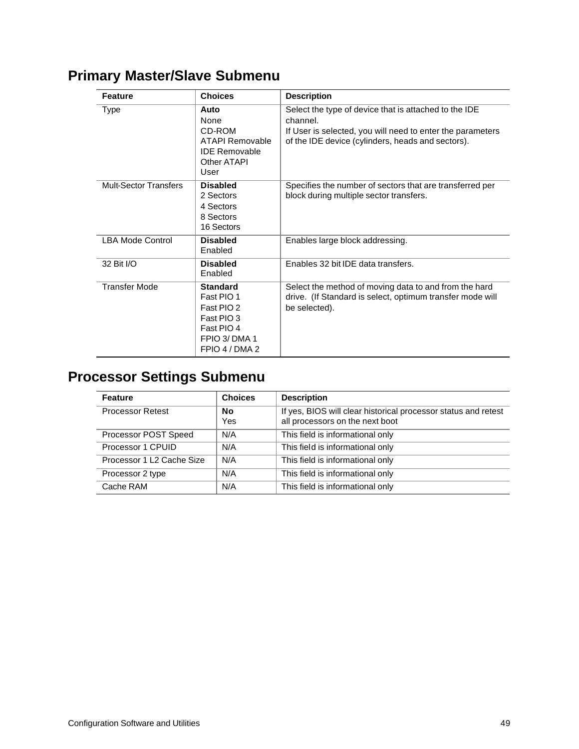| <b>Feature</b>               | <b>Choices</b>                                                                                            | <b>Description</b>                                                                                                                                                                   |
|------------------------------|-----------------------------------------------------------------------------------------------------------|--------------------------------------------------------------------------------------------------------------------------------------------------------------------------------------|
| <b>Type</b>                  | Auto<br>None<br>CD-ROM<br>ATAPI Removable<br><b>IDE Removable</b><br>Other ATAPI<br>User                  | Select the type of device that is attached to the IDE<br>channel.<br>If User is selected, you will need to enter the parameters<br>of the IDE device (cylinders, heads and sectors). |
| <b>Mult-Sector Transfers</b> | <b>Disabled</b><br>2 Sectors<br>4 Sectors<br>8 Sectors<br>16 Sectors                                      | Specifies the number of sectors that are transferred per<br>block during multiple sector transfers.                                                                                  |
| <b>LBA Mode Control</b>      | <b>Disabled</b><br>Enabled                                                                                | Enables large block addressing.                                                                                                                                                      |
| 32 Bit I/O                   | <b>Disabled</b><br>Enabled                                                                                | Enables 32 bit IDE data transfers.                                                                                                                                                   |
| <b>Transfer Mode</b>         | <b>Standard</b><br>Fast PIO 1<br>Fast PIO 2<br>Fast PIO 3<br>Fast PIO 4<br>FPIO 3/DMA 1<br>FPIO 4 / DMA 2 | Select the method of moving data to and from the hard<br>drive. (If Standard is select, optimum transfer mode will<br>be selected).                                                  |

# **Primary Master/Slave Submenu**

# **Processor Settings Submenu**

| <b>Feature</b>            | <b>Choices</b>   | <b>Description</b>                                                                                |
|---------------------------|------------------|---------------------------------------------------------------------------------------------------|
| <b>Processor Retest</b>   | <b>No</b><br>Yes | If yes, BIOS will clear historical processor status and retest<br>all processors on the next boot |
| Processor POST Speed      | N/A              | This field is informational only                                                                  |
| Processor 1 CPUID         | N/A              | This field is informational only                                                                  |
| Processor 1 L2 Cache Size | N/A              | This field is informational only                                                                  |
| Processor 2 type          | N/A              | This field is informational only                                                                  |
| Cache RAM                 | N/A              | This field is informational only                                                                  |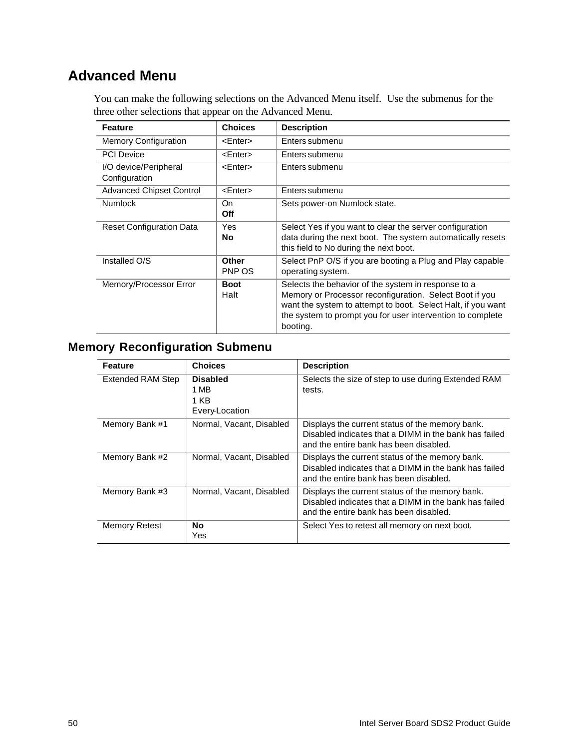# **Advanced Menu**

You can make the following selections on the Advanced Menu itself. Use the submenus for the three other selections that appear on the Advanced Menu.

| <b>Feature</b>                         | <b>Choices</b>         | <b>Description</b>                                                                                                                                                                                                                                       |
|----------------------------------------|------------------------|----------------------------------------------------------------------------------------------------------------------------------------------------------------------------------------------------------------------------------------------------------|
| <b>Memory Configuration</b>            | <enter></enter>        | Enters submenu                                                                                                                                                                                                                                           |
| <b>PCI Device</b>                      | <enter></enter>        | Enters submenu                                                                                                                                                                                                                                           |
| I/O device/Peripheral<br>Configuration | <enter></enter>        | Enters submenu                                                                                                                                                                                                                                           |
| <b>Advanced Chipset Control</b>        | <enter></enter>        | Enters submenu                                                                                                                                                                                                                                           |
| <b>Numlock</b>                         | On<br>Off              | Sets power-on Numlock state.                                                                                                                                                                                                                             |
| <b>Reset Configuration Data</b>        | Yes<br>No              | Select Yes if you want to clear the server configuration<br>data during the next boot. The system automatically resets<br>this field to No during the next boot.                                                                                         |
| Installed O/S                          | <b>Other</b><br>PNP OS | Select PnP O/S if you are booting a Plug and Play capable<br>operating system.                                                                                                                                                                           |
| Memory/Processor Error                 | <b>Boot</b><br>Halt    | Selects the behavior of the system in response to a<br>Memory or Processor reconfiguration. Select Boot if you<br>want the system to attempt to boot. Select Halt, if you want<br>the system to prompt you for user intervention to complete<br>booting. |

### **Memory Reconfiguration Submenu**

| <b>Feature</b>       | <b>Choices</b>                                    | <b>Description</b>                                                                                                                                 |
|----------------------|---------------------------------------------------|----------------------------------------------------------------------------------------------------------------------------------------------------|
| Extended RAM Step    | <b>Disabled</b><br>1 MB<br>1 KB<br>Every-Location | Selects the size of step to use during Extended RAM<br>tests.                                                                                      |
| Memory Bank #1       | Normal, Vacant, Disabled                          | Displays the current status of the memory bank.<br>Disabled indicates that a DIMM in the bank has failed<br>and the entire bank has been disabled. |
| Memory Bank #2       | Normal, Vacant, Disabled                          | Displays the current status of the memory bank.<br>Disabled indicates that a DIMM in the bank has failed<br>and the entire bank has been disabled. |
| Memory Bank #3       | Normal, Vacant, Disabled                          | Displays the current status of the memory bank.<br>Disabled indicates that a DIMM in the bank has failed<br>and the entire bank has been disabled. |
| <b>Memory Retest</b> | <b>No</b><br>Yes                                  | Select Yes to retest all memory on next boot.                                                                                                      |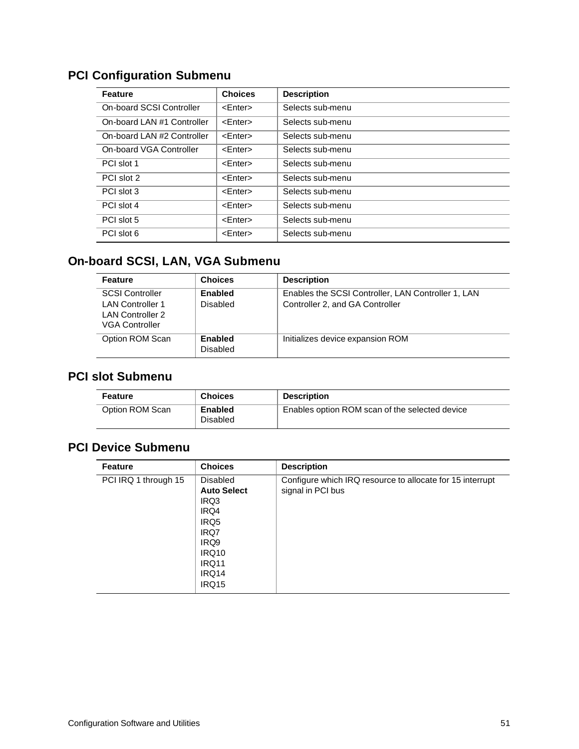# **PCI Configuration Submenu**

| <b>Feature</b>             | <b>Choices</b>  | <b>Description</b> |
|----------------------------|-----------------|--------------------|
| On-board SCSI Controller   | <enter></enter> | Selects sub-menu   |
| On-board LAN #1 Controller | <enter></enter> | Selects sub-menu   |
| On-board LAN #2 Controller | <enter></enter> | Selects sub-menu   |
| On-board VGA Controller    | <enter></enter> | Selects sub-menu   |
| PCI slot 1                 | <enter></enter> | Selects sub-menu   |
| PCI slot 2                 | <enter></enter> | Selects sub-menu   |
| PCI slot 3                 | <enter></enter> | Selects sub-menu   |
| PCI slot 4                 | <enter></enter> | Selects sub-menu   |
| PCI slot 5                 | <enter></enter> | Selects sub-menu   |
| PCI slot 6                 | <enter></enter> | Selects sub-menu   |

## **On-board SCSI, LAN, VGA Submenu**

| <b>Feature</b>                                                                                 | <b>Choices</b>             | <b>Description</b>                                                                    |
|------------------------------------------------------------------------------------------------|----------------------------|---------------------------------------------------------------------------------------|
| <b>SCSI Controller</b><br><b>LAN Controller 1</b><br>LAN Controller 2<br><b>VGA Controller</b> | Enabled<br>Disabled        | Enables the SCSI Controller, LAN Controller 1, LAN<br>Controller 2, and GA Controller |
| Option ROM Scan                                                                                | Enabled<br><b>Disabled</b> | Initializes device expansion ROM                                                      |

### **PCI slot Submenu**

| Feature         | <b>Choices</b>             | <b>Description</b>                             |
|-----------------|----------------------------|------------------------------------------------|
| Option ROM Scan | <b>Enabled</b><br>Disabled | Enables option ROM scan of the selected device |

### **PCI Device Submenu**

| <b>Feature</b>       | <b>Choices</b>     | <b>Description</b>                                        |
|----------------------|--------------------|-----------------------------------------------------------|
| PCI IRQ 1 through 15 | <b>Disabled</b>    | Configure which IRQ resource to allocate for 15 interrupt |
|                      | <b>Auto Select</b> | signal in PCI bus                                         |
|                      | IRQ3               |                                                           |
|                      | IRQ4               |                                                           |
|                      | IRQ5               |                                                           |
|                      | IRQ7               |                                                           |
|                      | IRQ9               |                                                           |
|                      | IRQ10              |                                                           |
|                      | IRQ11              |                                                           |
|                      | IRQ14              |                                                           |
|                      | IRQ15              |                                                           |
|                      |                    |                                                           |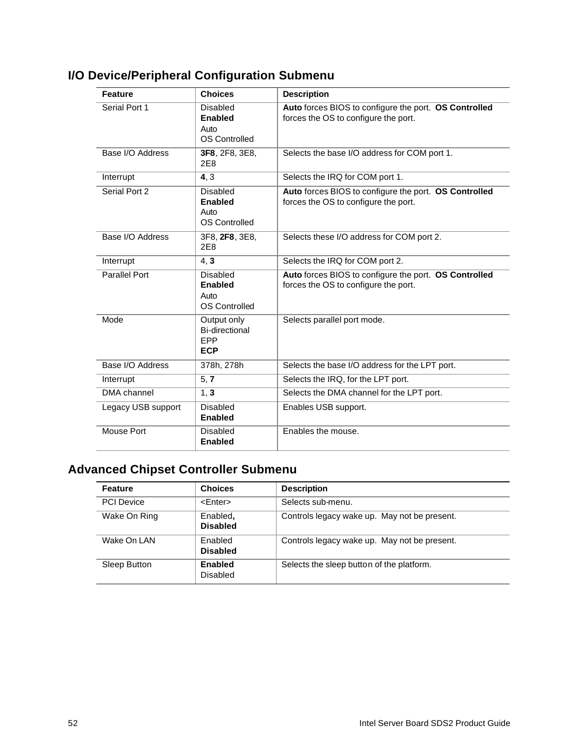| <b>Feature</b>       | <b>Choices</b>                                                   | <b>Description</b>                                                                            |
|----------------------|------------------------------------------------------------------|-----------------------------------------------------------------------------------------------|
| Serial Port 1        | <b>Disabled</b><br><b>Enabled</b><br>Auto<br>OS Controlled       | Auto forces BIOS to configure the port. OS Controlled<br>forces the OS to configure the port. |
| Base I/O Address     | 3F8, 2F8, 3E8,<br>2E8                                            | Selects the base I/O address for COM port 1.                                                  |
| Interrupt            | 4, 3                                                             | Selects the IRQ for COM port 1.                                                               |
| Serial Port 2        | Disabled<br><b>Enabled</b><br>Auto<br>OS Controlled              | Auto forces BIOS to configure the port. OS Controlled<br>forces the OS to configure the port. |
| Base I/O Address     | 3F8, 2F8, 3E8,<br>2E8                                            | Selects these I/O address for COM port 2.                                                     |
| Interrupt            | 4, 3                                                             | Selects the IRQ for COM port 2.                                                               |
| <b>Parallel Port</b> | <b>Disabled</b><br><b>Enabled</b><br>Auto<br>OS Controlled       | Auto forces BIOS to configure the port. OS Controlled<br>forces the OS to configure the port. |
| Mode                 | Output only<br><b>Bi-directional</b><br><b>EPP</b><br><b>ECP</b> | Selects parallel port mode.                                                                   |
| Base I/O Address     | 378h, 278h                                                       | Selects the base I/O address for the LPT port.                                                |
| Interrupt            | 5, 7                                                             | Selects the IRQ, for the LPT port.                                                            |
| DMA channel          | 1, 3                                                             | Selects the DMA channel for the LPT port.                                                     |
| Legacy USB support   | Disabled<br><b>Enabled</b>                                       | Enables USB support.                                                                          |
| Mouse Port           | Disabled<br><b>Enabled</b>                                       | Enables the mouse.                                                                            |

# **I/O Device/Peripheral Configuration Submenu**

# **Advanced Chipset Controller Submenu**

| <b>Feature</b>    | <b>Choices</b>              | <b>Description</b>                           |
|-------------------|-----------------------------|----------------------------------------------|
| <b>PCI Device</b> | <enter></enter>             | Selects sub-menu.                            |
| Wake On Ring      | Enabled,<br><b>Disabled</b> | Controls legacy wake up. May not be present. |
| Wake On LAN       | Enabled<br><b>Disabled</b>  | Controls legacy wake up. May not be present. |
| Sleep Button      | <b>Enabled</b><br>Disabled  | Selects the sleep button of the platform.    |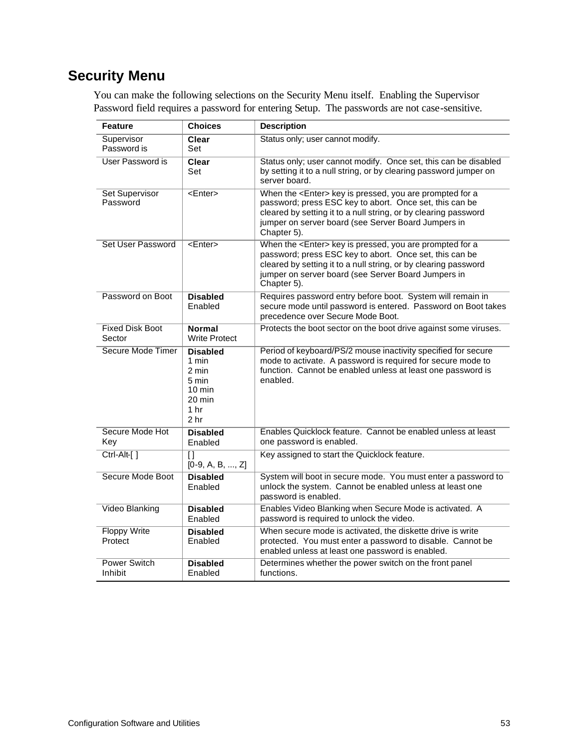# **Security Menu**

You can make the following selections on the Security Menu itself. Enabling the Supervisor Password field requires a password for entering Setup. The passwords are not case-sensitive.

| <b>Feature</b>                    | <b>Choices</b>                                                                                                           | <b>Description</b>                                                                                                                                                                                                                                                      |
|-----------------------------------|--------------------------------------------------------------------------------------------------------------------------|-------------------------------------------------------------------------------------------------------------------------------------------------------------------------------------------------------------------------------------------------------------------------|
| Supervisor<br>Password is         | Clear<br>Set                                                                                                             | Status only; user cannot modify.                                                                                                                                                                                                                                        |
| User Password is                  | Clear<br>Set                                                                                                             | Status only; user cannot modify. Once set, this can be disabled<br>by setting it to a null string, or by clearing password jumper on<br>server board.                                                                                                                   |
| <b>Set Supervisor</b><br>Password | <enter></enter>                                                                                                          | When the <enter> key is pressed, you are prompted for a<br/>password; press ESC key to abort. Once set, this can be<br/>cleared by setting it to a null string, or by clearing password<br/>jumper on server board (see Server Board Jumpers in<br/>Chapter 5).</enter> |
| <b>Set User Password</b>          | <enter></enter>                                                                                                          | When the <enter> key is pressed, you are prompted for a<br/>password; press ESC key to abort. Once set, this can be<br/>cleared by setting it to a null string, or by clearing password<br/>jumper on server board (see Server Board Jumpers in<br/>Chapter 5).</enter> |
| Password on Boot                  | <b>Disabled</b><br>Enabled                                                                                               | Requires password entry before boot. System will remain in<br>secure mode until password is entered. Password on Boot takes<br>precedence over Secure Mode Boot.                                                                                                        |
| <b>Fixed Disk Boot</b><br>Sector  | <b>Normal</b><br><b>Write Protect</b>                                                                                    | Protects the boot sector on the boot drive against some viruses.                                                                                                                                                                                                        |
| Secure Mode Timer                 | <b>Disabled</b><br>1 min<br>2 min<br>5 min<br>$10 \text{ min}$<br>$20 \text{ min}$<br>1 <sub>hr</sub><br>2 <sub>hr</sub> | Period of keyboard/PS/2 mouse inactivity specified for secure<br>mode to activate. A password is required for secure mode to<br>function. Cannot be enabled unless at least one password is<br>enabled.                                                                 |
| Secure Mode Hot<br>Key            | <b>Disabled</b><br>Enabled                                                                                               | Enables Quicklock feature. Cannot be enabled unless at least<br>one password is enabled.                                                                                                                                                                                |
| Ctrl-Alt-[]                       | $\overline{1}$<br>$[0-9, A, B, , Z]$                                                                                     | Key assigned to start the Quicklock feature.                                                                                                                                                                                                                            |
| Secure Mode Boot                  | <b>Disabled</b><br>Enabled                                                                                               | System will boot in secure mode. You must enter a password to<br>unlock the system. Cannot be enabled unless at least one<br>password is enabled.                                                                                                                       |
| <b>Video Blanking</b>             | <b>Disabled</b><br>Enabled                                                                                               | Enables Video Blanking when Secure Mode is activated. A<br>password is required to unlock the video.                                                                                                                                                                    |
| <b>Floppy Write</b><br>Protect    | <b>Disabled</b><br>Enabled                                                                                               | When secure mode is activated, the diskette drive is write<br>protected. You must enter a password to disable. Cannot be<br>enabled unless at least one password is enabled.                                                                                            |
| Power Switch<br>Inhibit           | <b>Disabled</b><br>Enabled                                                                                               | Determines whether the power switch on the front panel<br>functions.                                                                                                                                                                                                    |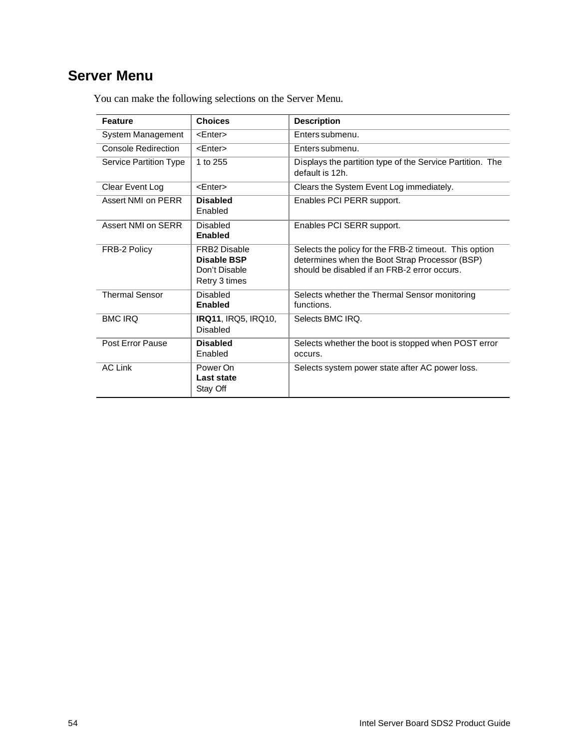# **Server Menu**

| <b>Feature</b>             | <b>Choices</b>                                                       | <b>Description</b>                                                                                                                                      |
|----------------------------|----------------------------------------------------------------------|---------------------------------------------------------------------------------------------------------------------------------------------------------|
| System Management          | <enter></enter>                                                      | Enters submenu.                                                                                                                                         |
| <b>Console Redirection</b> | <enter></enter>                                                      | Enters submenu.                                                                                                                                         |
| Service Partition Type     | 1 to 255                                                             | Displays the partition type of the Service Partition. The<br>default is 12h.                                                                            |
| Clear Event Log            | <enter></enter>                                                      | Clears the System Event Log immediately.                                                                                                                |
| Assert NMI on PERR         | <b>Disabled</b><br>Enabled                                           | Enables PCI PERR support.                                                                                                                               |
| Assert NMI on SERR         | Disabled<br><b>Enabled</b>                                           | Enables PCI SERR support.                                                                                                                               |
| FRB-2 Policy               | <b>FRB2 Disable</b><br>Disable BSP<br>Don't Disable<br>Retry 3 times | Selects the policy for the FRB-2 timeout. This option<br>determines when the Boot Strap Processor (BSP)<br>should be disabled if an FRB-2 error occurs. |
| <b>Thermal Sensor</b>      | Disabled<br><b>Enabled</b>                                           | Selects whether the Thermal Sensor monitoring<br>functions.                                                                                             |
| <b>BMC IRQ</b>             | <b>IRQ11, IRQ5, IRQ10,</b><br>Disabled                               | Selects BMC IRQ.                                                                                                                                        |
| Post Error Pause           | <b>Disabled</b><br>Enabled                                           | Selects whether the boot is stopped when POST error<br>occurs.                                                                                          |
| <b>AC Link</b>             | Power On<br>Last state<br>Stay Off                                   | Selects system power state after AC power loss.                                                                                                         |

You can make the following selections on the Server Menu.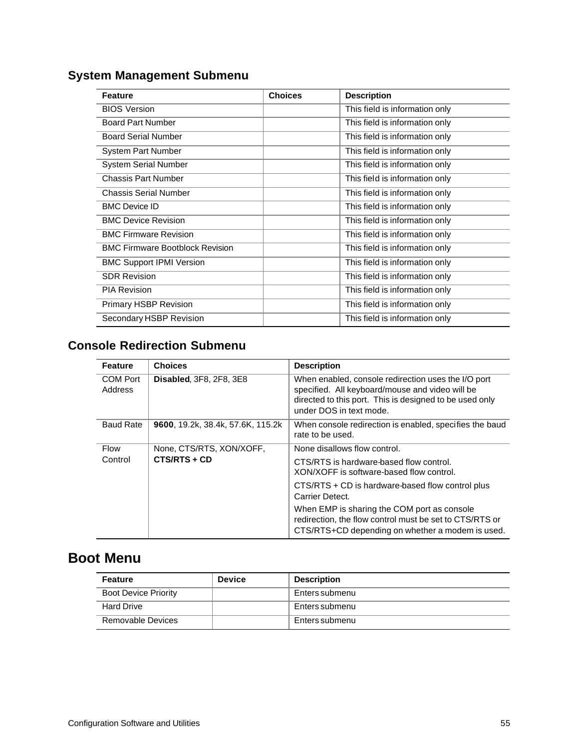# **System Management Submenu**

| <b>Feature</b>                         | <b>Choices</b> | <b>Description</b>             |
|----------------------------------------|----------------|--------------------------------|
| <b>BIOS Version</b>                    |                | This field is information only |
| <b>Board Part Number</b>               |                | This field is information only |
| <b>Board Serial Number</b>             |                | This field is information only |
| <b>System Part Number</b>              |                | This field is information only |
| <b>System Serial Number</b>            |                | This field is information only |
| <b>Chassis Part Number</b>             |                | This field is information only |
| <b>Chassis Serial Number</b>           |                | This field is information only |
| <b>BMC Device ID</b>                   |                | This field is information only |
| <b>BMC Device Revision</b>             |                | This field is information only |
| <b>BMC Firmware Revision</b>           |                | This field is information only |
| <b>BMC Firmware Bootblock Revision</b> |                | This field is information only |
| <b>BMC Support IPMI Version</b>        |                | This field is information only |
| <b>SDR Revision</b>                    |                | This field is information only |
| <b>PIA Revision</b>                    |                | This field is information only |
| <b>Primary HSBP Revision</b>           |                | This field is information only |
| Secondary HSBP Revision                |                | This field is information only |

## **Console Redirection Submenu**

| <b>Feature</b>             | <b>Choices</b>                    | <b>Description</b>                                                                                                                                                                           |
|----------------------------|-----------------------------------|----------------------------------------------------------------------------------------------------------------------------------------------------------------------------------------------|
| <b>COM Port</b><br>Address | <b>Disabled, 3F8, 2F8, 3E8</b>    | When enabled, console redirection uses the I/O port<br>specified. All keyboard/mouse and video will be<br>directed to this port. This is designed to be used only<br>under DOS in text mode. |
| <b>Baud Rate</b>           | 9600, 19.2k, 38.4k, 57.6K, 115.2k | When console redirection is enabled, specifies the baud<br>rate to be used.                                                                                                                  |
| <b>Flow</b>                | None, CTS/RTS, XON/XOFF,          | None disallows flow control.                                                                                                                                                                 |
| Control                    | CTS/RTS + CD                      | CTS/RTS is hardware-based flow control.<br>XON/XOFF is software-based flow control.                                                                                                          |
|                            |                                   | CTS/RTS + CD is hardware-based flow control plus<br>Carrier Detect.                                                                                                                          |
|                            |                                   | When EMP is sharing the COM port as console<br>redirection, the flow control must be set to CTS/RTS or<br>CTS/RTS+CD depending on whether a modem is used.                                   |

# **Boot Menu**

| <b>Feature</b>              | <b>Device</b> | <b>Description</b> |
|-----------------------------|---------------|--------------------|
| <b>Boot Device Priority</b> |               | Enters submenu     |
| <b>Hard Drive</b>           |               | Enters submenu     |
| Removable Devices           |               | Enters submenu     |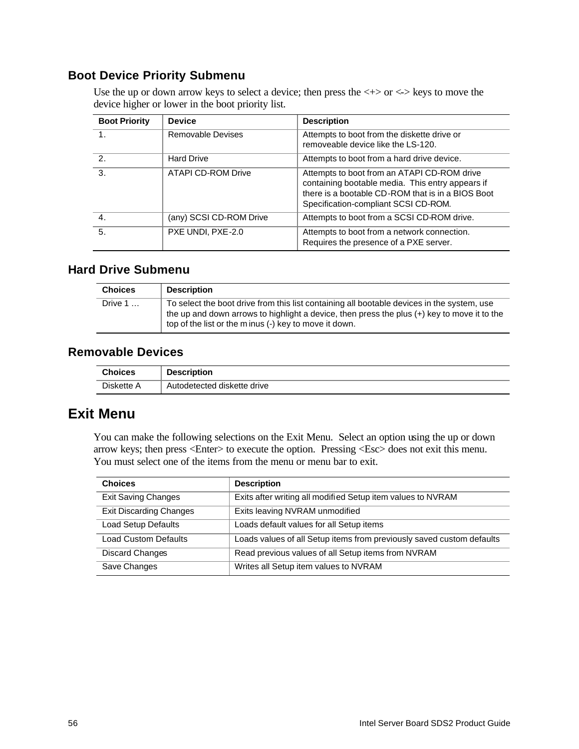### **Boot Device Priority Submenu**

Use the up or down arrow keys to select a device; then press the  $\langle + \rangle$  or  $\langle - \rangle$  keys to move the device higher or lower in the boot priority list.

| <b>Boot Priority</b> | <b>Device</b>           | <b>Description</b>                                                                                                                                                                           |
|----------------------|-------------------------|----------------------------------------------------------------------------------------------------------------------------------------------------------------------------------------------|
| 1 <sub>1</sub>       | Removable Devises       | Attempts to boot from the diskette drive or<br>removeable device like the LS-120.                                                                                                            |
| 2.                   | <b>Hard Drive</b>       | Attempts to boot from a hard drive device.                                                                                                                                                   |
| 3.                   | ATAPI CD-ROM Drive      | Attempts to boot from an ATAPI CD-ROM drive<br>containing bootable media. This entry appears if<br>there is a bootable CD-ROM that is in a BIOS Boot<br>Specification-compliant SCSI CD-ROM. |
| $\overline{4}$ .     | (any) SCSI CD-ROM Drive | Attempts to boot from a SCSI CD-ROM drive.                                                                                                                                                   |
| 5.                   | PXE UNDI, PXE-2.0       | Attempts to boot from a network connection.<br>Requires the presence of a PXE server.                                                                                                        |

### **Hard Drive Submenu**

| <b>Choices</b> | <b>Description</b>                                                                                                                                                                                                                                    |
|----------------|-------------------------------------------------------------------------------------------------------------------------------------------------------------------------------------------------------------------------------------------------------|
| Drive $1$      | To select the boot drive from this list containing all bootable devices in the system, use<br>the up and down arrows to highlight a device, then press the plus $(+)$ key to move it to the<br>top of the list or the m inus (-) key to move it down. |

### **Removable Devices**

| <b>Choices</b> | <b>Description</b>          |
|----------------|-----------------------------|
| Diskette A     | Autodetected diskette drive |

## **Exit Menu**

You can make the following selections on the Exit Menu. Select an option using the up or down arrow keys; then press <Enter> to execute the option. Pressing <Esc> does not exit this menu. You must select one of the items from the menu or menu bar to exit.

| <b>Choices</b>                 | <b>Description</b>                                                    |
|--------------------------------|-----------------------------------------------------------------------|
| <b>Exit Saving Changes</b>     | Exits after writing all modified Setup item values to NVRAM           |
| <b>Exit Discarding Changes</b> | Exits leaving NVRAM unmodified                                        |
| <b>Load Setup Defaults</b>     | Loads default values for all Setup items                              |
| <b>Load Custom Defaults</b>    | Loads values of all Setup items from previously saved custom defaults |
| <b>Discard Changes</b>         | Read previous values of all Setup items from NVRAM                    |
| Save Changes                   | Writes all Setup item values to NVRAM                                 |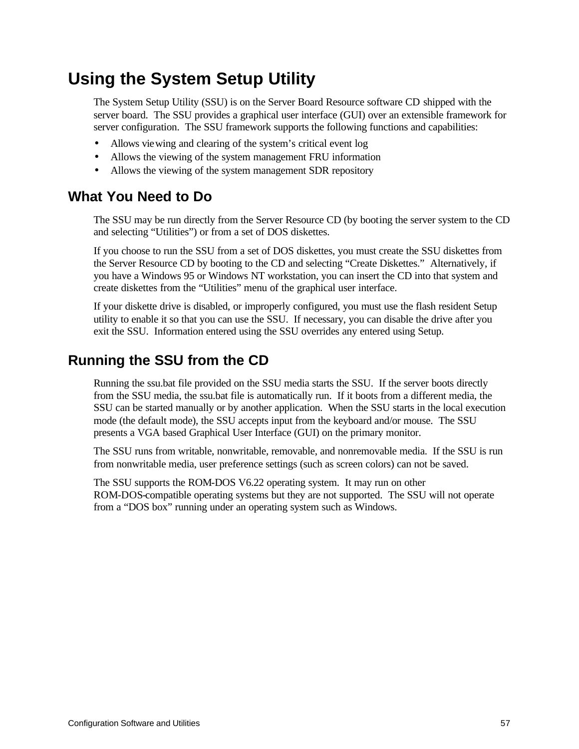# **Using the System Setup Utility**

The System Setup Utility (SSU) is on the Server Board Resource software CD shipped with the server board. The SSU provides a graphical user interface (GUI) over an extensible framework for server configuration. The SSU framework supports the following functions and capabilities:

- Allows viewing and clearing of the system's critical event log
- Allows the viewing of the system management FRU information
- Allows the viewing of the system management SDR repository

## **What You Need to Do**

The SSU may be run directly from the Server Resource CD (by booting the server system to the CD and selecting "Utilities") or from a set of DOS diskettes.

If you choose to run the SSU from a set of DOS diskettes, you must create the SSU diskettes from the Server Resource CD by booting to the CD and selecting "Create Diskettes." Alternatively, if you have a Windows 95 or Windows NT workstation, you can insert the CD into that system and create diskettes from the "Utilities" menu of the graphical user interface.

If your diskette drive is disabled, or improperly configured, you must use the flash resident Setup utility to enable it so that you can use the SSU. If necessary, you can disable the drive after you exit the SSU. Information entered using the SSU overrides any entered using Setup.

## **Running the SSU from the CD**

Running the ssu.bat file provided on the SSU media starts the SSU. If the server boots directly from the SSU media, the ssu.bat file is automatically run. If it boots from a different media, the SSU can be started manually or by another application. When the SSU starts in the local execution mode (the default mode), the SSU accepts input from the keyboard and/or mouse. The SSU presents a VGA based Graphical User Interface (GUI) on the primary monitor.

The SSU runs from writable, nonwritable, removable, and nonremovable media. If the SSU is run from nonwritable media, user preference settings (such as screen colors) can not be saved.

The SSU supports the ROM-DOS V6.22 operating system. It may run on other ROM-DOS-compatible operating systems but they are not supported. The SSU will not operate from a "DOS box" running under an operating system such as Windows.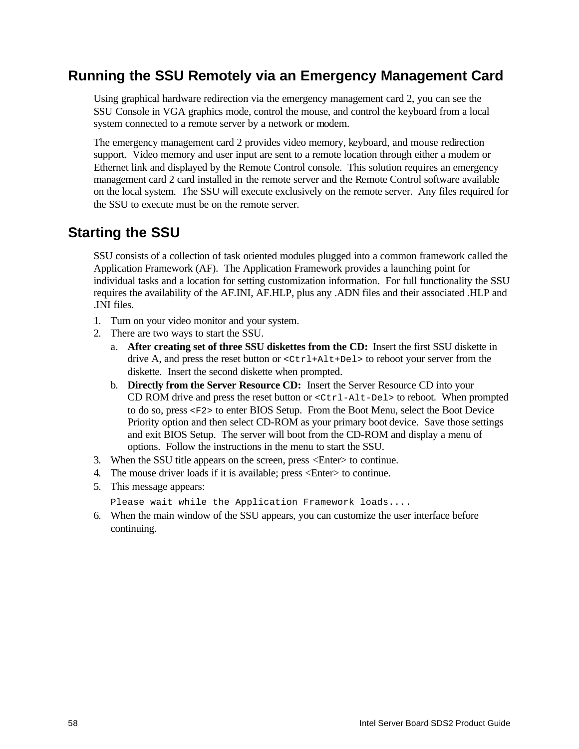## **Running the SSU Remotely via an Emergency Management Card**

Using graphical hardware redirection via the emergency management card 2, you can see the SSU Console in VGA graphics mode, control the mouse, and control the keyboard from a local system connected to a remote server by a network or modem.

The emergency management card 2 provides video memory, keyboard, and mouse redirection support. Video memory and user input are sent to a remote location through either a modem or Ethernet link and displayed by the Remote Control console. This solution requires an emergency management card 2 card installed in the remote server and the Remote Control software available on the local system. The SSU will execute exclusively on the remote server. Any files required for the SSU to execute must be on the remote server.

## **Starting the SSU**

SSU consists of a collection of task oriented modules plugged into a common framework called the Application Framework (AF). The Application Framework provides a launching point for individual tasks and a location for setting customization information. For full functionality the SSU requires the availability of the AF.INI, AF.HLP, plus any .ADN files and their associated .HLP and .INI files.

- 1. Turn on your video monitor and your system.
- 2. There are two ways to start the SSU.
	- a. **After creating set of three SSU diskettes from the CD:** Insert the first SSU diskette in drive A, and press the reset button or <Ctrl+Alt+Del> to reboot your server from the diskette. Insert the second diskette when prompted.
	- b. **Directly from the Server Resource CD:** Insert the Server Resource CD into your CD ROM drive and press the reset button or  $<$   $<$   $<$   $h$   $<$   $h$   $<$   $h$   $<$   $h$   $<$   $h$   $<$   $h$   $<$   $h$   $<$   $h$   $<$   $h$   $<$   $h$   $<$   $h$   $<$   $h$   $<$   $h$   $<$   $h$   $<$   $h$   $<$   $h$   $<$  to do so, press <F2> to enter BIOS Setup. From the Boot Menu, select the Boot Device Priority option and then select CD-ROM as your primary boot device. Save those settings and exit BIOS Setup. The server will boot from the CD-ROM and display a menu of options. Follow the instructions in the menu to start the SSU.
- 3. When the SSU title appears on the screen, press <Enter> to continue.
- 4. The mouse driver loads if it is available; press <Enter> to continue.
- 5. This message appears:

```
Please wait while the Application Framework loads....
```
6. When the main window of the SSU appears, you can customize the user interface before continuing.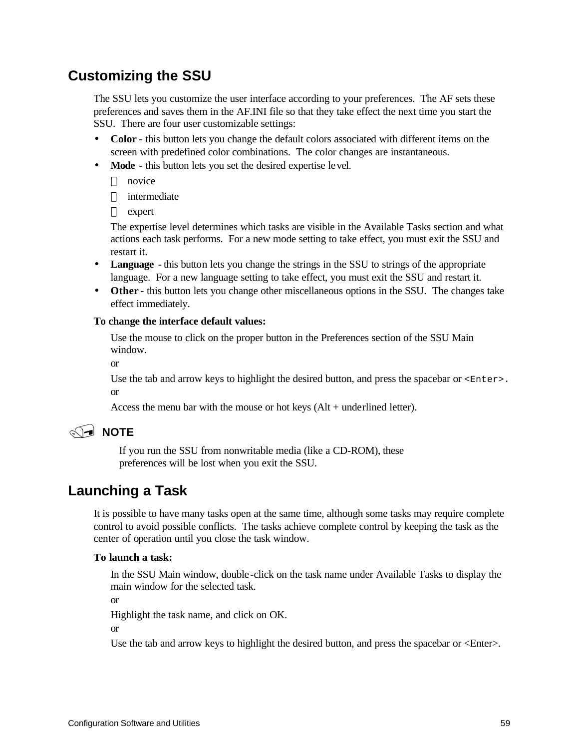# **Customizing the SSU**

The SSU lets you customize the user interface according to your preferences. The AF sets these preferences and saves them in the AF.INI file so that they take effect the next time you start the SSU. There are four user customizable settings:

- **Color** this button lets you change the default colors associated with different items on the screen with predefined color combinations. The color changes are instantaneous.
- **Mode** this button lets you set the desired expertise level.
	- novice
	- intermediate
	- expert

The expertise level determines which tasks are visible in the Available Tasks section and what actions each task performs. For a new mode setting to take effect, you must exit the SSU and restart it.

- **Language** this button lets you change the strings in the SSU to strings of the appropriate language. For a new language setting to take effect, you must exit the SSU and restart it.
- **Other** this button lets you change other miscellaneous options in the SSU. The changes take effect immediately.

#### **To change the interface default values:**

Use the mouse to click on the proper button in the Preferences section of the SSU Main window.

or

Use the tab and arrow keys to highlight the desired button, and press the spacebar or  $\leq$  Enters. or

Access the menu bar with the mouse or hot keys  $(Alt + underlined letter)$ .



If you run the SSU from nonwritable media (like a CD-ROM), these preferences will be lost when you exit the SSU.

### **Launching a Task**

It is possible to have many tasks open at the same time, although some tasks may require complete control to avoid possible conflicts. The tasks achieve complete control by keeping the task as the center of operation until you close the task window.

#### **To launch a task:**

In the SSU Main window, double -click on the task name under Available Tasks to display the main window for the selected task.

or

Highlight the task name, and click on OK.

or

Use the tab and arrow keys to highlight the desired button, and press the spacebar or <Enter>.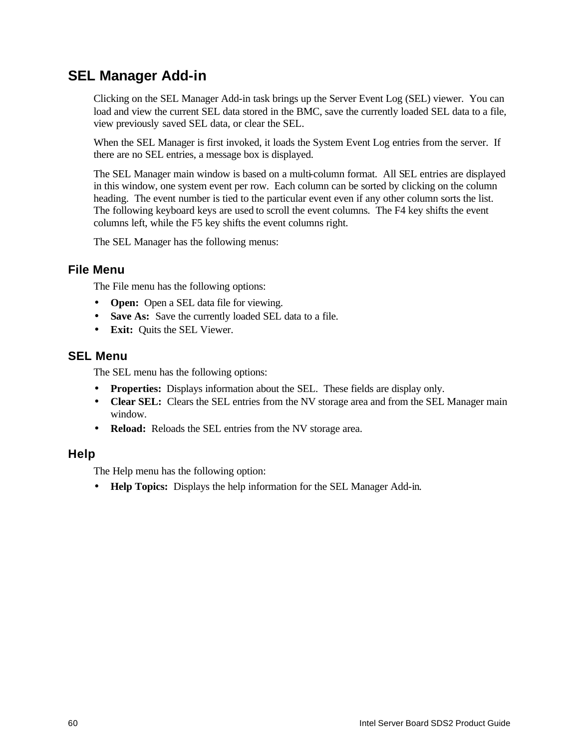## **SEL Manager Add-in**

Clicking on the SEL Manager Add-in task brings up the Server Event Log (SEL) viewer. You can load and view the current SEL data stored in the BMC, save the currently loaded SEL data to a file, view previously saved SEL data, or clear the SEL.

When the SEL Manager is first invoked, it loads the System Event Log entries from the server. If there are no SEL entries, a message box is displayed.

The SEL Manager main window is based on a multi-column format. All SEL entries are displayed in this window, one system event per row. Each column can be sorted by clicking on the column heading. The event number is tied to the particular event even if any other column sorts the list. The following keyboard keys are used to scroll the event columns. The F4 key shifts the event columns left, while the F5 key shifts the event columns right.

The SEL Manager has the following menus:

### **File Menu**

The File menu has the following options:

- **Open:** Open a SEL data file for viewing.
- **Save As:** Save the currently loaded SEL data to a file.
- **Exit:** Quits the SEL Viewer.

#### **SEL Menu**

The SEL menu has the following options:

- **Properties:** Displays information about the SEL. These fields are display only.
- **Clear SEL:** Clears the SEL entries from the NV storage area and from the SEL Manager main window.
- **Reload:** Reloads the SEL entries from the NV storage area.

#### **Help**

The Help menu has the following option:

• **Help Topics:** Displays the help information for the SEL Manager Add-in.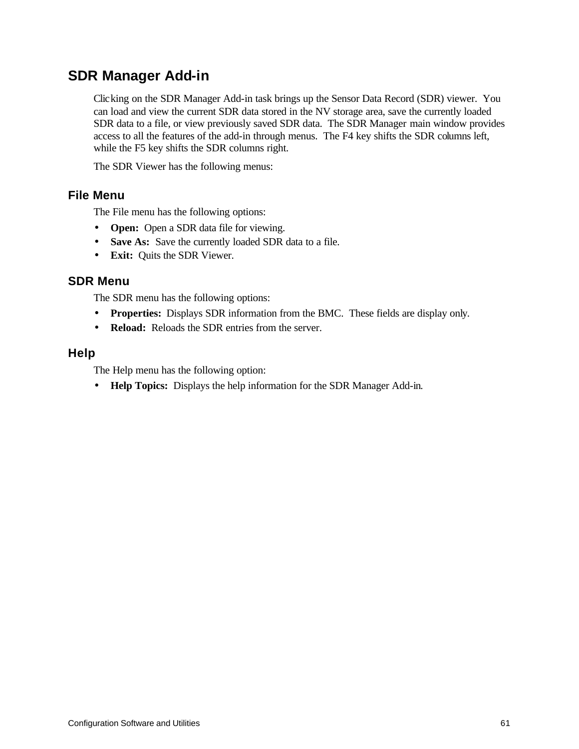## **SDR Manager Add-in**

Clicking on the SDR Manager Add-in task brings up the Sensor Data Record (SDR) viewer. You can load and view the current SDR data stored in the NV storage area, save the currently loaded SDR data to a file, or view previously saved SDR data. The SDR Manager main window provides access to all the features of the add-in through menus. The F4 key shifts the SDR columns left, while the F5 key shifts the SDR columns right.

The SDR Viewer has the following menus:

### **File Menu**

The File menu has the following options:

- **Open:** Open a SDR data file for viewing.
- **Save As:** Save the currently loaded SDR data to a file.
- **Exit:** Quits the SDR Viewer.

#### **SDR Menu**

The SDR menu has the following options:

- **Properties:** Displays SDR information from the BMC. These fields are display only.
- **Reload:** Reloads the SDR entries from the server.

#### **Help**

The Help menu has the following option:

• **Help Topics:** Displays the help information for the SDR Manager Add-in.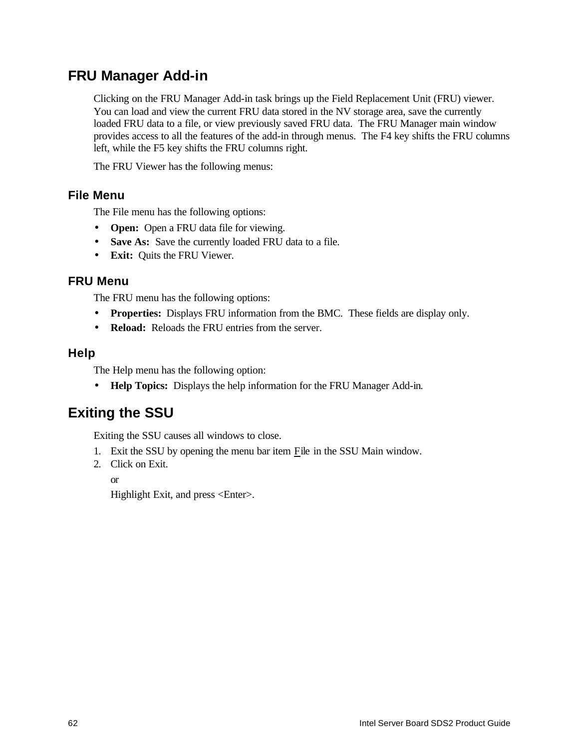## **FRU Manager Add-in**

Clicking on the FRU Manager Add-in task brings up the Field Replacement Unit (FRU) viewer. You can load and view the current FRU data stored in the NV storage area, save the currently loaded FRU data to a file, or view previously saved FRU data. The FRU Manager main window provides access to all the features of the add-in through menus. The F4 key shifts the FRU columns left, while the F5 key shifts the FRU columns right.

The FRU Viewer has the following menus:

### **File Menu**

The File menu has the following options:

- **Open:** Open a FRU data file for viewing.
- **Save As:** Save the currently loaded FRU data to a file.
- **Exit:** Quits the FRU Viewer.

### **FRU Menu**

The FRU menu has the following options:

- **Properties:** Displays FRU information from the BMC. These fields are display only.
- **Reload:** Reloads the FRU entries from the server.

### **Help**

The Help menu has the following option:

• **Help Topics:** Displays the help information for the FRU Manager Add-in.

# **Exiting the SSU**

Exiting the SSU causes all windows to close.

- 1. Exit the SSU by opening the menu bar item File in the SSU Main window.
- 2. Click on Exit.

or

Highlight Exit, and press <Enter>.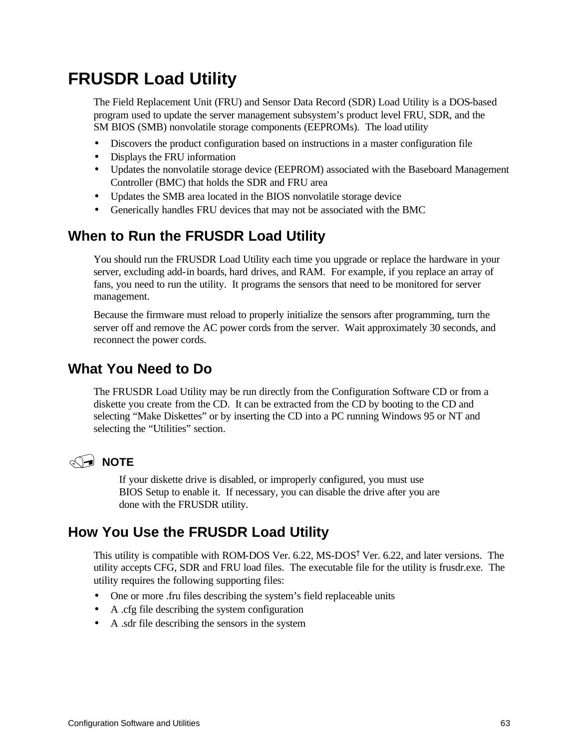# **FRUSDR Load Utility**

The Field Replacement Unit (FRU) and Sensor Data Record (SDR) Load Utility is a DOS-based program used to update the server management subsystem's product level FRU, SDR, and the SM BIOS (SMB) nonvolatile storage components (EEPROMs). The load utility

- Discovers the product configuration based on instructions in a master configuration file
- Displays the FRU information
- Updates the nonvolatile storage device (EEPROM) associated with the Baseboard Management Controller (BMC) that holds the SDR and FRU area
- Updates the SMB area located in the BIOS nonvolatile storage device
- Generically handles FRU devices that may not be associated with the BMC

### **When to Run the FRUSDR Load Utility**

You should run the FRUSDR Load Utility each time you upgrade or replace the hardware in your server, excluding add-in boards, hard drives, and RAM. For example, if you replace an array of fans, you need to run the utility. It programs the sensors that need to be monitored for server management.

Because the firmware must reload to properly initialize the sensors after programming, turn the server off and remove the AC power cords from the server. Wait approximately 30 seconds, and reconnect the power cords.

### **What You Need to Do**

The FRUSDR Load Utility may be run directly from the Configuration Software CD or from a diskette you create from the CD. It can be extracted from the CD by booting to the CD and selecting "Make Diskettes" or by inserting the CD into a PC running Windows 95 or NT and selecting the "Utilities" section.

## / **NOTE**

If your diskette drive is disabled, or improperly configured, you must use BIOS Setup to enable it. If necessary, you can disable the drive after you are done with the FRUSDR utility.

### **How You Use the FRUSDR Load Utility**

This utility is compatible with ROM-DOS Ver. 6.22, MS-DOS† Ver. 6.22, and later versions. The utility accepts CFG, SDR and FRU load files. The executable file for the utility is frusdr.exe. The utility requires the following supporting files:

- One or more .fru files describing the system's field replaceable units
- A .cfg file describing the system configuration
- A .sdr file describing the sensors in the system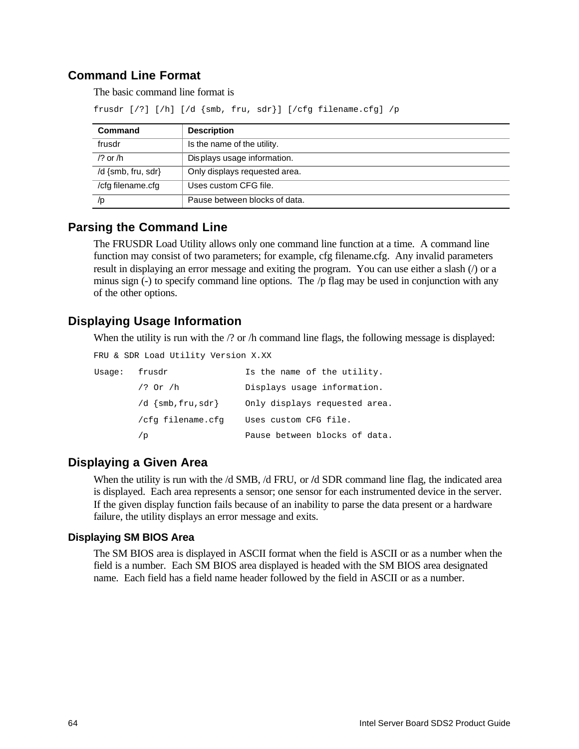### **Command Line Format**

The basic command line format is

frusdr [/?] [/h] [/d {smb, fru, sdr}] [/cfg filename.cfg] /p

| Command                | <b>Description</b>            |
|------------------------|-------------------------------|
| frusdr                 | Is the name of the utility.   |
| $/?$ or $/h$           | Displays usage information.   |
| /d $\{smb, fru, sdr\}$ | Only displays requested area. |
| /cfg filename.cfg      | Uses custom CFG file.         |
| /p                     | Pause between blocks of data. |

#### **Parsing the Command Line**

The FRUSDR Load Utility allows only one command line function at a time. A command line function may consist of two parameters; for example, cfg filename.cfg. Any invalid parameters result in displaying an error message and exiting the program. You can use either a slash (/) or a minus sign (-) to specify command line options. The /p flag may be used in conjunction with any of the other options.

### **Displaying Usage Information**

When the utility is run with the  $/$ ? or  $/$ h command line flags, the following message is displayed:

```
FRU & SDR Load Utility Version X.XX
Usage: frusdr Is the name of the utility.
       /? Or /h Displays usage information.
       /d {smb,fru,sdr} Only displays requested area.
       /cfg filename.cfg Uses custom CFG file.
       /p Pause between blocks of data.
```
### **Displaying a Given Area**

When the utility is run with the /d SMB, /d FRU, or **/**d SDR command line flag, the indicated area is displayed. Each area represents a sensor; one sensor for each instrumented device in the server. If the given display function fails because of an inability to parse the data present or a hardware failure, the utility displays an error message and exits.

#### **Displaying SM BIOS Area**

The SM BIOS area is displayed in ASCII format when the field is ASCII or as a number when the field is a number. Each SM BIOS area displayed is headed with the SM BIOS area designated name. Each field has a field name header followed by the field in ASCII or as a number.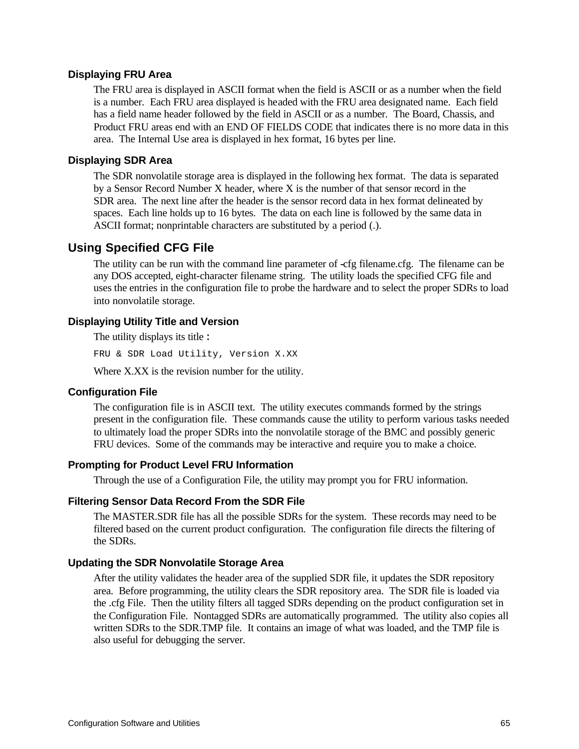#### **Displaying FRU Area**

The FRU area is displayed in ASCII format when the field is ASCII or as a number when the field is a number. Each FRU area displayed is headed with the FRU area designated name. Each field has a field name header followed by the field in ASCII or as a number. The Board, Chassis, and Product FRU areas end with an END OF FIELDS CODE that indicates there is no more data in this area. The Internal Use area is displayed in hex format, 16 bytes per line.

#### **Displaying SDR Area**

The SDR nonvolatile storage area is displayed in the following hex format. The data is separated by a Sensor Record Number X header, where X is the number of that sensor record in the SDR area. The next line after the header is the sensor record data in hex format delineated by spaces. Each line holds up to 16 bytes. The data on each line is followed by the same data in ASCII format; nonprintable characters are substituted by a period (.).

#### **Using Specified CFG File**

The utility can be run with the command line parameter of **-**cfg filename.cfg. The filename can be any DOS accepted, eight-character filename string. The utility loads the specified CFG file and uses the entries in the configuration file to probe the hardware and to select the proper SDRs to load into nonvolatile storage.

#### **Displaying Utility Title and Version**

The utility displays its title:

FRU & SDR Load Utility, Version X.XX

Where X.XX is the revision number for the utility.

#### **Configuration File**

The configuration file is in ASCII text. The utility executes commands formed by the strings present in the configuration file. These commands cause the utility to perform various tasks needed to ultimately load the proper SDRs into the nonvolatile storage of the BMC and possibly generic FRU devices. Some of the commands may be interactive and require you to make a choice.

#### **Prompting for Product Level FRU Information**

Through the use of a Configuration File, the utility may prompt you for FRU information.

#### **Filtering Sensor Data Record From the SDR File**

The MASTER.SDR file has all the possible SDRs for the system. These records may need to be filtered based on the current product configuration. The configuration file directs the filtering of the SDRs.

#### **Updating the SDR Nonvolatile Storage Area**

After the utility validates the header area of the supplied SDR file, it updates the SDR repository area. Before programming, the utility clears the SDR repository area. The SDR file is loaded via the .cfg File. Then the utility filters all tagged SDRs depending on the product configuration set in the Configuration File. Nontagged SDRs are automatically programmed. The utility also copies all written SDRs to the SDR.TMP file. It contains an image of what was loaded, and the TMP file is also useful for debugging the server.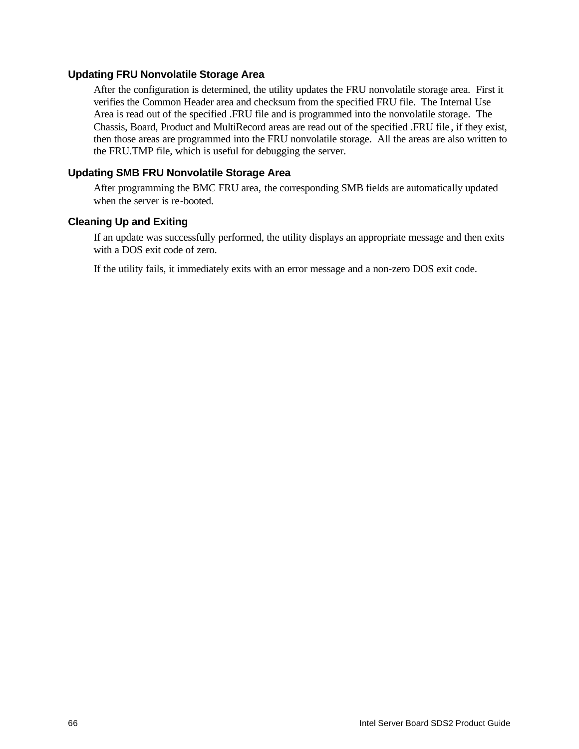#### **Updating FRU Nonvolatile Storage Area**

After the configuration is determined, the utility updates the FRU nonvolatile storage area. First it verifies the Common Header area and checksum from the specified FRU file. The Internal Use Area is read out of the specified .FRU file and is programmed into the nonvolatile storage. The Chassis, Board, Product and MultiRecord areas are read out of the specified .FRU file , if they exist, then those areas are programmed into the FRU nonvolatile storage. All the areas are also written to the FRU.TMP file, which is useful for debugging the server.

#### **Updating SMB FRU Nonvolatile Storage Area**

After programming the BMC FRU area, the corresponding SMB fields are automatically updated when the server is re-booted.

#### **Cleaning Up and Exiting**

If an update was successfully performed, the utility displays an appropriate message and then exits with a DOS exit code of zero.

If the utility fails, it immediately exits with an error message and a non-zero DOS exit code.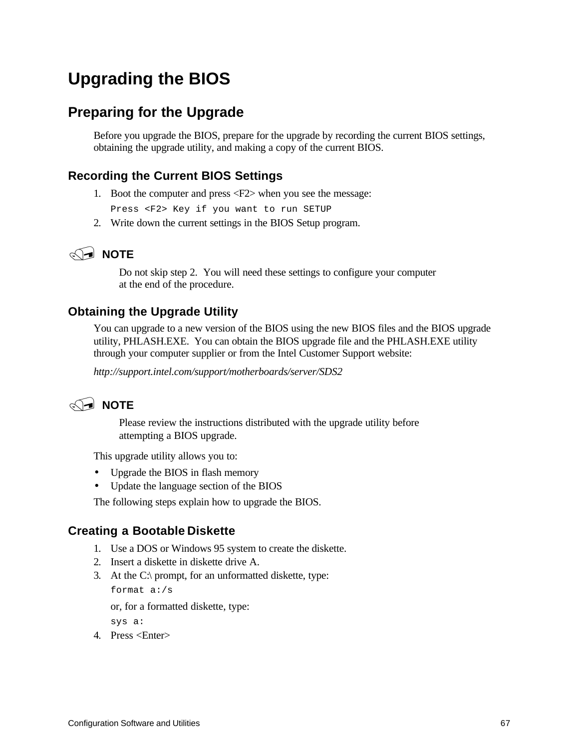# **Upgrading the BIOS**

## **Preparing for the Upgrade**

Before you upgrade the BIOS, prepare for the upgrade by recording the current BIOS settings, obtaining the upgrade utility, and making a copy of the current BIOS.

### **Recording the Current BIOS Settings**

1. Boot the computer and press <F2> when you see the message:

Press <F2> Key if you want to run SETUP

2. Write down the current settings in the BIOS Setup program.



Do not skip step 2. You will need these settings to configure your computer at the end of the procedure.

### **Obtaining the Upgrade Utility**

You can upgrade to a new version of the BIOS using the new BIOS files and the BIOS upgrade utility, PHLASH.EXE. You can obtain the BIOS upgrade file and the PHLASH.EXE utility through your computer supplier or from the Intel Customer Support website:

*http://support.intel.com/support/motherboards/server/SDS2*



Please review the instructions distributed with the upgrade utility before attempting a BIOS upgrade.

This upgrade utility allows you to:

- Upgrade the BIOS in flash memory
- Update the language section of the BIOS

The following steps explain how to upgrade the BIOS.

### **Creating a Bootable Diskette**

- 1. Use a DOS or Windows 95 system to create the diskette.
- 2. Insert a diskette in diskette drive A.
- 3. At the C:\ prompt, for an unformatted diskette, type: format a:/s

or, for a formatted diskette, type:

sys a:

4. Press <Enter>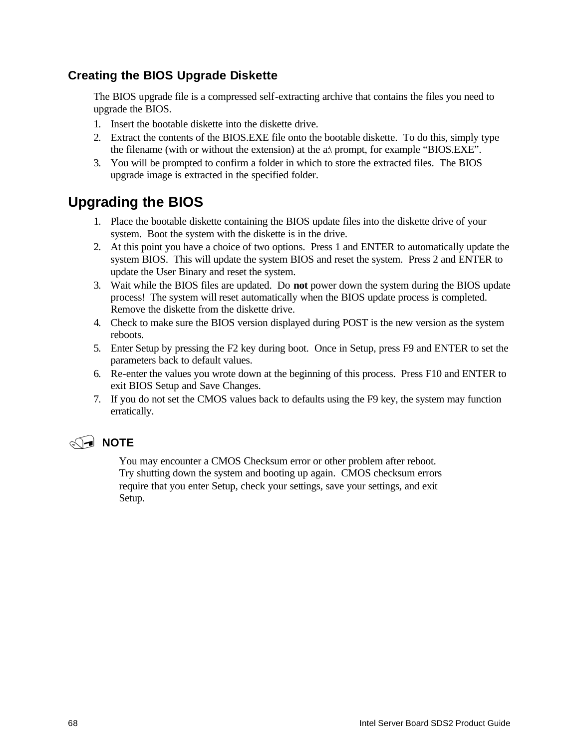### **Creating the BIOS Upgrade Diskette**

The BIOS upgrade file is a compressed self-extracting archive that contains the files you need to upgrade the BIOS.

- 1. Insert the bootable diskette into the diskette drive.
- 2. Extract the contents of the BIOS.EXE file onto the bootable diskette. To do this, simply type the filename (with or without the extension) at the a:\ prompt, for example "BIOS.EXE".
- 3. You will be prompted to confirm a folder in which to store the extracted files. The BIOS upgrade image is extracted in the specified folder.

## **Upgrading the BIOS**

- 1. Place the bootable diskette containing the BIOS update files into the diskette drive of your system. Boot the system with the diskette is in the drive.
- 2. At this point you have a choice of two options. Press 1 and ENTER to automatically update the system BIOS. This will update the system BIOS and reset the system. Press 2 and ENTER to update the User Binary and reset the system.
- 3. Wait while the BIOS files are updated. Do **not** power down the system during the BIOS update process! The system will reset automatically when the BIOS update process is completed. Remove the diskette from the diskette drive.
- 4. Check to make sure the BIOS version displayed during POST is the new version as the system reboots.
- 5. Enter Setup by pressing the F2 key during boot. Once in Setup, press F9 and ENTER to set the parameters back to default values.
- 6. Re-enter the values you wrote down at the beginning of this process. Press F10 and ENTER to exit BIOS Setup and Save Changes.
- 7. If you do not set the CMOS values back to defaults using the F9 key, the system may function erratically.

## / **NOTE**

You may encounter a CMOS Checksum error or other problem after reboot. Try shutting down the system and booting up again. CMOS checksum errors require that you enter Setup, check your settings, save your settings, and exit Setup.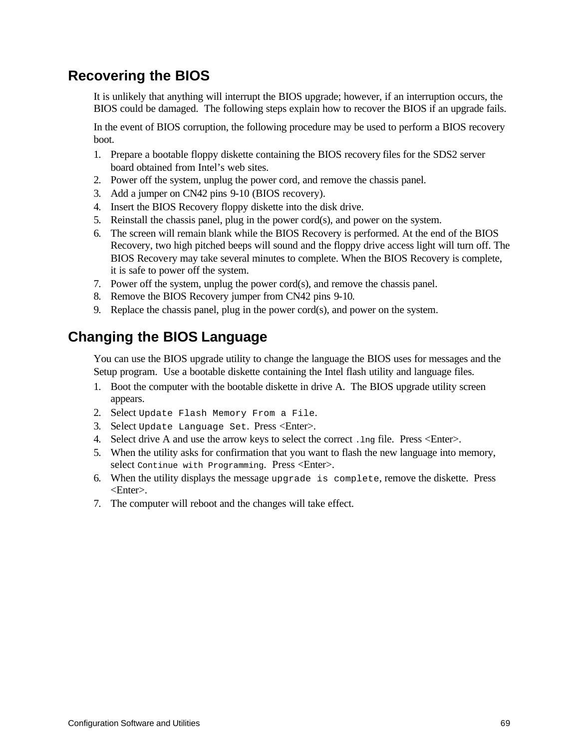### **Recovering the BIOS**

It is unlikely that anything will interrupt the BIOS upgrade; however, if an interruption occurs, the BIOS could be damaged. The following steps explain how to recover the BIOS if an upgrade fails.

In the event of BIOS corruption, the following procedure may be used to perform a BIOS recovery boot.

- 1. Prepare a bootable floppy diskette containing the BIOS recovery files for the SDS2 server board obtained from Intel's web sites.
- 2. Power off the system, unplug the power cord, and remove the chassis panel.
- 3. Add a jumper on CN42 pins 9-10 (BIOS recovery).
- 4. Insert the BIOS Recovery floppy diskette into the disk drive.
- 5. Reinstall the chassis panel, plug in the power cord(s), and power on the system.
- 6. The screen will remain blank while the BIOS Recovery is performed. At the end of the BIOS Recovery, two high pitched beeps will sound and the floppy drive access light will turn off. The BIOS Recovery may take several minutes to complete. When the BIOS Recovery is complete, it is safe to power off the system.
- 7. Power off the system, unplug the power cord(s), and remove the chassis panel.
- 8. Remove the BIOS Recovery jumper from CN42 pins 9-10.
- 9. Replace the chassis panel, plug in the power cord(s), and power on the system.

## **Changing the BIOS Language**

You can use the BIOS upgrade utility to change the language the BIOS uses for messages and the Setup program. Use a bootable diskette containing the Intel flash utility and language files.

- 1. Boot the computer with the bootable diskette in drive A. The BIOS upgrade utility screen appears.
- 2. Select Update Flash Memory From a File.
- 3. Select Update Language Set. Press <Enter>.
- 4. Select drive A and use the arrow keys to select the correct .lng file. Press <Enter>.
- 5. When the utility asks for confirmation that you want to flash the new language into memory, select Continue with Programming. Press <Enter>.
- 6. When the utility displays the message upgrade is complete, remove the diskette. Press <Enter>.
- 7. The computer will reboot and the changes will take effect.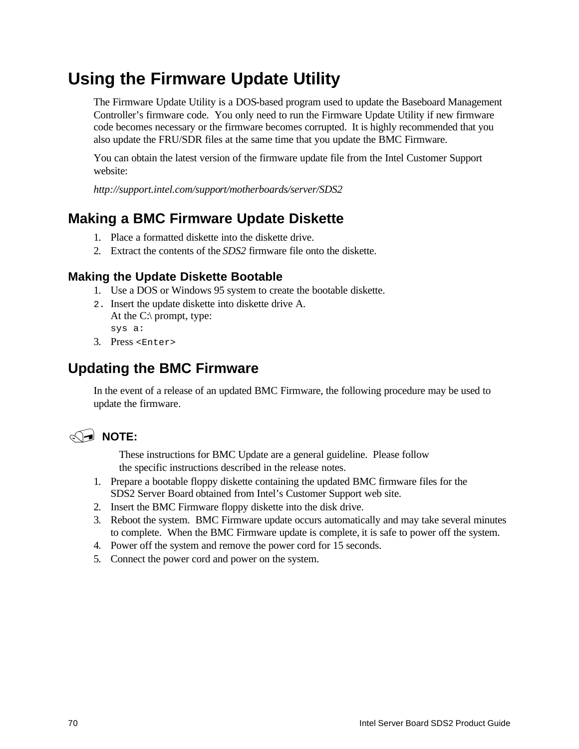# **Using the Firmware Update Utility**

The Firmware Update Utility is a DOS-based program used to update the Baseboard Management Controller's firmware code. You only need to run the Firmware Update Utility if new firmware code becomes necessary or the firmware becomes corrupted. It is highly recommended that you also update the FRU/SDR files at the same time that you update the BMC Firmware.

You can obtain the latest version of the firmware update file from the Intel Customer Support website:

*http://support.intel.com/support/motherboards/server/SDS2*

## **Making a BMC Firmware Update Diskette**

- 1. Place a formatted diskette into the diskette drive.
- 2. Extract the contents of the *SDS2* firmware file onto the diskette.

#### **Making the Update Diskette Bootable**

- 1. Use a DOS or Windows 95 system to create the bootable diskette.
- 2. Insert the update diskette into diskette drive A. At the C:\ prompt, type: sys a:
- 3. Press <Enter>

## **Updating the BMC Firmware**

In the event of a release of an updated BMC Firmware, the following procedure may be used to update the firmware.

# / **NOTE:**

These instructions for BMC Update are a general guideline. Please follow the specific instructions described in the release notes.

- 1. Prepare a bootable floppy diskette containing the updated BMC firmware files for the SDS2 Server Board obtained from Intel's Customer Support web site.
- 2. Insert the BMC Firmware floppy diskette into the disk drive.
- 3. Reboot the system. BMC Firmware update occurs automatically and may take several minutes to complete. When the BMC Firmware update is complete, it is safe to power off the system.
- 4. Power off the system and remove the power cord for 15 seconds.
- 5. Connect the power cord and power on the system.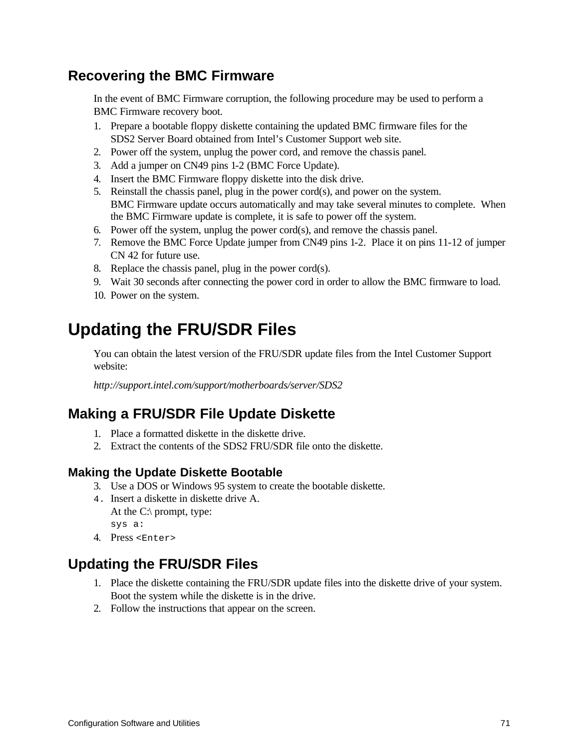### **Recovering the BMC Firmware**

In the event of BMC Firmware corruption, the following procedure may be used to perform a BMC Firmware recovery boot.

- 1. Prepare a bootable floppy diskette containing the updated BMC firmware files for the SDS2 Server Board obtained from Intel's Customer Support web site.
- 2. Power off the system, unplug the power cord, and remove the chassis panel.
- 3. Add a jumper on CN49 pins 1-2 (BMC Force Update).
- 4. Insert the BMC Firmware floppy diskette into the disk drive.
- 5. Reinstall the chassis panel, plug in the power cord(s), and power on the system. BMC Firmware update occurs automatically and may take several minutes to complete. When the BMC Firmware update is complete, it is safe to power off the system.
- 6. Power off the system, unplug the power cord(s), and remove the chassis panel.
- 7. Remove the BMC Force Update jumper from CN49 pins 1-2. Place it on pins 11-12 of jumper CN 42 for future use.
- 8. Replace the chassis panel, plug in the power cord(s).
- 9. Wait 30 seconds after connecting the power cord in order to allow the BMC firmware to load.
- 10. Power on the system.

# **Updating the FRU/SDR Files**

You can obtain the latest version of the FRU/SDR update files from the Intel Customer Support website:

*http://support.intel.com/support/motherboards/server/SDS2*

## **Making a FRU/SDR File Update Diskette**

- 1. Place a formatted diskette in the diskette drive.
- 2. Extract the contents of the SDS2 FRU/SDR file onto the diskette.

### **Making the Update Diskette Bootable**

- 3. Use a DOS or Windows 95 system to create the bootable diskette.
- 4. Insert a diskette in diskette drive A. At the C:\ prompt, type: sys a:
- 4. Press <Enter>

## **Updating the FRU/SDR Files**

- 1. Place the diskette containing the FRU/SDR update files into the diskette drive of your system. Boot the system while the diskette is in the drive.
- 2. Follow the instructions that appear on the screen.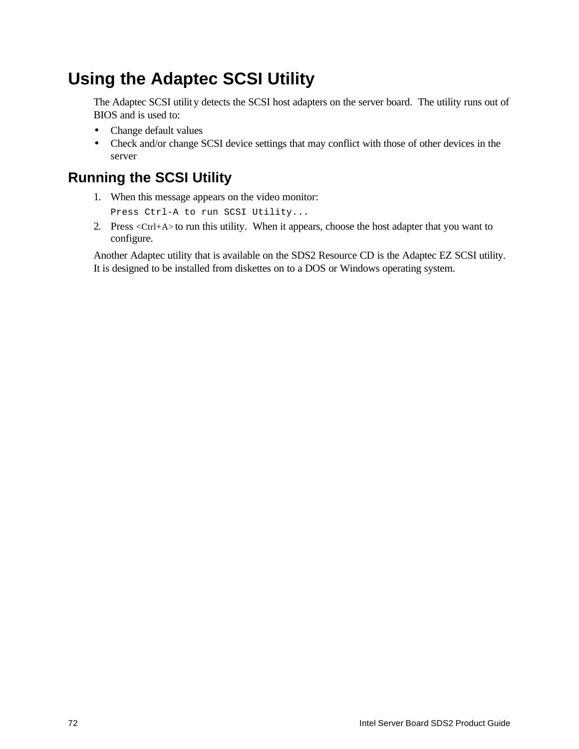# **Using the Adaptec SCSI Utility**

The Adaptec SCSI utility detects the SCSI host adapters on the server board. The utility runs out of BIOS and is used to:

- Change default values
- Check and/or change SCSI device settings that may conflict with those of other devices in the server

## **Running the SCSI Utility**

1. When this message appears on the video monitor:

Press Ctrl-A to run SCSI Utility...

2. Press <Ctrl+A> to run this utility. When it appears, choose the host adapter that you want to configure.

Another Adaptec utility that is available on the SDS2 Resource CD is the Adaptec EZ SCSI utility. It is designed to be installed from diskettes on to a DOS or Windows operating system.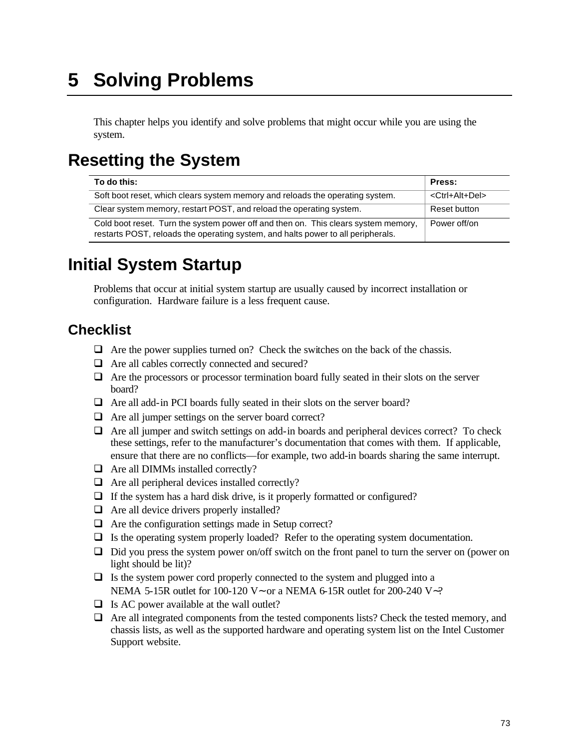# **5 Solving Problems**

This chapter helps you identify and solve problems that might occur while you are using the system.

# **Resetting the System**

| To do this:                                                                                                                                                            | Press:                        |
|------------------------------------------------------------------------------------------------------------------------------------------------------------------------|-------------------------------|
| Soft boot reset, which clears system memory and reloads the operating system.                                                                                          | <ctrl+alt+del></ctrl+alt+del> |
| Clear system memory, restart POST, and reload the operating system.                                                                                                    | Reset button                  |
| Cold boot reset. Turn the system power off and then on. This clears system memory,<br>restarts POST, reloads the operating system, and halts power to all peripherals. | Power off/on                  |

# **Initial System Startup**

Problems that occur at initial system startup are usually caused by incorrect installation or configuration. Hardware failure is a less frequent cause.

## **Checklist**

- $\Box$  Are the power supplies turned on? Check the switches on the back of the chassis.
- $\Box$  Are all cables correctly connected and secured?
- $\Box$  Are the processors or processor termination board fully seated in their slots on the server board?
- $\Box$  Are all add-in PCI boards fully seated in their slots on the server board?
- $\Box$  Are all jumper settings on the server board correct?
- $\Box$  Are all jumper and switch settings on add-in boards and peripheral devices correct? To check these settings, refer to the manufacturer's documentation that comes with them. If applicable, ensure that there are no conflicts—for example, two add-in boards sharing the same interrupt.
- $\Box$  Are all DIMMs installed correctly?
- $\Box$  Are all peripheral devices installed correctly?
- $\Box$  If the system has a hard disk drive, is it properly formatted or configured?
- $\Box$  Are all device drivers properly installed?
- $\Box$  Are the configuration settings made in Setup correct?
- $\Box$  Is the operating system properly loaded? Refer to the operating system documentation.
- $\Box$  Did you press the system power on/off switch on the front panel to turn the server on (power on light should be lit)?
- $\Box$  Is the system power cord properly connected to the system and plugged into a NEMA 5-15R outlet for 100-120 V∼ or a NEMA 6-15R outlet for 200-240 V∼?
- $\Box$  Is AC power available at the wall outlet?
- $\Box$  Are all integrated components from the tested components lists? Check the tested memory, and chassis lists, as well as the supported hardware and operating system list on the Intel Customer Support website.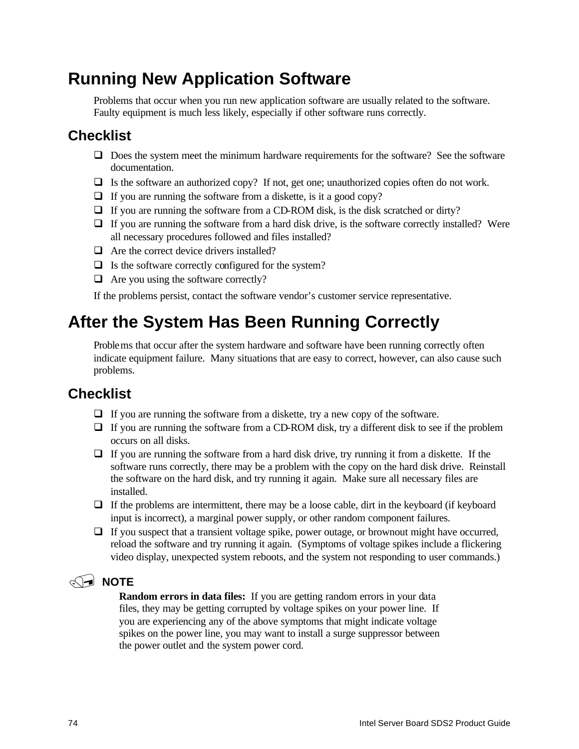# **Running New Application Software**

Problems that occur when you run new application software are usually related to the software. Faulty equipment is much less likely, especially if other software runs correctly.

## **Checklist**

- $\Box$  Does the system meet the minimum hardware requirements for the software? See the software documentation.
- $\Box$  Is the software an authorized copy? If not, get one; unauthorized copies often do not work.
- $\Box$  If you are running the software from a diskette, is it a good copy?
- $\Box$  If you are running the software from a CD-ROM disk, is the disk scratched or dirty?
- $\Box$  If you are running the software from a hard disk drive, is the software correctly installed? Were all necessary procedures followed and files installed?
- $\Box$  Are the correct device drivers installed?
- $\Box$  Is the software correctly configured for the system?
- $\Box$  Are you using the software correctly?

If the problems persist, contact the software vendor's customer service representative.

# **After the System Has Been Running Correctly**

Problems that occur after the system hardware and software have been running correctly often indicate equipment failure. Many situations that are easy to correct, however, can also cause such problems.

## **Checklist**

- $\Box$  If you are running the software from a diskette, try a new copy of the software.
- $\Box$  If you are running the software from a CD-ROM disk, try a different disk to see if the problem occurs on all disks.
- $\Box$  If you are running the software from a hard disk drive, try running it from a diskette. If the software runs correctly, there may be a problem with the copy on the hard disk drive. Reinstall the software on the hard disk, and try running it again. Make sure all necessary files are installed.
- $\Box$  If the problems are intermittent, there may be a loose cable, dirt in the keyboard (if keyboard input is incorrect), a marginal power supply, or other random component failures.
- $\Box$  If you suspect that a transient voltage spike, power outage, or brownout might have occurred, reload the software and try running it again. (Symptoms of voltage spikes include a flickering video display, unexpected system reboots, and the system not responding to user commands.)

### / **NOTE**

**Random errors in data files:** If you are getting random errors in your data files, they may be getting corrupted by voltage spikes on your power line. If you are experiencing any of the above symptoms that might indicate voltage spikes on the power line, you may want to install a surge suppressor between the power outlet and the system power cord.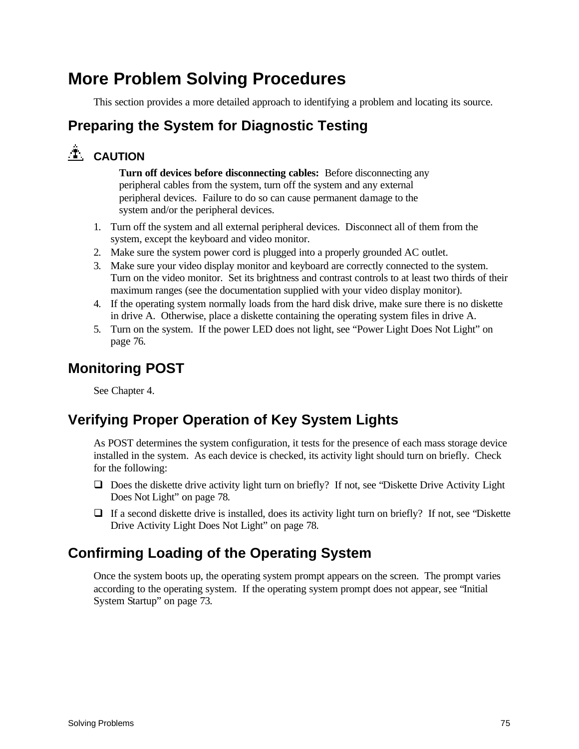# **More Problem Solving Procedures**

This section provides a more detailed approach to identifying a problem and locating its source.

# **Preparing the System for Diagnostic Testing**

# *L* CAUTION

**Turn off devices before disconnecting cables:** Before disconnecting any peripheral cables from the system, turn off the system and any external peripheral devices. Failure to do so can cause permanent damage to the system and/or the peripheral devices.

- 1. Turn off the system and all external peripheral devices. Disconnect all of them from the system, except the keyboard and video monitor.
- 2. Make sure the system power cord is plugged into a properly grounded AC outlet.
- 3. Make sure your video display monitor and keyboard are correctly connected to the system. Turn on the video monitor. Set its brightness and contrast controls to at least two thirds of their maximum ranges (see the documentation supplied with your video display monitor).
- 4. If the operating system normally loads from the hard disk drive, make sure there is no diskette in drive A. Otherwise, place a diskette containing the operating system files in drive A.
- 5. Turn on the system. If the power LED does not light, see "Power Light Does Not Light" on page 76.

## **Monitoring POST**

See Chapter 4.

## **Verifying Proper Operation of Key System Lights**

As POST determines the system configuration, it tests for the presence of each mass storage device installed in the system. As each device is checked, its activity light should turn on briefly. Check for the following:

- $\Box$  Does the diskette drive activity light turn on briefly? If not, see "Diskette Drive Activity Light" Does Not Light" on page 78.
- $\Box$  If a second diskette drive is installed, does its activity light turn on briefly? If not, see "Diskette" Drive Activity Light Does Not Light" on page 78.

## **Confirming Loading of the Operating System**

Once the system boots up, the operating system prompt appears on the screen. The prompt varies according to the operating system. If the operating system prompt does not appear, see "Initial System Startup" on page 73.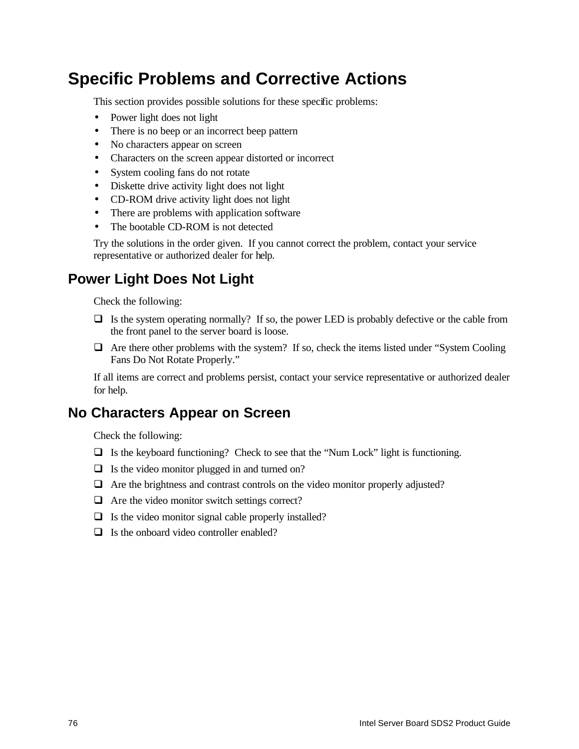# **Specific Problems and Corrective Actions**

This section provides possible solutions for these specific problems:

- Power light does not light
- There is no beep or an incorrect beep pattern
- No characters appear on screen
- Characters on the screen appear distorted or incorrect
- System cooling fans do not rotate
- Diskette drive activity light does not light
- CD-ROM drive activity light does not light
- There are problems with application software
- The bootable CD-ROM is not detected

Try the solutions in the order given. If you cannot correct the problem, contact your service representative or authorized dealer for help.

## **Power Light Does Not Light**

Check the following:

- $\Box$  Is the system operating normally? If so, the power LED is probably defective or the cable from the front panel to the server board is loose.
- $\Box$  Are there other problems with the system? If so, check the items listed under "System Cooling" Fans Do Not Rotate Properly."

If all items are correct and problems persist, contact your service representative or authorized dealer for help.

### **No Characters Appear on Screen**

Check the following:

- $\Box$  Is the keyboard functioning? Check to see that the "Num Lock" light is functioning.
- $\Box$  Is the video monitor plugged in and turned on?
- $\Box$  Are the brightness and contrast controls on the video monitor properly adjusted?
- $\Box$  Are the video monitor switch settings correct?
- $\Box$  Is the video monitor signal cable properly installed?
- $\Box$  Is the onboard video controller enabled?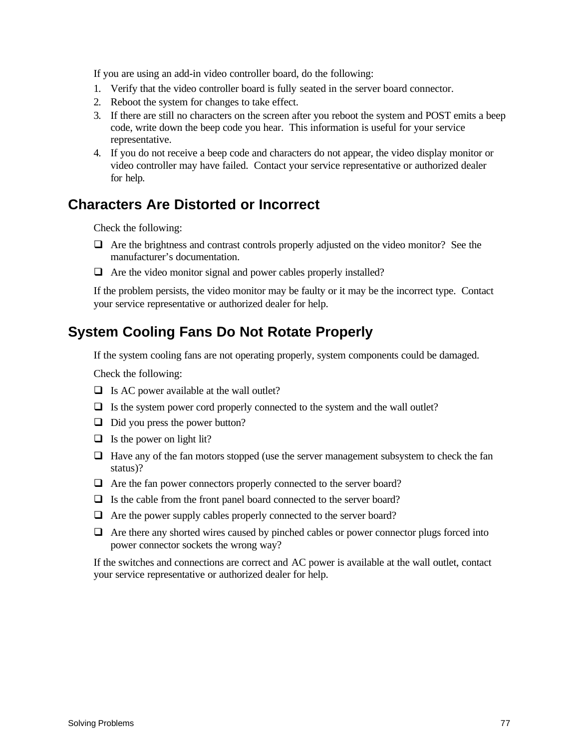If you are using an add-in video controller board, do the following:

- 1. Verify that the video controller board is fully seated in the server board connector.
- 2. Reboot the system for changes to take effect.
- 3. If there are still no characters on the screen after you reboot the system and POST emits a beep code, write down the beep code you hear. This information is useful for your service representative.
- 4. If you do not receive a beep code and characters do not appear, the video display monitor or video controller may have failed. Contact your service representative or authorized dealer for help.

### **Characters Are Distorted or Incorrect**

Check the following:

- $\Box$  Are the brightness and contrast controls properly adjusted on the video monitor? See the manufacturer's documentation.
- $\Box$  Are the video monitor signal and power cables properly installed?

If the problem persists, the video monitor may be faulty or it may be the incorrect type. Contact your service representative or authorized dealer for help.

## **System Cooling Fans Do Not Rotate Properly**

If the system cooling fans are not operating properly, system components could be damaged.

Check the following:

- $\Box$  Is AC power available at the wall outlet?
- $\Box$  Is the system power cord properly connected to the system and the wall outlet?
- $\Box$  Did you press the power button?
- $\Box$  Is the power on light lit?
- $\Box$  Have any of the fan motors stopped (use the server management subsystem to check the fan status)?
- $\Box$  Are the fan power connectors properly connected to the server board?
- $\Box$  Is the cable from the front panel board connected to the server board?
- $\Box$  Are the power supply cables properly connected to the server board?
- $\Box$  Are there any shorted wires caused by pinched cables or power connector plugs forced into power connector sockets the wrong way?

If the switches and connections are correct and AC power is available at the wall outlet, contact your service representative or authorized dealer for help.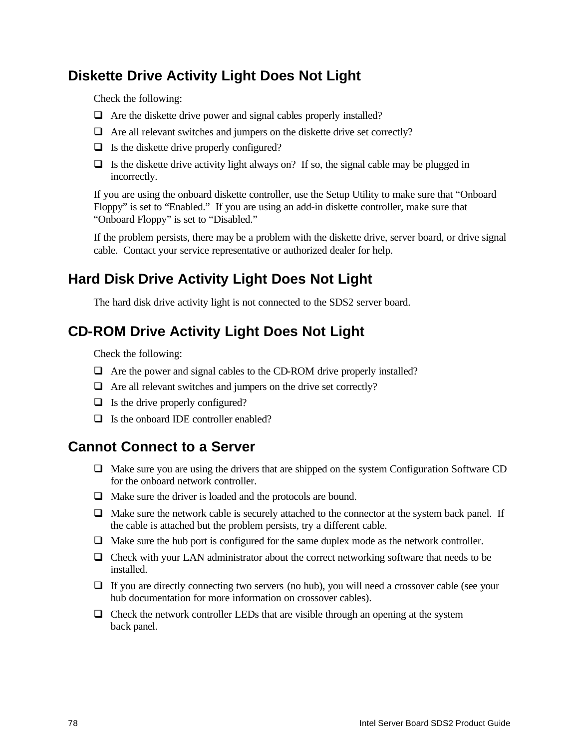## **Diskette Drive Activity Light Does Not Light**

Check the following:

- $\Box$  Are the diskette drive power and signal cables properly installed?
- $\Box$  Are all relevant switches and jumpers on the diskette drive set correctly?
- $\Box$  Is the diskette drive properly configured?
- $\Box$  Is the diskette drive activity light always on? If so, the signal cable may be plugged in incorrectly.

If you are using the onboard diskette controller, use the Setup Utility to make sure that "Onboard Floppy" is set to "Enabled." If you are using an add-in diskette controller, make sure that "Onboard Floppy" is set to "Disabled."

If the problem persists, there may be a problem with the diskette drive, server board, or drive signal cable. Contact your service representative or authorized dealer for help.

## **Hard Disk Drive Activity Light Does Not Light**

The hard disk drive activity light is not connected to the SDS2 server board.

## **CD-ROM Drive Activity Light Does Not Light**

Check the following:

- $\Box$  Are the power and signal cables to the CD-ROM drive properly installed?
- $\Box$  Are all relevant switches and jumpers on the drive set correctly?
- $\Box$  Is the drive properly configured?
- $\Box$  Is the onboard IDE controller enabled?

### **Cannot Connect to a Server**

- $\Box$  Make sure you are using the drivers that are shipped on the system Configuration Software CD for the onboard network controller.
- $\Box$  Make sure the driver is loaded and the protocols are bound.
- $\Box$  Make sure the network cable is securely attached to the connector at the system back panel. If the cable is attached but the problem persists, try a different cable.
- $\Box$  Make sure the hub port is configured for the same duplex mode as the network controller.
- $\Box$  Check with your LAN administrator about the correct networking software that needs to be installed.
- $\Box$  If you are directly connecting two servers (no hub), you will need a crossover cable (see your hub documentation for more information on crossover cables).
- $\Box$  Check the network controller LEDs that are visible through an opening at the system back panel.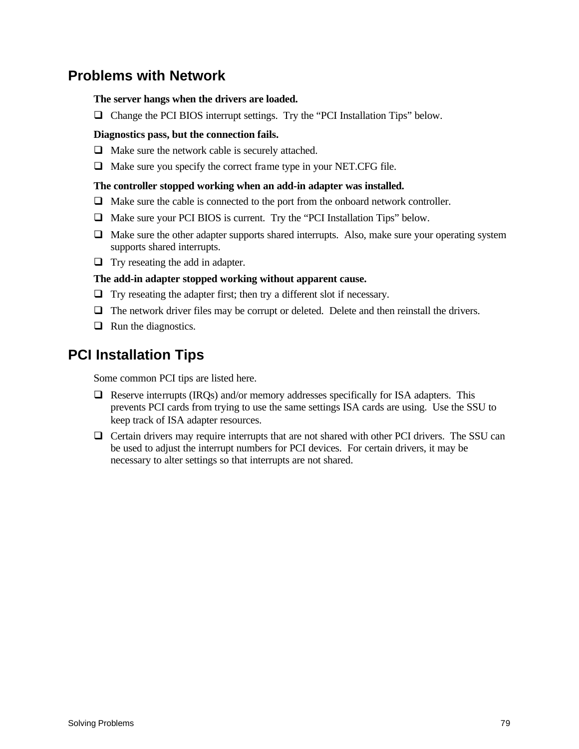## **Problems with Network**

#### **The server hangs when the drivers are loaded.**

□ Change the PCI BIOS interrupt settings. Try the "PCI Installation Tips" below.

#### **Diagnostics pass, but the connection fails.**

- $\Box$  Make sure the network cable is securely attached.
- $\Box$  Make sure you specify the correct frame type in your NET.CFG file.

#### **The controller stopped working when an add-in adapter was installed.**

- $\Box$  Make sure the cable is connected to the port from the onboard network controller.
- $\Box$  Make sure your PCI BIOS is current. Try the "PCI Installation Tips" below.
- $\Box$  Make sure the other adapter supports shared interrupts. Also, make sure your operating system supports shared interrupts.
- $\Box$  Try reseating the add in adapter.

#### **The add-in adapter stopped working without apparent cause.**

- $\Box$  Try reseating the adapter first; then try a different slot if necessary.
- $\Box$  The network driver files may be corrupt or deleted. Delete and then reinstall the drivers.
- $\Box$  Run the diagnostics.

### **PCI Installation Tips**

Some common PCI tips are listed here.

- $\Box$  Reserve interrupts (IRQs) and/or memory addresses specifically for ISA adapters. This prevents PCI cards from trying to use the same settings ISA cards are using. Use the SSU to keep track of ISA adapter resources.
- $\Box$  Certain drivers may require interrupts that are not shared with other PCI drivers. The SSU can be used to adjust the interrupt numbers for PCI devices. For certain drivers, it may be necessary to alter settings so that interrupts are not shared.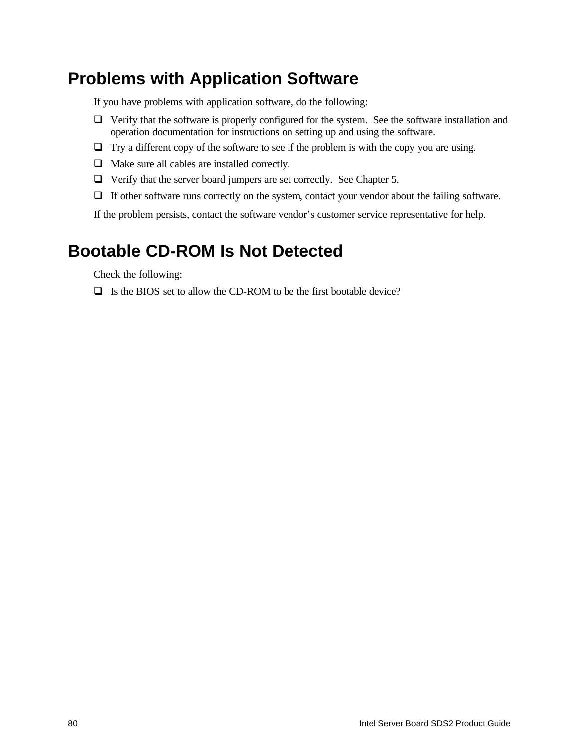# **Problems with Application Software**

If you have problems with application software, do the following:

- $\Box$  Verify that the software is properly configured for the system. See the software installation and operation documentation for instructions on setting up and using the software.
- $\Box$  Try a different copy of the software to see if the problem is with the copy you are using.
- $\Box$  Make sure all cables are installed correctly.
- $\Box$  Verify that the server board jumpers are set correctly. See Chapter 5.
- $\Box$  If other software runs correctly on the system, contact your vendor about the failing software.

If the problem persists, contact the software vendor's customer service representative for help.

# **Bootable CD-ROM Is Not Detected**

Check the following:

 $\Box$  Is the BIOS set to allow the CD-ROM to be the first bootable device?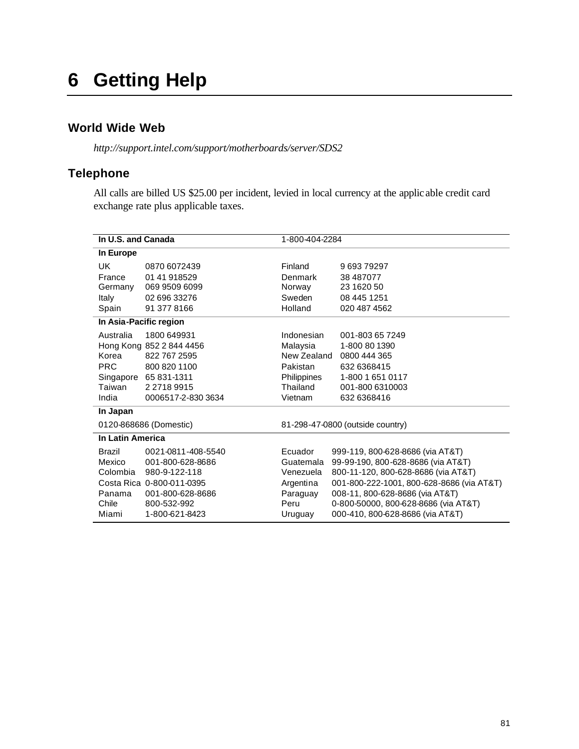# **6 Getting Help**

### **World Wide Web**

*http://support.intel.com/support/motherboards/server/SDS2*

### **Telephone**

All calls are billed US \$25.00 per incident, levied in local currency at the applic able credit card exchange rate plus applicable taxes.

| In U.S. and Canada      |                           | 1-800-404-2284     |                                           |  |
|-------------------------|---------------------------|--------------------|-------------------------------------------|--|
| In Europe               |                           |                    |                                           |  |
| <b>UK</b>               | 0870 6072439              | Finland            | 969379297                                 |  |
| France                  | 01 41 918529              | Denmark            | 38 487077                                 |  |
| Germany                 | 069 9509 6099             | Norway             | 23 1620 50                                |  |
| Italy                   | 02 696 33276              | Sweden             | 08 445 1251                               |  |
| Spain                   | 91 377 8166               | Holland            | 020 487 4562                              |  |
|                         | In Asia-Pacific region    |                    |                                           |  |
| Australia               | 1800 649931               | Indonesian         | 001-803 65 7249                           |  |
|                         | Hong Kong 852 2 844 4456  | Malaysia           | 1-800 80 1390                             |  |
| Korea                   | 822 767 2595              | New Zealand        | 0800 444 365                              |  |
| PRC                     | 800 820 1100              | Pakistan           | 632 6368415                               |  |
|                         | Singapore 65 831-1311     | <b>Philippines</b> | 1-800 1 651 0117                          |  |
| Taiwan                  | 2 2718 9915               | Thailand           | 001-800 6310003                           |  |
| India                   | 0006517-2-830 3634        | Vietnam            | 632 6368416                               |  |
| In Japan                |                           |                    |                                           |  |
|                         | 0120-868686 (Domestic)    |                    | 81-298-47-0800 (outside country)          |  |
| <b>In Latin America</b> |                           |                    |                                           |  |
| <b>Brazil</b>           | 0021-0811-408-5540        | Ecuador            | 999-119, 800-628-8686 (via AT&T)          |  |
| Mexico                  | 001-800-628-8686          | Guatemala          | 99-99-190, 800-628-8686 (via AT&T)        |  |
| Colombia                | 980-9-122-118             | Venezuela          | 800-11-120, 800-628-8686 (via AT&T)       |  |
|                         | Costa Rica 0-800-011-0395 | Argentina          | 001-800-222-1001, 800-628-8686 (via AT&T) |  |
| Panama                  | 001-800-628-8686          | Paraguay           | 008-11, 800-628-8686 (via AT&T)           |  |
| Chile                   | 800-532-992               | Peru               | 0-800-50000, 800-628-8686 (via AT&T)      |  |
| Miami                   | 1-800-621-8423            | Uruguay            | 000-410, 800-628-8686 (via AT&T)          |  |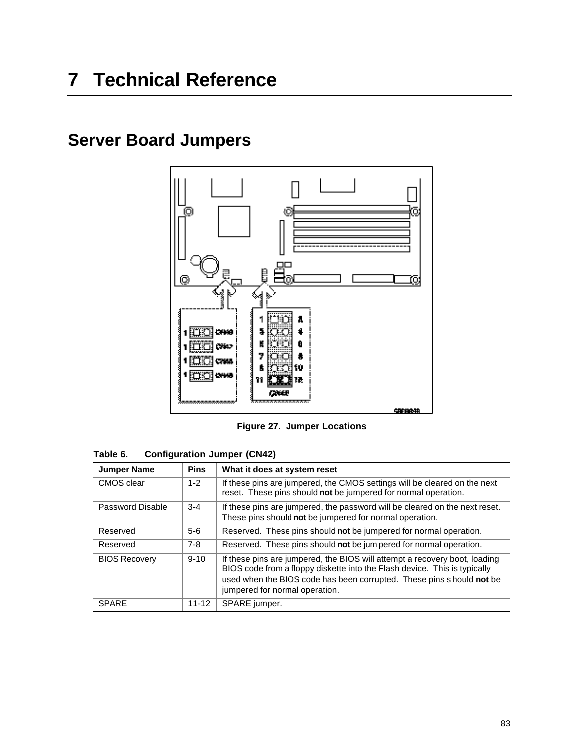# **7 Technical Reference**

# **Server Board Jumpers**



**Figure 27. Jumper Locations** 

| Table 6. | <b>Configuration Jumper (CN42)</b> |  |  |  |
|----------|------------------------------------|--|--|--|
|----------|------------------------------------|--|--|--|

| <b>Jumper Name</b>   | <b>Pins</b> | What it does at system reset                                                                                                                                                                                                                                      |  |
|----------------------|-------------|-------------------------------------------------------------------------------------------------------------------------------------------------------------------------------------------------------------------------------------------------------------------|--|
| <b>CMOS</b> clear    | $1 - 2$     | If these pins are jumpered, the CMOS settings will be cleared on the next<br>reset. These pins should not be jumpered for normal operation.                                                                                                                       |  |
| Password Disable     | $3 - 4$     | If these pins are jumpered, the password will be cleared on the next reset.<br>These pins should not be jumpered for normal operation.                                                                                                                            |  |
| Reserved             | $5-6$       | Reserved. These pins should not be jumpered for normal operation.                                                                                                                                                                                                 |  |
| Reserved             | $7-8$       | Reserved. These pins should not be jum pered for normal operation.                                                                                                                                                                                                |  |
| <b>BIOS Recovery</b> | $9 - 10$    | If these pins are jumpered, the BIOS will attempt a recovery boot, loading<br>BIOS code from a floppy diskette into the Flash device. This is typically<br>used when the BIOS code has been corrupted. These pins should not be<br>jumpered for normal operation. |  |
| <b>SPARE</b>         | $11 - 12$   | SPARE jumper.                                                                                                                                                                                                                                                     |  |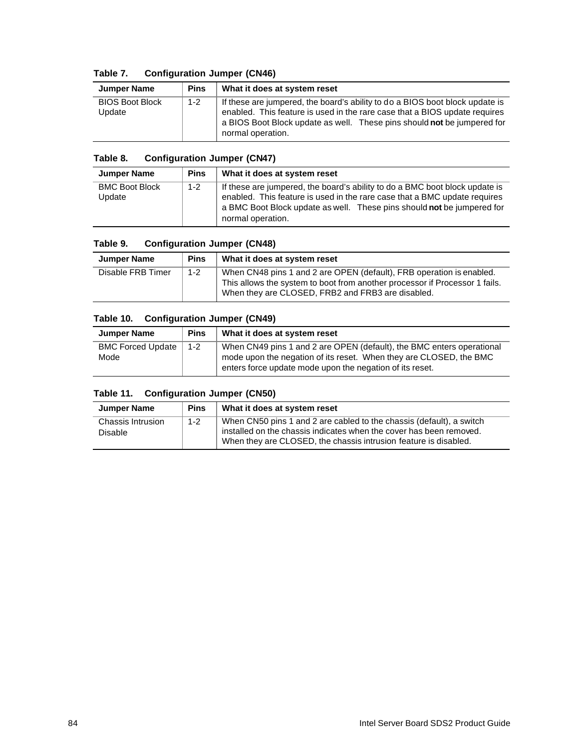#### **Table 7. Configuration Jumper (CN46)**

| Jumper Name                      | Pins    | What it does at system reset                                                                                                                                                                                                                               |
|----------------------------------|---------|------------------------------------------------------------------------------------------------------------------------------------------------------------------------------------------------------------------------------------------------------------|
| <b>BIOS Boot Block</b><br>Update | $1 - 2$ | If these are jumpered, the board's ability to do a BIOS boot block update is<br>enabled. This feature is used in the rare case that a BIOS update requires<br>a BIOS Boot Block update as well. These pins should not be jumpered for<br>normal operation. |

#### **Table 8. Configuration Jumper (CN47)**

| <b>Jumper Name</b>              | <b>Pins</b> | What it does at system reset                                                                                                                                                                                                                            |
|---------------------------------|-------------|---------------------------------------------------------------------------------------------------------------------------------------------------------------------------------------------------------------------------------------------------------|
| <b>BMC Boot Block</b><br>Update | $1 - 2$     | If these are jumpered, the board's ability to do a BMC boot block update is<br>enabled. This feature is used in the rare case that a BMC update requires<br>a BMC Boot Block update as well. These pins should not be jumpered for<br>normal operation. |

#### **Table 9. Configuration Jumper (CN48)**

| <b>Jumper Name</b> | <b>Pins</b> | What it does at system reset                                                                                                                                                                             |
|--------------------|-------------|----------------------------------------------------------------------------------------------------------------------------------------------------------------------------------------------------------|
| Disable FRB Timer  | $1 - 2$     | When CN48 pins 1 and 2 are OPEN (default), FRB operation is enabled.<br>This allows the system to boot from another processor if Processor 1 fails.<br>When they are CLOSED, FRB2 and FRB3 are disabled. |

#### **Table 10. Configuration Jumper (CN49)**

| Jumper Name                      | <b>Pins</b> | What it does at system reset                                                                                                                                                                            |
|----------------------------------|-------------|---------------------------------------------------------------------------------------------------------------------------------------------------------------------------------------------------------|
| <b>BMC Forced Update</b><br>Mode | $1 - 2$     | When CN49 pins 1 and 2 are OPEN (default), the BMC enters operational<br>mode upon the negation of its reset. When they are CLOSED, the BMC<br>enters force update mode upon the negation of its reset. |

#### **Table 11. Configuration Jumper (CN50)**

| Jumper Name                         | <b>Pins</b> | What it does at system reset                                                                                                                                                                                    |  |  |
|-------------------------------------|-------------|-----------------------------------------------------------------------------------------------------------------------------------------------------------------------------------------------------------------|--|--|
| Chassis Intrusion<br><b>Disable</b> | $1 - 2$     | When CN50 pins 1 and 2 are cabled to the chassis (default), a switch<br>installed on the chassis indicates when the cover has been removed.<br>When they are CLOSED, the chassis intrusion feature is disabled. |  |  |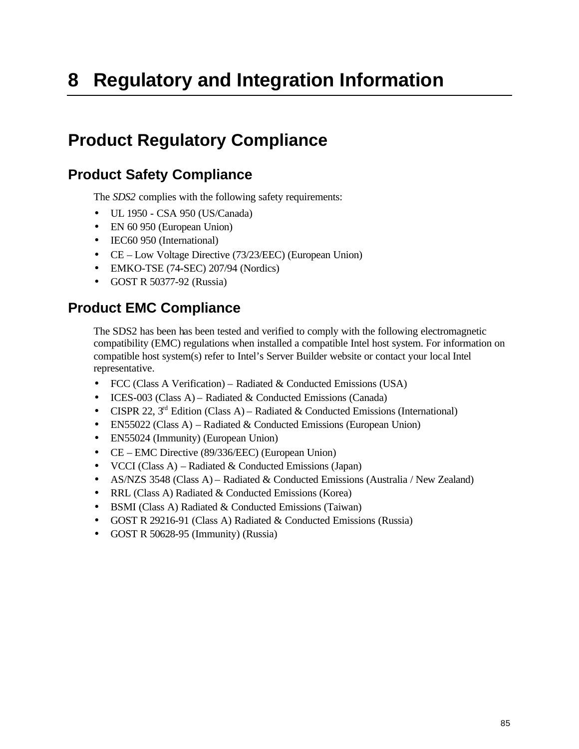# **8 Regulatory and Integration Information**

# **Product Regulatory Compliance**

## **Product Safety Compliance**

The *SDS2* complies with the following safety requirements:

- UL 1950 CSA 950 (US/Canada)
- EN 60 950 (European Union)
- IEC60 950 (International)
- CE Low Voltage Directive (73/23/EEC) (European Union)
- EMKO-TSE (74-SEC) 207/94 (Nordics)
- GOST R 50377-92 (Russia)

## **Product EMC Compliance**

The SDS2 has been has been tested and verified to comply with the following electromagnetic compatibility (EMC) regulations when installed a compatible Intel host system. For information on compatible host system(s) refer to Intel's Server Builder website or contact your local Intel representative.

- FCC (Class A Verification) Radiated & Conducted Emissions (USA)
- ICES-003 (Class A) Radiated & Conducted Emissions (Canada)
- CISPR 22,  $3<sup>rd</sup>$  Edition (Class A) Radiated & Conducted Emissions (International)
- EN55022 (Class A) Radiated & Conducted Emissions (European Union)
- EN55024 (Immunity) (European Union)
- CE EMC Directive (89/336/EEC) (European Union)
- VCCI (Class A) Radiated & Conducted Emissions (Japan)
- AS/NZS 3548 (Class A) Radiated & Conducted Emissions (Australia / New Zealand)
- RRL (Class A) Radiated & Conducted Emissions (Korea)
- BSMI (Class A) Radiated & Conducted Emissions (Taiwan)
- GOST R 29216-91 (Class A) Radiated & Conducted Emissions (Russia)
- GOST R 50628-95 (Immunity) (Russia)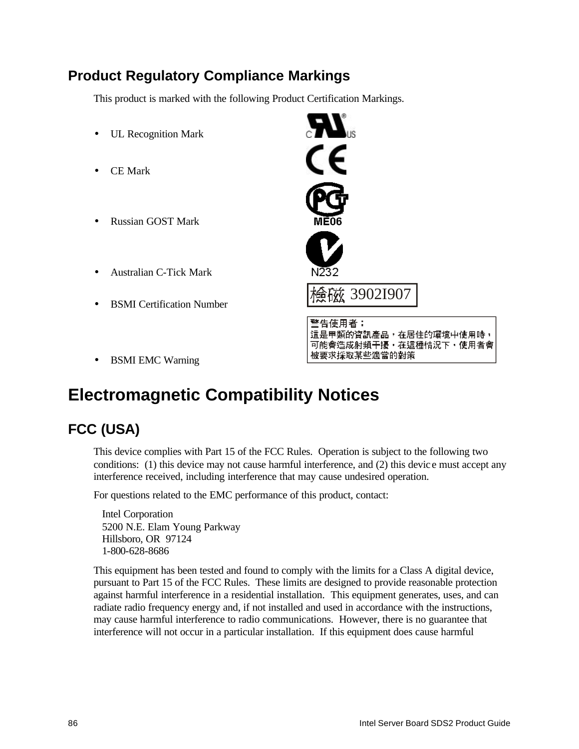## **Product Regulatory Compliance Markings**

This product is marked with the following Product Certification Markings.

- UL Recognition Mark
- CE Mark
- Russian GOST Mark
- Australian C-Tick Mark
- **BSMI** Certification Number



被要求採取某些適當的對策

**BSMI EMC Warning** 

# **Electromagnetic Compatibility Notices**

# **FCC (USA)**

This device complies with Part 15 of the FCC Rules. Operation is subject to the following two conditions: (1) this device may not cause harmful interference, and (2) this devic e must accept any interference received, including interference that may cause undesired operation.

For questions related to the EMC performance of this product, contact:

Intel Corporation 5200 N.E. Elam Young Parkway Hillsboro, OR 97124 1-800-628-8686

This equipment has been tested and found to comply with the limits for a Class A digital device, pursuant to Part 15 of the FCC Rules. These limits are designed to provide reasonable protection against harmful interference in a residential installation. This equipment generates, uses, and can radiate radio frequency energy and, if not installed and used in accordance with the instructions, may cause harmful interference to radio communications. However, there is no guarantee that interference will not occur in a particular installation. If this equipment does cause harmful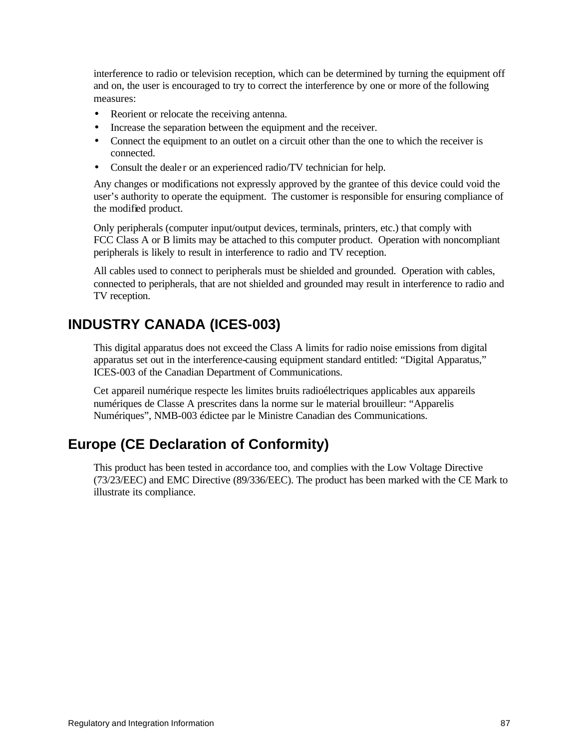interference to radio or television reception, which can be determined by turning the equipment off and on, the user is encouraged to try to correct the interference by one or more of the following measures:

- Reorient or relocate the receiving antenna.
- Increase the separation between the equipment and the receiver.
- Connect the equipment to an outlet on a circuit other than the one to which the receiver is connected.
- Consult the dealer or an experienced radio/TV technician for help.

Any changes or modifications not expressly approved by the grantee of this device could void the user's authority to operate the equipment. The customer is responsible for ensuring compliance of the modified product.

Only peripherals (computer input/output devices, terminals, printers, etc.) that comply with FCC Class A or B limits may be attached to this computer product. Operation with noncompliant peripherals is likely to result in interference to radio and TV reception.

All cables used to connect to peripherals must be shielded and grounded. Operation with cables, connected to peripherals, that are not shielded and grounded may result in interference to radio and TV reception.

## **INDUSTRY CANADA (ICES-003)**

This digital apparatus does not exceed the Class A limits for radio noise emissions from digital apparatus set out in the interference-causing equipment standard entitled: "Digital Apparatus," ICES-003 of the Canadian Department of Communications.

Cet appareil numérique respecte les limites bruits radioélectriques applicables aux appareils numériques de Classe A prescrites dans la norme sur le material brouilleur: "Apparelis Numériques", NMB-003 édictee par le Ministre Canadian des Communications.

## **Europe (CE Declaration of Conformity)**

This product has been tested in accordance too, and complies with the Low Voltage Directive (73/23/EEC) and EMC Directive (89/336/EEC). The product has been marked with the CE Mark to illustrate its compliance.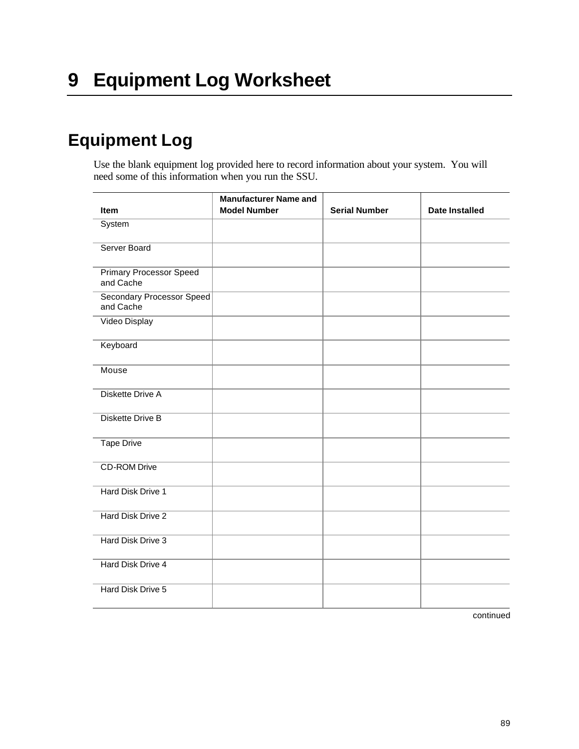# **Equipment Log**

Use the blank equipment log provided here to record information about your system. You will need some of this information when you run the SSU.

| Item                                          | <b>Manufacturer Name and</b><br><b>Model Number</b> | <b>Serial Number</b> | <b>Date Installed</b> |
|-----------------------------------------------|-----------------------------------------------------|----------------------|-----------------------|
| System                                        |                                                     |                      |                       |
| Server Board                                  |                                                     |                      |                       |
| <b>Primary Processor Speed</b><br>and Cache   |                                                     |                      |                       |
| <b>Secondary Processor Speed</b><br>and Cache |                                                     |                      |                       |
| Video Display                                 |                                                     |                      |                       |
| Keyboard                                      |                                                     |                      |                       |
| Mouse                                         |                                                     |                      |                       |
| Diskette Drive A                              |                                                     |                      |                       |
| Diskette Drive B                              |                                                     |                      |                       |
| <b>Tape Drive</b>                             |                                                     |                      |                       |
| <b>CD-ROM Drive</b>                           |                                                     |                      |                       |
| Hard Disk Drive 1                             |                                                     |                      |                       |
| Hard Disk Drive 2                             |                                                     |                      |                       |
| Hard Disk Drive 3                             |                                                     |                      |                       |
| Hard Disk Drive 4                             |                                                     |                      |                       |
| Hard Disk Drive 5                             |                                                     |                      |                       |
|                                               |                                                     |                      |                       |

continued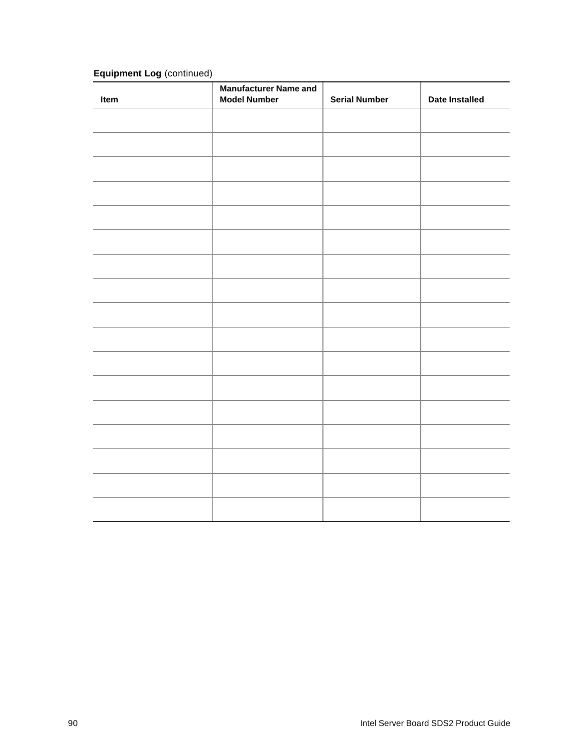#### **Equipment Log** (continued)

| Item | <b>Manufacturer Name and</b><br><b>Model Number</b> | <b>Serial Number</b> | <b>Date Installed</b> |
|------|-----------------------------------------------------|----------------------|-----------------------|
|      |                                                     |                      |                       |
|      |                                                     |                      |                       |
|      |                                                     |                      |                       |
|      |                                                     |                      |                       |
|      |                                                     |                      |                       |
|      |                                                     |                      |                       |
|      |                                                     |                      |                       |
|      |                                                     |                      |                       |
|      |                                                     |                      |                       |
|      |                                                     |                      |                       |
|      |                                                     |                      |                       |
|      |                                                     |                      |                       |
|      |                                                     |                      |                       |
|      |                                                     |                      |                       |
|      |                                                     |                      |                       |
|      |                                                     |                      |                       |
|      |                                                     |                      |                       |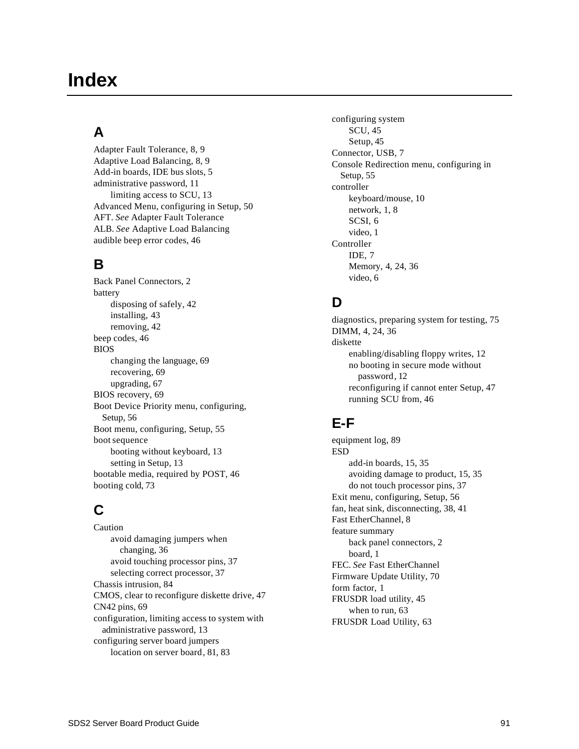# **Index**

## **A**

Adapter Fault Tolerance, 8, 9 Adaptive Load Balancing, 8, 9 Add-in boards, IDE bus slots, 5 administrative password, 11 limiting access to SCU, 13 Advanced Menu, configuring in Setup, 50 AFT. *See* Adapter Fault Tolerance ALB. *See* Adaptive Load Balancing audible beep error codes, 46

### **B**

Back Panel Connectors, 2 battery disposing of safely, 42 installing, 43 removing, 42 beep codes, 46 BIOS changing the language, 69 recovering, 69 upgrading, 67 BIOS recovery, 69 Boot Device Priority menu, configuring, Setup, 56 Boot menu, configuring, Setup, 55 boot sequence booting without keyboard, 13 setting in Setup, 13 bootable media, required by POST, 46 booting cold, 73

## **C**

Caution avoid damaging jumpers when changing, 36 avoid touching processor pins, 37 selecting correct processor, 37 Chassis intrusion, 84 CMOS, clear to reconfigure diskette drive, 47 CN42 pins, 69 configuration, limiting access to system with administrative password, 13 configuring server board jumpers location on server board, 81, 83

configuring system SCU, 45 Setup, 45 Connector, USB, 7 Console Redirection menu, configuring in Setup, 55 controller keyboard/mouse, 10 network, 1, 8 SCSI, 6 video, 1 Controller IDE, 7 Memory, 4, 24, 36 video, 6

## **D**

diagnostics, preparing system for testing, 75 DIMM, 4, 24, 36 diskette enabling/disabling floppy writes, 12 no booting in secure mode without password, 12 reconfiguring if cannot enter Setup, 47 running SCU from, 46

### **E-F**

equipment log, 89 ESD add-in boards, 15, 35 avoiding damage to product, 15, 35 do not touch processor pins, 37 Exit menu, configuring, Setup, 56 fan, heat sink, disconnecting, 38, 41 Fast EtherChannel, 8 feature summary back panel connectors, 2 board, 1 FEC. *See* Fast EtherChannel Firmware Update Utility, 70 form factor, 1 FRUSDR load utility, 45 when to run, 63 FRUSDR Load Utility, 63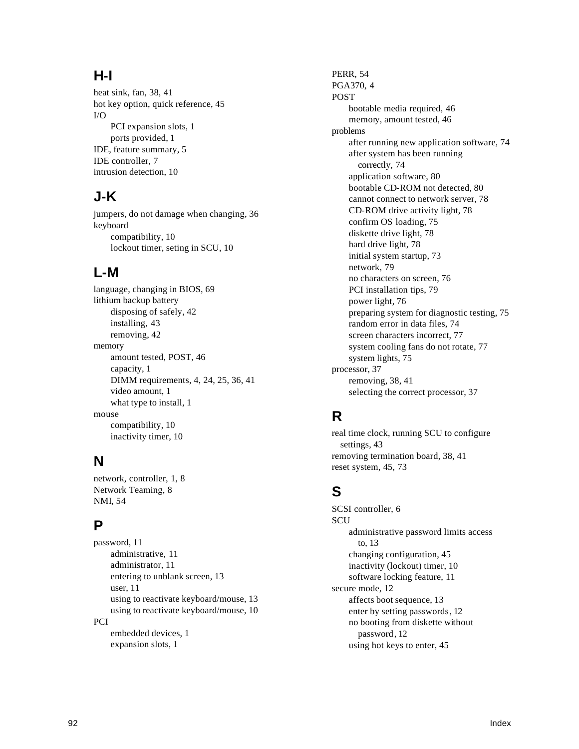## **H-I**

heat sink, fan, 38, 41 hot key option, quick reference, 45 I/O PCI expansion slots, 1 ports provided, 1 IDE, feature summary, 5 IDE controller, 7 intrusion detection, 10

## **J-K**

jumpers, do not damage when changing, 36 keyboard compatibility, 10 lockout timer, seting in SCU, 10

## **L-M**

language, changing in BIOS, 69 lithium backup battery disposing of safely, 42 installing, 43 removing, 42 memory amount tested, POST, 46 capacity, 1 DIMM requirements, 4, 24, 25, 36, 41 video amount, 1 what type to install, 1 mouse compatibility, 10 inactivity timer, 10

## **N**

network, controller, 1, 8 Network Teaming, 8 NMI, 54

### **P**

password, 11 administrative, 11 administrator, 11 entering to unblank screen, 13 user, 11 using to reactivate keyboard/mouse, 13 using to reactivate keyboard/mouse, 10 PCI embedded devices, 1 expansion slots, 1

PERR, 54 PGA370, 4 POST bootable media required, 46 memory, amount tested, 46 problems after running new application software, 74 after system has been running correctly, 74 application software, 80 bootable CD-ROM not detected, 80 cannot connect to network server, 78 CD-ROM drive activity light, 78 confirm OS loading, 75 diskette drive light, 78 hard drive light, 78 initial system startup, 73 network, 79 no characters on screen, 76 PCI installation tips, 79 power light, 76 preparing system for diagnostic testing, 75 random error in data files, 74 screen characters incorrect, 77 system cooling fans do not rotate, 77 system lights, 75 processor, 37 removing, 38, 41 selecting the correct processor, 37

# **R**

real time clock, running SCU to configure settings, 43 removing termination board, 38, 41 reset system, 45, 73

# **S**

SCSI controller, 6 **SCU** administrative password limits access to, 13 changing configuration, 45 inactivity (lockout) timer, 10 software locking feature, 11 secure mode, 12 affects boot sequence, 13 enter by setting passwords, 12 no booting from diskette without password, 12 using hot keys to enter, 45